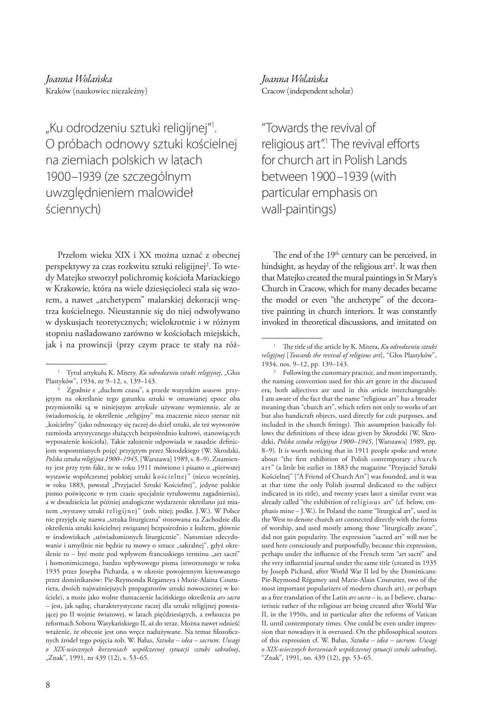"Ku odrodzeniu sztuki religijnej"<sup>,</sup> O próbach odnowy sztuki kościelnej na ziemiach polskich w latach 1900–1939 (ze szczególnym uwzględnieniem malowideł ściennych)

Przełom wieku XIX i XX można uznać z obecnej perspektywy za czas rozkwitu sztuki religijnej<sup>2</sup>. To wtedy Matejko stworzył polichromię kościoła Mariackiego w Krakowie, która na wiele dziesięcioleci stała się wzorem, a nawet "archetypem" malarskiej dekoracji wnętrza kościelnego. Nieustannie się do niej odwoływano w dyskusjach teoretycznych; wielokrotnie i w różnym stopniu naśladowano zarówno w kościołach miejskich, jak i na prowincji (przy czym prace te stały na róż*Joanna Wolańska* Cracow (independent scholar)

"Towards the revival of religious art".<sup>1</sup> The revival efforts for church art in Polish Lands between 1900–1939 (with particular emphasis on wall-paintings)

The end of the 19<sup>th</sup> century can be perceived, in hindsight, as heyday of the religious art<sup>2</sup>. It was then that Matejko created the mural paintings in St Mary's Church in Cracow, which for many decades became the model or even "the archetype" of the decorative painting in church interiors. It was constantly invoked in theoretical discussions, and imitated on

<sup>&</sup>lt;sup>1</sup> Tytuł artykułu K. Mitery, *Ku odrodzeniu sztuki religijnej*, "Głos Plastyków", 1934, nr 9–12, s. 139–143.

Zgodnie z "duchem czasu", a przede wszystkim ususem przyjętym na określanie tego gatunku sztuki w omawianej epoce oba przymiotniki są w niniejszym artykule używane wymiennie, ale ze świadomością, że określenie "religijny" ma znaczenie nieco szersze niż "kościelny" (jako odnoszący się raczej do dzieł sztuki, ale też wytworów rzemiosła artystycznego służących bezpośrednio kultowi, stanowiących wyposażenie kościoła). Takie założenie odpowiada w zasadzie definicjom wspomnianych pojęć przyjętym przez Skrodzkiego (W. Skrodzki, *Polska sztuka religijna 1900–1945*, [Warszawa] 1989, s. 8–9). Znamienny jest przy tym fakt, że w roku 1911 mówiono i pisano o "pierwszej wystawie współczesnej polskiej sztuki kościelnej" (nieco wcześniej, w roku 1883, powstał "Przyjaciel Sztuki Kościelnej", jedyne polskie pismo poświęcone w tym czasie specjalnie tytułowemu zagadnieniu), a w dwadzieścia lat później analogiczne wydarzenie określano już mianem "wystawy sztuki religijnej" (zob. niżej; podkr. J.W.). W Polsce nie przyjęła się nazwa "sztuka liturgiczna" stosowana na Zachodzie dla określenia sztuki kościelnej związanej bezpośrednio z kultem, głównie w środowiskach "uświadomionych liturgicznie". Natomiast zdecydowanie i umyślnie nie będzie tu mowy o sztuce "sakralnej", gdyż określenie to – być może pod wpływem francuskiego terminu "art sacré" i homonimicznego, bardzo wpływowego pisma (stworzonego w roku 1935 przez Josepha Picharda, a w okresie powojennym kierowanego przez dominikanów: Pie-Reymonda Régameya i Marie-Alaina Couturiera, dwóch najważniejszych propagatorów sztuki nowoczesnej w kościele), a może jako wolne tłumaczenie łacińskiego określenia *ars sacra* – jest, jak sądzę, charakterystyczne raczej dla sztuki religijnej powstającej po II wojnie światowej, w latach pięćdziesiątych, a zwłaszcza po reformach Soboru Watykańskiego II, aż do teraz. Można nawet odnieść wrażenie, że obecnie jest ono wręcz nadużywane. Na temat filozoficznych źródeł tego pojęcia zob. W. Bałus, *Sztuka – idea – sacrum. Uwagi o XIX-wiecznych korzeniach współczesnej sytuacji sztuki sakralnej*, "Znak", 1991, nr 439 (12), s. 53-65.

<sup>1</sup> The title of the article by K. Mitera, *Ku odrodzeniu sztuki religijnej* [*Towards the revival of religious art*], "Głos Plastyków", 1934, nos. 9–12, pp. 139–143.

<sup>&</sup>lt;sup>2</sup> Following the customary practice, and most importantly, the naming convention used for this art genre in the discussed era, both adjectives are used in this article interchangeably. I am aware of the fact that the name "religious art" has a broader meaning than "church art", which refers not only to works of art but also handicraft objects, used directly for cult purposes, and included in the church fittings). This assumption basically follows the definitions of these ideas given by Skrodzki (W. Skrodzki, *Polska sztuka religijna 1900–1945*, [Warszawa] 1989, pp. 8–9). It is worth noticing that in 1911 people spoke and wrote about "the first exhibition of Polish contemporary church art" (a little bit earlier in 1883 the magazine "Przyjaciel Sztuki Kościelnej" ["A Friend of Church Art"] was founded, and it was at that time the only Polish journal dedicated to the subject indicated in its title), and twenty years later a similar event was already called "the exhibition of religious art" (cf. below, emphasis mine – J.W.). In Poland the name "liturgical art", used in the West to denote church art connected directly with the forms of worship, and used mostly among those "liturgically aware", did not gain popularity. The expression "sacred art" will not be used here consciously and purposefully, because this expression, perhaps under the influence of the French term "art sacré" and the very influential journal under the same title (created in 1935 by Joseph Pichard, after World War II led by the Dominicans: Pie-Reymond Régamey and Marie-Alain Couturier, two of the most important popularizers of modern church art), or perhaps as a free translation of the Latin *ars sacra* – is, as I believe, characteristic rather of the religious art being created after World War II, in the 1950s, and in particular after the reforms of Vatican II, until contemporary times. One could be even under impression that nowadays it is overused. On the philosophical sources of this expression cf. W. Bałus, *Sztuka – idea – sacrum. Uwagi o XIX-wiecznych korzeniach współczesnej sytuacji sztuki sakralnej*, "Znak", 1991, no. 439 (12), pp. 53–65.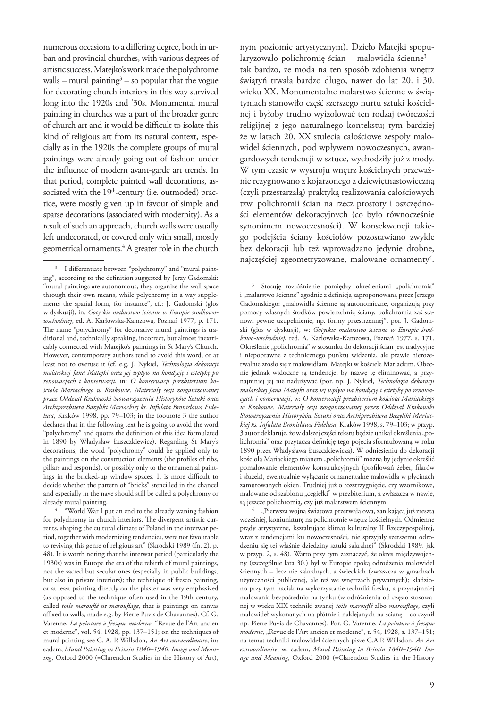numerous occasions to a differing degree, both in urban and provincial churches, with various degrees of artistic success. Matejko's work made the polychrome walls – mural painting $3$  – so popular that the vogue for decorating church interiors in this way survived long into the 1920s and '30s. Monumental mural painting in churches was a part of the broader genre of church art and it would be difficult to isolate this kind of religious art from its natural context, especially as in the 1920s the complete groups of mural paintings were already going out of fashion under the influence of modern avant-garde art trends. In that period, complete painted wall decorations, associated with the 19<sup>th</sup>-century (i.e. outmoded) practice, were mostly given up in favour of simple and sparse decorations (associated with modernity). As a result of such an approach, church walls were usually left undecorated, or covered only with small, mostly geometrical ornaments.4 A greater role in the church

for polychromy in church interiors. The divergent artistic currents, shaping the cultural climate of Poland in the interwar period, together with modernizing tendencies, were not favourable to reviving this genre of religious art" (Skrodzki 1989 (fn. 2), p. 48). It is worth noting that the interwar period (particularly the 1930s) was in Europe the era of the rebirth of mural paintings, not the sacred but secular ones (especially in public buildings, but also in private interiors); the technique of fresco painting, or at least painting directly on the plaster was very emphasized (as opposed to the technique often used in the 19th century, called *toile marouflé* or *marouflage*, that is paintings on canvas affixed to walls, made e.g. by Pierre Puvis de Chavannes). Cf. G. Varenne, *La peinture à fresque moderne*, "Revue de l'Art ancien et moderne", vol. 54, 1928, pp. 137–151; on the techniques of mural painting see C. A. P. Willsdon, *An Art extraordinaire*, in: eadem, *Mural Painting in Britain 1840–1940. Image and Meaning*, Oxford 2000 (=Clarendon Studies in the History of Art),

nym poziomie artystycznym). Dzieło Matejki spopularyzowało polichromię ścian – malowidła ścienne3 – tak bardzo, że moda na ten sposób zdobienia wnętrz świątyń trwała bardzo długo, nawet do lat 20. i 30. wieku XX. Monumentalne malarstwo ścienne w świątyniach stanowiło część szerszego nurtu sztuki kościelnej i byłoby trudno wyizolować ten rodzaj twórczości religijnej z jego naturalnego kontekstu; tym bardziej że w latach 20. XX stulecia całościowe zespoły malowideł ściennych, pod wpływem nowoczesnych, awangardowych tendencji w sztuce, wychodziły już z mody. W tym czasie w wystroju wnętrz kościelnych przeważnie rezygnowano z kojarzonego z dziewiętnastowieczną (czyli przestarzałą) praktyką realizowania całościowych tzw. polichromii ścian na rzecz prostoty i oszczędności elementów dekoracyjnych (co było równocześnie synonimem nowoczesności). W konsekwencji takiego podejścia ściany kościołów pozostawiano zwykle bez dekoracji lub też wprowadzano jedynie drobne, najczęściej zgeometryzowane, malowane ornamenty<sup>4</sup>.

"Pierwsza wojna światowa przerwała ową, zanikającą już zresztą wcześniej, koniunkturę na polichromie wnętrz kościelnych. Odmienne prądy artystyczne, kształtujące klimat kulturalny II Rzeczypospolitej, wraz z tendencjami ku nowoczesności, nie sprzyjały szerszemu odrodzeniu się tej właśnie dziedziny sztuki sakralnej" (Skrodzki 1989, jak w przyp. 2, s. 48). Warto przy tym zaznaczyć, że okres międzywojenny (szczególnie lata 30.) był w Europie epoką odrodzenia malowideł ściennych – lecz nie sakralnych, a świeckich (zwłaszcza w gmachach użyteczności publicznej, ale też we wnętrzach prywatnych); kładziono przy tym nacisk na wykorzystanie techniki fresku, a przynajmniej malowania bezpośrednio na tynku (w odróżnieniu od często stosowanej w wieku XIX techniki zwanej *toile marouflé* albo *marouflage*, czyli malowideł wykonanych na płótnie i naklejanych na ścianę – co czynił np. Pierre Puvis de Chavannes). Por. G. Varenne, *La peinture à fresque moderne*, "Revue de l'Art ancien et moderne", t. 54, 1928, s. 137-151; na temat techniki malowideł ściennych pisze C.A.P. Willsdon, *An Art extraordinaire*, w: eadem, *Mural Painting in Britain 1840–1940. Image and Meaning*, Oxford 2000 (=Clarendon Studies in the History

<sup>&</sup>lt;sup>3</sup> I differentiate between "polychromy" and "mural painting", according to the definition suggested by Jerzy Gadomski: "mural paintings are autonomous, they organize the wall space through their own means, while polychromy in a way supplements the spatial form, for instance", cf.: J. Gadomski (głos w dyskusji), in: *Gotyckie malarstwo ścienne w Europie środkowowschodniej*, ed. A. Karłowska-Kamzowa, Poznań 1977, p. 171. The name "polychromy" for decorative mural paintings is traditional and, technically speaking, incorrect, but almost inextricably connected with Matejko's paintings in St Mary's Church. However, contemporary authors tend to avoid this word, or at least not to overuse it (cf. e.g. J. Nykiel, *Technologia dekoracji malarskiej Jana Matejki oraz jej wpływ na kondycję i estetykę po renowacjach i konserwacji*, in: *O konserwacji prezbiterium kościoła Mariackiego w Krakowie*. *Materiały sesji zorganizowanej przez Oddział Krakowski Stowarzyszenia Historyków Sztuki oraz Archiprezbitera Bazyliki Mariackiej ks. Infułata Bronisława Fidelusa*, Kraków 1998, pp. 79–103; in the footnote 3 the author declares that in the following text he is going to avoid the word "polychromy" and quotes the definition of this idea formulated in 1890 by Władysław Łuszczkiewicz). Regarding St Mary's decorations, the word "polychromy" could be applied only to the paintings on the construction elements (the profiles of ribs, pillars and responds), or possibly only to the ornamental paintings in the bricked-up window spaces. It is more difficult to decide whether the pattern of "bricks" stencilled in the chancel and especially in the nave should still be called a polychromy or already mural painting. 4 "World War I put an end to the already waning fashion

<sup>&</sup>lt;sup>3</sup> Stosuję rozróżnienie pomiędzy określeniami "polichromia" i "malarstwo ścienne" zgodnie z definicją zaproponowaną przez Jerzego Gadomskiego: "malowidła ścienne są autonomiczne, organizują przy pomocy własnych środków powierzchnię ściany, polichromia zaś stanowi pewne uzupełnienie, np. formy przestrzennej", por. J. Gadomski (głos w dyskusji), w: *Gotyckie malarstwo ścienne w Europie środkowo-wschodniej*, red. A. Karłowska-Kamzowa, Poznań 1977, s. 171. Określenie "polichromia" w stosunku do dekoracji ścian jest tradycyjne i niepoprawne z technicznego punktu widzenia, ale prawie nierozerwalnie zrosło się z malowidłami Matejki w kościele Mariackim. Obecnie jednak widoczne są tendencje, by nazwę tę eliminować, a przynajmniej jej nie nadużywać (por. np. J. Nykiel, *Technologia dekoracji malarskiej Jana Matejki oraz jej wpływ na kondycję i estetykę po renowacjach i konserwacji*, w: *O konserwacji prezbiterium kościoła Mariackiego w Krakowie*. *Materiały sesji zorganizowanej przez Oddział Krakowski Stowarzyszenia Historyków Sztuki oraz Archiprezbitera Bazyliki Mariackiej ks. Infułata Bronisława Fidelusa*, Kraków 1998, s. 79–103; w przyp. 3 autor deklaruje, że w dalszej części tekstu będzie unikał określenia "polichromia" oraz przytacza definicję tego pojęcia sformułowaną w roku 1890 przez Władysława Łuszczkiewicza). W odniesieniu do dekoracji kościoła Mariackiego mianem "polichromii" można by jedynie określić pomalowanie elementów konstrukcyjnych (profilowań żeber, filarów i służek), ewentualnie wyłącznie ornamentalne malowidła w płycinach zamurowanych okien. Trudniej już o rozstrzygnięcie, czy wzornikowe, malowane od szablonu "cegiełki" w prezbiterium, a zwłaszcza w nawie, są jeszcze polichromią, czy już malarstwem ściennym.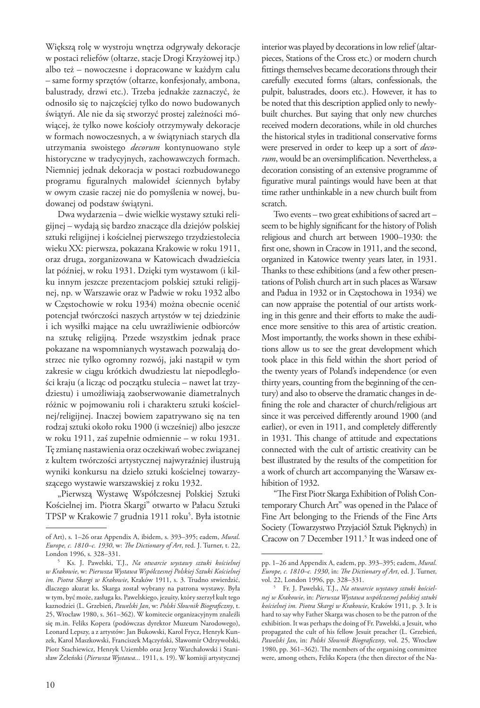Większą rolę w wystroju wnętrza odgrywały dekoracje w postaci reliefów (ołtarze, stacje Drogi Krzyżowej itp.) albo też – nowoczesne i dopracowane w każdym calu – same formy sprzętów (ołtarze, konfesjonały, ambona, balustrady, drzwi etc.). Trzeba jednakże zaznaczyć, że odnosiło się to najczęściej tylko do nowo budowanych świątyń. Ale nie da się stworzyć prostej zależności mówiącej, że tylko nowe kościoły otrzymywały dekoracje w formach nowoczesnych, a w świątyniach starych dla utrzymania swoistego *decorum* kontynuowano style historyczne w tradycyjnych, zachowawczych formach. Niemniej jednak dekoracja w postaci rozbudowanego programu figuralnych malowideł ściennych byłaby w owym czasie raczej nie do pomyślenia w nowej, budowanej od podstaw świątyni.

Dwa wydarzenia – dwie wielkie wystawy sztuki religijnej – wydają się bardzo znaczące dla dziejów polskiej sztuki religijnej i kościelnej pierwszego trzydziestolecia wieku XX: pierwsza, pokazana Krakowie w roku 1911, oraz druga, zorganizowana w Katowicach dwadzieścia lat później, w roku 1931. Dzięki tym wystawom (i kilku innym jeszcze prezentacjom polskiej sztuki religijnej, np. w Warszawie oraz w Padwie w roku 1932 albo w Częstochowie w roku 1934) można obecnie ocenić potencjał twórczości naszych artystów w tej dziedzinie i ich wysiłki mające na celu uwrażliwienie odbiorców na sztukę religijną. Przede wszystkim jednak prace pokazane na wspomnianych wystawach pozwalają dostrzec nie tylko ogromny rozwój, jaki nastąpił w tym zakresie w ciągu krótkich dwudziestu lat niepodległości kraju (a licząc od początku stulecia – nawet lat trzydziestu) i umożliwiają zaobserwowanie diametralnych różnic w pojmowaniu roli i charakteru sztuki kościelnej/religijnej. Inaczej bowiem zapatrywano się na ten rodzaj sztuki około roku 1900 (i wcześniej) albo jeszcze w roku 1911, zaś zupełnie odmiennie – w roku 1931. Tę zmianę nastawienia oraz oczekiwań wobec związanej z kultem twórczości artystycznej najwyraźniej ilustrują wyniki konkursu na dzieło sztuki kościelnej towarzyszącego wystawie warszawskiej z roku 1932.

"Pierwszą Wystawę Współczesnej Polskiej Sztuki Kościelnej im. Piotra Skargi" otwarto w Pałacu Sztuki TPSP w Krakowie 7 grudnia 1911 roku<sup>5</sup>. Była istotnie

interior was played by decorations in low relief (altarpieces, Stations of the Cross etc.) or modern church fittings themselves became decorations through their carefully executed forms (altars, confessionals, the pulpit, balustrades, doors etc.). However, it has to be noted that this description applied only to newlybuilt churches. But saying that only new churches received modern decorations, while in old churches the historical styles in traditional conservative forms were preserved in order to keep up a sort of *decorum*, would be an oversimplification. Nevertheless, a decoration consisting of an extensive programme of figurative mural paintings would have been at that time rather unthinkable in a new church built from scratch.

Two events – two great exhibitions of sacred art – seem to be highly significant for the history of Polish religious and church art between 1900–1930: the first one, shown in Cracow in 1911, and the second, organized in Katowice twenty years later, in 1931. Thanks to these exhibitions (and a few other presentations of Polish church art in such places as Warsaw and Padua in 1932 or in Częstochowa in 1934) we can now appraise the potential of our artists working in this genre and their efforts to make the audience more sensitive to this area of artistic creation. Most importantly, the works shown in these exhibitions allow us to see the great development which took place in this field within the short period of the twenty years of Poland's independence (or even thirty years, counting from the beginning of the century) and also to observe the dramatic changes in defining the role and character of church/religious art since it was perceived differently around 1900 (and earlier), or even in 1911, and completely differently in 1931. This change of attitude and expectations connected with the cult of artistic creativity can be best illustrated by the results of the competition for a work of church art accompanying the Warsaw exhibition of 1932.

"The First Piotr Skarga Exhibition of Polish Contemporary Church Art" was opened in the Palace of Fine Art belonging to the Friends of the Fine Arts Society (Towarzystwo Przyjaciół Sztuk Pięknych) in Cracow on 7 December 1911.<sup>5</sup> It was indeed one of

of Art), s. 1–26 oraz Appendix A, ibidem, s. 393–395; eadem, *Mural*. *Europe, c. 1810–c. 1930*, w: *The Dictionary of Art*, red. J. Turner, t. 22, London 1996, s. 328–331.

<sup>5</sup> Ks. J. Pawelski, T.J., *Na otwarcie wystawy sztuki kościelnej w Krakowie*, w: *Pierwsza Wystawa Współczesnej Polskiej Sztuki Kościelnej im. Piotra Skargi w Krakowie*, Kraków 1911, s. 3. Trudno stwierdzić, dlaczego akurat ks. Skarga został wybrany na patrona wystawy. Była w tym, być może, zasługa ks. Pawelskiego, jezuity, który szerzył kult tego kaznodziei (L. Grzebień, *Pawelski Jan*, w: *Polski Słownik Biograficzny*, t. 25, Wrocław 1980, s. 361–362). W komitecie organizacyjnym znaleźli się m.in. Feliks Kopera (podówczas dyrektor Muzeum Narodowego), Leonard Lepszy, a z artystów: Jan Bukowski, Karol Frycz, Henryk Kunzek, Karol Maszkowski, Franciszek Mączyński, Sławomir Odrzywolski, Piotr Stachiewicz, Henryk Uziembło oraz Jerzy Warchałowski i Stanisław Żeleński (*Pierwsza Wystawa...* 1911, s. 19). W komisji artystycznej

pp. 1–26 and Appendix A, eadem, pp. 393–395; eadem, *Mural*. *Europe, c. 1810–c. 1930*, in: *The Dictionary of Art*, ed. J. Turner, vol. 22, London 1996, pp. 328–331.

<sup>5</sup> Fr. J. Pawelski, T.J., *Na otwarcie wystawy sztuki kościelnej w Krakowie*, in: *Pierwsza Wystawa współczesnej polskiej sztuki kościelnej im. Piotra Skargi w Krakowie*, Kraków 1911, p. 3. It is hard to say why Father Skarga was chosen to be the patron of the exhibition. It was perhaps the doing of Fr. Pawelski, a Jesuit, who propagated the cult of his fellow Jesuit preacher (L. Grzebień, *Pawelski Jan*, in: *Polski Słownik Biograficzny*, vol. 25, Wrocław 1980, pp. 361–362). The members of the organising committee were, among others, Feliks Kopera (the then director of the Na-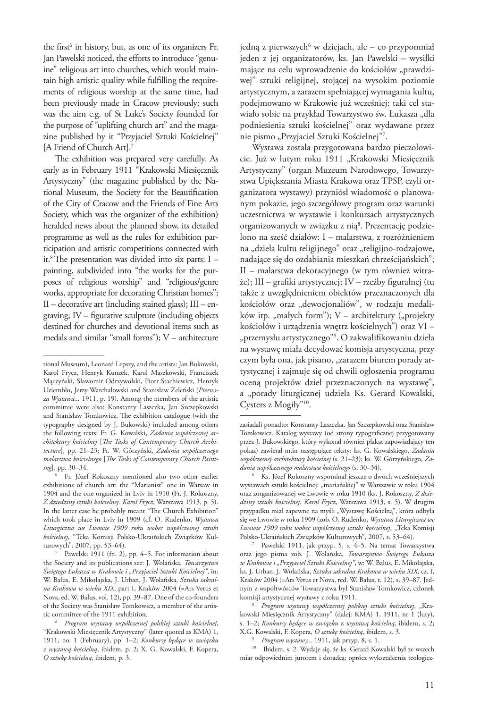the first<sup>6</sup> in history, but, as one of its organizers Fr. Jan Pawelski noticed, the efforts to introduce "genuine" religious art into churches, which would maintain high artistic quality while fulfilling the requirements of religious worship at the same time, had been previously made in Cracow previously; such was the aim e.g. of St Luke's Society founded for the purpose of "uplifting church art" and the magazine published by it "Przyjaciel Sztuki Kościelnej" [A Friend of Church Art].<sup>7</sup>

The exhibition was prepared very carefully. As early as in February 1911 "Krakowski Miesięcznik Artystyczny" (the magazine published by the National Museum, the Society for the Beautification of the City of Cracow and the Friends of Fine Arts Society, which was the organizer of the exhibition) heralded news about the planned show, its detailed programme as well as the rules for exhibition participation and artistic competitions connected with it.<sup>8</sup> The presentation was divided into six parts:  $I$ painting, subdivided into "the works for the purposes of religious worship" and "religious/genre works, appropriate for decorating Christian homes"; II – decorative art (including stained glass); III – engraving; IV – figurative sculpture (including objects destined for churches and devotional items such as medals and similar "small forms"); V – architecture

jedną z pierwszych<sup>6</sup> w dziejach, ale – co przypomniał jeden z jej organizatorów, ks. Jan Pawelski – wysiłki mające na celu wprowadzenie do kościołów "prawdziwej" sztuki religijnej, stojącej na wysokim poziomie artystycznym, a zarazem spełniającej wymagania kultu, podejmowano w Krakowie już wcześniej: taki cel stawiało sobie na przykład Towarzystwo św. Łukasza "dla podniesienia sztuki kościelnej" oraz wydawane przez nie pismo "Przyjaciel Sztuki Kościelnej"<sup>7</sup>.

Wystawa została przygotowana bardzo pieczołowicie. Już w lutym roku 1911 "Krakowski Miesięcznik Artystyczny" (organ Muzeum Narodowego, Towarzystwa Upiększania Miasta Krakowa oraz TPSP, czyli organizatora wystawy) przyniósł wiadomość o planowanym pokazie, jego szczegółowy program oraz warunki uczestnictwa w wystawie i konkursach artystycznych organizowanych w związku z nią8. Prezentację podzielono na sześć działów: I – malarstwa, z rozróżnieniem na "dzieła kultu religijnego" oraz "religijno-rodzajowe, nadające się do ozdabiania mieszkań chrześcijańskich"; II – malarstwa dekoracyjnego (w tym również witraże); III – grafiki artystycznej; IV – rzeźby figuralnej (tu także z uwzględnieniem obiektów przeznaczonych dla kościołów oraz "dewocjonaliów", w rodzaju medalików itp. "małych form");  $V$  – architektury ("projekty kościołów i urządzenia wnętrz kościelnych") oraz VI – "przemysłu artystycznego"<sup>9</sup>. O zakwalifikowaniu dzieła na wystawę miała decydować komisja artystyczna, przy czym była ona, jak pisano, "zarazem biurem porady artystycznej i zajmuje się od chwili ogłoszenia programu oceną projektów dzieł przeznaczonych na wystawę", a "porady liturgicznej udziela Ks. Gerard Kowalski, Cysters z Mogiły"10.

tional Museum), Leonard Lepszy, and the artists: Jan Bukowski, Karol Frycz, Henryk Kunzek, Karol Maszkowski, Franciszek Mączyński, Sławomir Odrzywolski, Piotr Stachiewicz, Henryk Uziembło, Jerzy Warchałowski and Stanisław Żeleński (*Pierwsza Wystawa...* 1911, p. 19). Among the members of the artistic committee were also: Konstanty Laszczka, Jan Szczepkowski and Stanisław Tomkowicz. The exhibition catalogue (with the typography designed by J. Bukowski) included among others the following texts: Fr. G. Kowalski, *Zadania współczesnej architektury kościelnej* [*The Tasks of Contemporary Church Architecture*], pp. 21–23; Fr. W. Górzyński, *Zadania współczesnego malarstwa kościelnego* [*The Tasks of Contemporary Church Painting*], pp. 30–34.

<sup>6</sup> Fr. Józef Rokoszny mentioned also two other earlier exhibitions of church art: the "Marianist" one in Warsaw in 1904 and the one organized in Lviv in 1910 (Fr. J. Rokoszny, *Z dziedziny sztuki kościelnej. Karol Frycz*, Warszawa 1913, p. 5). In the latter case he probably meant "The Church Exhibition" which took place in Lviv in 1909 (cf. O. Rudenko, *Wystawa Liturgiczna we Lwowie 1909 roku wobec współczesnej sztuki kościelnej*, "Teka Komisji Polsko-Ukraińskich Związków Kul-

Pawelski 1911 (fn. 2), pp. 4–5. For information about the Society and its publications see: J. Wolańska, *Towarzystwo Świętego Łukasza w Krakowie i "Przyjaciel Sztuki Kościelnej"*, in: W. Bałus, E. Mikołajska, J. Urban, J. Wolańska, *Sztuka sakralna Krakowa w wieku XIX*, part I, Kraków 2004 (=Ars Vetus et Nova, ed. W. Bałus, vol. 12), pp. 39–87. One of the co-founders of the Society was Stanisław Tomkowicz, a member of the artistic committee of the 1911 exhibition.

<sup>8</sup> *Program wystawy współczesnej polskiej sztuki kościelnej*, "Krakowski Miesięcznik Artystyczny" (later quoted as KMA) 1, 1911, no. 1 (February), pp. 1–2; *Konkursy będące w związku z wystawą kościelną*, ibidem, p. 2; X. G. Kowalski, F. Kopera, *O sztukę kościelną*, ibidem, p. 3.

zasiadali ponadto: Konstanty Laszczka, Jan Szczepkowski oraz Stanisław Tomkowicz. Katalog wystawy (od strony typograficznej przygotowany przez J. Bukowskiego, który wykonał również plakat zapowiadający ten pokaz) zawierał m.in następujące teksty: ks. G. Kowalskiego, *Zadania współczesnej architektury kościelnej* (s. 21–23); ks. W. Górzyńskiego, *Zadania współczesnego malarstwa kościelnego* (s. 30–34).

<sup>6</sup> Ks. Józef Rokoszny wspominał jeszcze o dwóch wcześniejszych wystawach sztuki kościelnej: "mariańskiej" w Warszawie w roku 1904 oraz zorganizowanej we Lwowie w roku 1910 (ks. J. Rokoszny, *Z dziedziny sztuki kościelnej. Karol Frycz*, Warszawa 1913, s. 5). W drugim przypadku miał zapewne na myśli "Wystawę Kościelną", która odbyła się we Lwowie w roku 1909 (zob. O. Rudenko, *Wystawa Liturgiczna we Lwowie 1909 roku wobec współczesnej sztuki kościelnej*, "Teka Komisji

Pawelski 1911, jak przyp. 5, s. 4–5. Na temat Towarzystwa oraz jego pisma zob. J. Wolańska, *Towarzystwo Świętego Łukasza w Krakowie i "Przyjaciel Sztuki Kościelnej"*, w: W. Bałus, E. Mikołajska, ks. J. Urban, J. Wolańska, *Sztuka sakralna Krakowa w wieku XIX*, cz. I, Kraków 2004 (=Ars Vetus et Nova, red. W. Bałus, t. 12), s. 39–87. Jednym z współtwórców Towarzystwa był Stanisław Tomkowicz, członek komisji artystycznej wystawy z roku 1911.<br><sup>8</sup> *Program wystawy współczesnej polskiej sztuki kościelnej*, "Kra-

kowski Miesięcznik Artystyczny" (dalej: KMA) 1, 1911, nr 1 (luty), s. 1–2; *Konkursy będące w związku z wystawą kościelną*, ibidem, s. 2; X.G. Kowalski, F. Kopera, *O sztukę kościelną*, ibidem, s. 3.

<sup>9</sup> *Program wystawy...* 1911, jak przyp. 8, s. 1.

<sup>10</sup> Ibidem, s. 2. Wydaje się, że ks. Gerard Kowalski był ze wszech miar odpowiednim jurorem i doradcą: oprócz wykształcenia teologicz-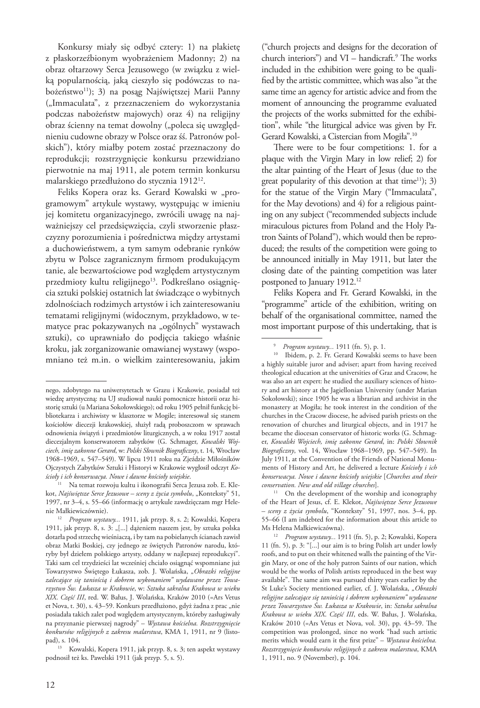Konkursy miały się odbyć cztery: 1) na plakietę z płaskorzeźbionym wyobrażeniem Madonny; 2) na obraz ołtarzowy Serca Jezusowego (w związku z wielką popularnością, jaką cieszyło się podówczas to nabożeństwo<sup>11</sup>); 3) na posąg Najświętszej Marii Panny ("Immaculata", z przeznaczeniem do wykorzystania podczas nabożeństw majowych) oraz 4) na religijny obraz ścienny na temat dowolny ("poleca się uwzględnieniu cudowne obrazy w Polsce oraz śś. Patronów polskich"), który miałby potem zostać przeznaczony do reprodukcji; rozstrzygnięcie konkursu przewidziano pierwotnie na maj 1911, ale potem termin konkursu malarskiego przedłużono do stycznia 191212.

Feliks Kopera oraz ks. Gerard Kowalski w "programowym" artykule wystawy, występując w imieniu jej komitetu organizacyjnego, zwrócili uwagę na najważniejszy cel przedsięwzięcia, czyli stworzenie płaszczyzny porozumienia i pośrednictwa między artystami a duchowieństwem, a tym samym odebranie rynków zbytu w Polsce zagranicznym firmom produkującym tanie, ale bezwartościowe pod względem artystycznym przedmioty kultu religijnego<sup>13</sup>. Podkreślano osiągnięcia sztuki polskiej ostatnich lat świadczące o wybitnych zdolnościach rodzimych artystów i ich zainteresowaniu tematami religijnymi (widocznym, przykładowo, w tematyce prac pokazywanych na "ogólnych" wystawach sztuki), co uprawniało do podjęcia takiego właśnie kroku, jak zorganizowanie omawianej wystawy (wspomniano też m.in. o wielkim zainteresowaniu, jakim

pad), s. 104. 13 Kowalski, Kopera 1911, jak przyp. 8, s. 3; ten aspekt wystawy podnosił też ks. Pawelski 1911 (jak przyp. 5, s. 5).

("church projects and designs for the decoration of church interiors") and  $VI$  – handicraft.<sup>9</sup> The works included in the exhibition were going to be qualified by the artistic committee, which was also "at the same time an agency for artistic advice and from the moment of announcing the programme evaluated the projects of the works submitted for the exhibition", while "the liturgical advice was given by Fr. Gerard Kowalski, a Cistercian from Mogiła".10

There were to be four competitions: 1. for a plaque with the Virgin Mary in low relief; 2) for the altar painting of the Heart of Jesus (due to the great popularity of this devotion at that time<sup>11</sup>); 3) for the statue of the Virgin Mary ("Immaculata", for the May devotions) and 4) for a religious painting on any subject ("recommended subjects include miraculous pictures from Poland and the Holy Patron Saints of Poland"), which would then be reproduced; the results of the competition were going to be announced initially in May 1911, but later the closing date of the painting competition was later postponed to January 1912.<sup>12</sup>

Feliks Kopera and Fr. Gerard Kowalski, in the "programme" article of the exhibition, writing on behalf of the organisational committee, named the most important purpose of this undertaking, that is

<sup>12</sup> *Program wystawy...* 1911 (fn. 5), p. 2; Kowalski, Kopera 11 (fn. 5), p. 3: "[...] our aim is to bring Polish art under lowly roofs, and to put on their whitened walls the painting of the Virgin Mary, or one of the holy patron Saints of our nation, which would be the works of Polish artists reproduced in the best way available". The same aim was pursued thirty years earlier by the St Luke's Society mentioned earlier, cf. J. Wolańska, "Obrazki *religijne zalecające się taniością i dobrem wykonaniem" wydawane przez Towarzystwo Św. Łukasza w Krakowie*, in: *Sztuka sakralna Krakowa w wieku XIX*. *Część III*, eds. W. Bałus, J. Wolańska, Kraków 2010 (=Ars Vetus et Nova, vol. 30), pp. 43–59. The competition was prolonged, since no work "had such artistic merits which would earn it the first prize" – *Wystawa kościelna. Rozstrzygnięcie konkursów religijnych z zakresu malarstwa*, KMA 1, 1911, no. 9 (November), p. 104.

nego, zdobytego na uniwersytetach w Grazu i Krakowie, posiadał też wiedzę artystyczną: na UJ studiował nauki pomocnicze historii oraz historię sztuki (u Mariana Sokołowskiego); od roku 1905 pełnił funkcję bibliotekarza i archiwisty w klasztorze w Mogile; interesował się stanem kościołów diecezji krakowskiej, służył radą proboszczom w sprawach odnowienia świątyń i przedmiotów liturgicznych, a w roku 1917 został diecezjalnym konserwatorem zabytków (G. Schmager, *Kowalski Wojciech, imię zakonne Gerard*, w: *Polski Słownik Biograficzny*, t. 14, Wrocław 1968–1969, s. 547–549). W lipcu 1911 roku na Zjeździe Miłośników Ojczystych Zabytków Sztuki i Historyi w Krakowie wygłosił odczyt *Kościoły i ich konserwacya. Nowe i dawne kościoły wiejskie*. 11 Na temat rozwoju kultu i ikonografii Serca Jezusa zob. E. Kle-

kot, Najświętsze Serce Jezusowe – sceny z życia symbolu, "Konteksty" 51, 1997, nr 3–4, s. 55–66 (informację o artykule zawdzięczam mgr Helenie Małkiewiczównie).

<sup>12</sup> *Program wystawy...* 1911, jak przyp. 8, s. 2; Kowalski, Kopera 1911, jak przyp. 8, s. 3: "[...] dążeniem naszem jest, by sztuka polska dotarła pod strzechę wieśniaczą, i by tam na pobielanych ścianach zawisł obraz Matki Boskiej, czy jednego ze świętych Patronów narodu, któryby był dziełem polskiego artysty, oddany w najlepszej reprodukcyi". Taki sam cel trzydzieści lat wcześniej chciało osiągnąć wspomniane już Towarzystwo Świętego Łukasza, zob. J. Wolańska, *"Obrazki religijne zalecające się taniością i dobrem wykonaniem" wydawane przez Towarzystwo Św. Łukasza w Krakowie*, w: *Sztuka sakralna Krakowa w wieku XIX*. *Część III*, red. W. Bałus, J. Wolańska, Kraków 2010 (=Ars Vetus et Nova, t. 30), s. 43-59. Konkurs przedłużono, gdyż żadna z prac "nie posiadała takich zalet pod względem artystycznym, któreby zasługiwały na przyznanie pierwszej nagrody" – *Wystawa kościelna. Rozstrzygnięcie konkursów religijnych z zakresu malarstwa*, KMA 1, 1911, nr 9 (listo-

<sup>9</sup> *Program wystawy...* 1911 (fn. 5), p. 1.

<sup>10</sup> Ibidem, p. 2. Fr. Gerard Kowalski seems to have been a highly suitable juror and adviser; apart from having received theological education at the universities of Graz and Cracow, he was also an art expert: he studied the auxiliary sciences of history and art history at the Jagiellonian University (under Marian Sokołowski); since 1905 he was a librarian and archivist in the monastery at Mogiła; he took interest in the condition of the churches in the Cracow diocese, he advised parish priests on the renovation of churches and liturgical objects, and in 1917 he became the diocesan conservator of historic works (G. Schmager, *Kowalski Wojciech, imię zakonne Gerard*, in: *Polski Słownik Biograficzny*, vol. 14, Wrocław 1968–1969, pp. 547–549). In July 1911, at the Convention of the Friends of National Monuments of History and Art, he delivered a lecture *Kościoły i ich konserwacya. Nowe i dawne kościoły wiejskie* [*Churches and their conservation. New and old village churches*].

<sup>&</sup>lt;sup>11</sup> On the development of the worship and iconography of the Heart of Jesus, cf. E. Klekot, *Najświętsze Serce Jezusowe – sceny z życia symbolu*, "Konteksty" 51, 1997, nos. 3–4, pp. 55–66 (I am indebted for the information about this article to Ms Helena Małkiewiczówna).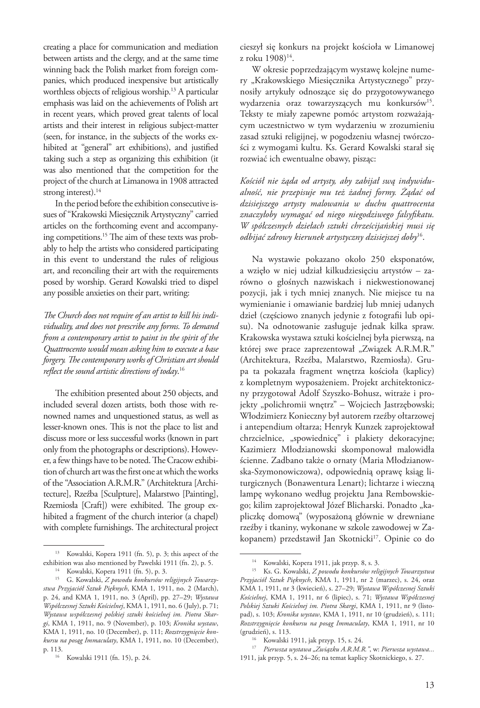creating a place for communication and mediation between artists and the clergy, and at the same time winning back the Polish market from foreign companies, which produced inexpensive but artistically worthless objects of religious worship.<sup>13</sup> A particular emphasis was laid on the achievements of Polish art in recent years, which proved great talents of local artists and their interest in religious subject-matter (seen, for instance, in the subjects of the works exhibited at "general" art exhibitions), and justified taking such a step as organizing this exhibition (it was also mentioned that the competition for the project of the church at Limanowa in 1908 attracted strong interest).<sup>14</sup>

In the period before the exhibition consecutive issues of "Krakowski Miesięcznik Artystyczny" carried articles on the forthcoming event and accompanying competitions.15 The aim of these texts was probably to help the artists who considered participating in this event to understand the rules of religious art, and reconciling their art with the requirements posed by worship. Gerard Kowalski tried to dispel any possible anxieties on their part, writing:

*The Church does not require of an artist to kill his individuality, and does not prescribe any forms. To demand from a contemporary artist to paint in the spirit of the Quattrocento would mean asking him to execute a base forgery. The contemporary works of Christian art should reflect the sound artistic directions of today*. 16

The exhibition presented about 250 objects, and included several dozen artists, both those with renowned names and unquestioned status, as well as lesser-known ones. This is not the place to list and discuss more or less successful works (known in part only from the photographs or descriptions). However, a few things have to be noted. The Cracow exhibition of church art was the first one at which the works of the "Association A.R.M.R." (Architektura [Architecture], Rzeźba [Sculpture], Malarstwo [Painting], Rzemiosła [Craft]) were exhibited. The group exhibited a fragment of the church interior (a chapel) with complete furnishings. The architectural project cieszył się konkurs na projekt kościoła w Limanowej z roku 1908)<sup>14</sup>.

W okresie poprzedzającym wystawę kolejne numery "Krakowskiego Miesięcznika Artystycznego" przynosiły artykuły odnoszące się do przygotowywanego wydarzenia oraz towarzyszących mu konkursów<sup>15</sup>. Teksty te miały zapewne pomóc artystom rozważającym uczestnictwo w tym wydarzeniu w zrozumieniu zasad sztuki religijnej, w pogodzeniu własnej twórczości z wymogami kultu. Ks. Gerard Kowalski starał się rozwiać ich ewentualne obawy, pisząc:

*Kościół nie żąda od artysty, aby zabijał swą indywidualność, nie przepisuje mu też żadnej formy. Żądać od dzisiejszego artysty malowania w duchu quattrocenta znaczyłoby wymagać od niego niegodziwego falsyfikatu. W spółczesnych dziełach sztuki chrześcijańskiej musi się odbijać zdrowy kierunek artystyczny dzisiejszej doby*16.

Na wystawie pokazano około 250 eksponatów, a wzięło w niej udział kilkudziesięciu artystów – zarówno o głośnych nazwiskach i niekwestionowanej pozycji, jak i tych mniej znanych. Nie miejsce tu na wymienianie i omawianie bardziej lub mniej udanych dzieł (częściowo znanych jedynie z fotografii lub opisu). Na odnotowanie zasługuje jednak kilka spraw. Krakowska wystawa sztuki kościelnej była pierwszą, na której swe prace zaprezentował "Związek A.R.M.R." (Architektura, Rzeźba, Malarstwo, Rzemiosła). Grupa ta pokazała fragment wnętrza kościoła (kaplicy) z kompletnym wyposażeniem. Projekt architektoniczny przygotował Adolf Szyszko-Bohusz, witraże i projekty "polichromii wnętrz" – Wojciech Jastrzębowski; Włodzimierz Konieczny był autorem rzeźby ołtarzowej i antependium ołtarza; Henryk Kunzek zaprojektował chrzcielnice, "spowiednicę" i plakiety dekoracyjne; Kazimierz Młodzianowski skomponował malowidła ścienne. Zadbano także o ornaty (Maria Młodzianowska-Szymonowiczowa), odpowiednią oprawę ksiąg liturgicznych (Bonawentura Lenart); lichtarze i wieczną lampę wykonano według projektu Jana Rembowskiego; kilim zaprojektował Józef Blicharski. Ponadto "kapliczkę domową" (wyposażoną głównie w drewniane rzeźby i tkaniny, wykonane w szkole zawodowej w Zakopanem) przedstawił Jan Skotnicki<sup>17</sup>. Opinie co do

<sup>13</sup> Kowalski, Kopera 1911 (fn. 5), p. 3; this aspect of the exhibition was also mentioned by Pawelski 1911 (fn. 2), p. 5.

<sup>14</sup> Kowalski, Kopera 1911 (fn. 5), p. 3.

<sup>15</sup> G. Kowalski, *Z powodu konkursów religijnych Towarzystwa Przyjaciół Sztuk Pięknych*, KMA 1, 1911, no. 2 (March), p. 24, and KMA 1, 1911, no. 3 (April), pp. 27–29; *Wystawa Współczesnej Sztuki Kościelnej*, KMA 1, 1911, no. 6 (July), p. 71; *Wystawa współczesnej polskiej sztuki kościelnej im. Piotra Skargi*, KMA 1, 1911, no. 9 (November), p. 103; *Kronika wystaw*, KMA 1, 1911, no. 10 (December), p. 111; *Rozstrzygnięcie konkursu na posąg Immaculaty*, KMA 1, 1911, no. 10 (December), p. 113.

<sup>16</sup> Kowalski 1911 (fn. 15), p. 24.

<sup>14</sup> Kowalski, Kopera 1911, jak przyp. 8, s. 3.

<sup>15</sup> Ks. G. Kowalski, *Z powodu konkursów religijnych Towarzystwa Przyjaciół Sztuk Pięknych*, KMA 1, 1911, nr 2 (marzec), s. 24, oraz KMA 1, 1911, nr 3 (kwiecień), s. 27–29; *Wystawa Współczesnej Sztuki Kościelnej*, KMA 1, 1911, nr 6 (lipiec), s. 71; *Wystawa Współczesnej Polskiej Sztuki Kościelnej im. Piotra Skargi*, KMA 1, 1911, nr 9 (listopad), s. 103; *Kronika wystaw*, KMA 1, 1911, nr 10 (grudzień), s. 111; *Rozstrzygnięcie konkursu na posąg Immaculaty*, KMA 1, 1911, nr 10 (grudzień), s. 113.

<sup>16</sup> Kowalski 1911, jak przyp. 15, s. 24.

<sup>&</sup>lt;sup>17</sup> Pierwsza wystawa "Związku A.R.M.R.", w: Pierwsza wystawa... 1911, jak przyp. 5, s. 24–26; na temat kaplicy Skotnickiego, s. 27.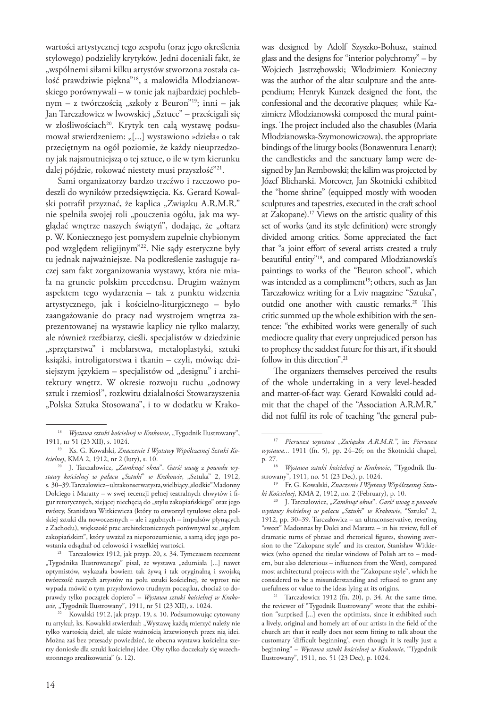wartości artystycznej tego zespołu (oraz jego określenia stylowego) podzieliły krytyków. Jedni doceniali fakt, że "wspólnemi siłami kilku artystów stworzona została całość prawdziwie piękna"<sup>18</sup>, a malowidła Młodzianowskiego porównywali – w tonie jak najbardziej pochlebnym – z twórczością "szkoły z Beuron"<sup>19</sup>; inni – jak Jan Tarczałowicz w lwowskiej "Sztuce" – prześcigali się w złośliwościach<sup>20</sup>. Krytyk ten całą wystawę podsumował stwierdzeniem: "[...] wystawiono »dzieła« o tak przeciętnym na ogół poziomie, że każdy nieuprzedzony jak najsmutniejszą o tej sztuce, o ile w tym kierunku dalej pójdzie, rokować niestety musi przyszłość"21.

Sami organizatorzy bardzo trzeźwo i rzeczowo podeszli do wyników przedsięwzięcia. Ks. Gerard Kowalski potrafił przyznać, że kaplica "Związku A.R.M.R." nie spełniła swojej roli "pouczenia ogółu, jak ma wyglądać wnętrze naszych świątyń", dodając, że "ołtarz p. W. Koniecznego jest pomysłem zupełnie chybionym pod względem religijnym"22. Nie sądy estetyczne były tu jednak najważniejsze. Na podkreślenie zasługuje raczej sam fakt zorganizowania wystawy, która nie miała na gruncie polskim precedensu. Drugim ważnym aspektem tego wydarzenia – tak z punktu widzenia artystycznego, jak i kościelno-liturgicznego – było zaangażowanie do pracy nad wystrojem wnętrza zaprezentowanej na wystawie kaplicy nie tylko malarzy, ale również rzeźbiarzy, cieśli, specjalistów w dziedzinie "sprzętarstwa" i meblarstwa, metaloplastyki, sztuki książki, introligatorstwa i tkanin – czyli, mówiąc dzisiejszym językiem – specjalistów od "designu" i architektury wnętrz. W okresie rozwoju ruchu "odnowy sztuk i rzemiosł", rozkwitu działalności Stowarzyszenia "Polska Sztuka Stosowana", i to w dodatku w Krakowas designed by Adolf Szyszko-Bohusz, stained glass and the designs for "interior polychromy" – by Wojciech Jastrzębowski; Włodzimierz Konieczny was the author of the altar sculpture and the antependium; Henryk Kunzek designed the font, the confessional and the decorative plaques; while Kazimierz Młodzianowski composed the mural paintings. The project included also the chasubles (Maria Młodzianowska-Szymonowiczowa), the appropriate bindings of the liturgy books (Bonawentura Lenart); the candlesticks and the sanctuary lamp were designed by Jan Rembowski; the kilim was projected by Józef Blicharski. Moreover, Jan Skotnicki exhibited the "home shrine" (equipped mostly with wooden sculptures and tapestries, executed in the craft school at Zakopane).17 Views on the artistic quality of this set of works (and its style definition) were strongly divided among critics. Some appreciated the fact that "a joint effort of several artists created a truly beautiful entity"18, and compared Młodzianowski's paintings to works of the "Beuron school", which was intended as a compliment<sup>19</sup>; others, such as Jan Tarczałowicz writing for a Lviv magazine "Sztuka", outdid one another with caustic remarks.<sup>20</sup> This critic summed up the whole exhibition with the sentence: "the exhibited works were generally of such mediocre quality that every unprejudiced person has to prophesy the saddest future for this art, if it should follow in this direction".<sup>21</sup>

The organizers themselves perceived the results of the whole undertaking in a very level-headed and matter-of-fact way. Gerard Kowalski could admit that the chapel of the "Association A.R.M.R." did not fulfil its role of teaching "the general pub-

usefulness or value to the ideas lying at its origins. 21 Tarczałowicz 1912 (fn. 20), p. 34. At the same time, the reviewer of "Tygodnik Ilustrowany" wrote that the exhibition "surprised [...] even the optimists, since it exhibited such a lively, original and homely art of our artists in the field of the church art that it really does not seem fitting to talk about the customary 'difficult beginning', even though it is really just a beginning" – *Wystawa sztuki kościelnej w Krakowie*, "Tygodnik Ilustrowany", 1911, no. 51 (23 Dec), p. 1024.

<sup>&</sup>lt;sup>18</sup> *Wystawa sztuki kościelnej w Krakowie*, "Tygodnik Ilustrowany", 1911, nr 51 (23 XII), s. 1024.

<sup>19</sup> Ks. G. Kowalski, *Znaczenie I Wystawy Współczesnej Sztuki Kościelnej*, KMA 2, 1912, nr 2 (luty), s. 10.

<sup>20</sup> J. Tarczałowicz, "*Zamknąć okna*". *Garść uwag z powodu wystawy kościelnej w pałacu* "*Sztuki*" *w Krakowie*, "Sztuka" 2, 1912, s. 30-39. Tarczałowicz-ultrakonserwatysta, wielbiący "słodkie" Madonny Dolciego i Maratty – w swej recenzji pełnej teatralnych chwytów i figur retorycznych, ziejącej niechęcią do "stylu zakopiańskiego" oraz jego twórcy, Stanisława Witkiewicza (który to otworzył tytułowe okna polskiej sztuki dla nowoczesnych – ale i zgubnych – impulsów płynących z Zachodu), większość prac architektonicznych porównywał ze "stylem zakopiańskim", który uważał za nieporozumienie, a samą ideę jego po-

<sup>&</sup>lt;sup>21</sup> Tarczałowicz 1912, jak przyp. 20, s. 34. Tymczasem recenzent "Tygodnika Ilustrowanego" pisał, że wystawa "zdumiała [...] nawet optymistów, wykazała bowiem tak żywą i tak oryginalną i swojską twórczość naszych artystów na polu sztuki kościelnej, że wprost nie wypada mówić o tym przysłowiowo trudnym początku, chociaż to doprawdy tylko początek dopiero" – *Wystawa sztuki kościelnej w Krakowie*, "Tygodnik Ilustrowany", 1911, nr 51 (23 XII), s. 1024.

<sup>22</sup> Kowalski 1912, jak przyp. 19, s. 10. Podsumowując cytowany tu artykuł, ks. Kowalski stwierdzał: "Wystawę każdą mierzyć należy nie tylko wartością dzieł, ale także ważnością krzewionych przez nią idei. Można zaś bez przesady powiedzieć, że obecna wystawa kościelna szerzy doniosłe dla sztuki kościelnej idee. Oby tylko doczekały się wszechstronnego zrealizowania" (s. 12).

<sup>17</sup> *Pierwsza wystawa "Związku A.R.M.R."*, in: *Pierwsza wystawa...* 1911 (fn. 5), pp. 24–26; on the Skotnicki chapel, p. 27.

<sup>18</sup> *Wystawa sztuki kościelnej w Krakowie*, "Tygodnik Ilustrowany", 1911, no. 51 (23 Dec), p. 1024.

<sup>19</sup> Fr. G. Kowalski, *Znaczenie I Wystawy Współczesnej Sztuki Kościelnej*, KMA 2, 1912, no. 2 (February), p. 10.

<sup>20</sup> J. Tarczałowicz, "*Zamknąć okna*". *Garść uwag z powodu wystawy kościelnej w pałacu* "*Sztuki*" *w Krakowie*, "Sztuka" 2, 1912, pp. 30–39. Tarczałowicz – an ultraconservative, revering "sweet" Madonnas by Dolci and Maratta – in his review, full of dramatic turns of phrase and rhetorical figures, showing aversion to the "Zakopane style" and its creator, Stanisław Witkiewicz (who opened the titular windows of Polish art to – modern, but also deleterious – influences from the West), compared most architectural projects with the "Zakopane style", which he considered to be a misunderstanding and refused to grant any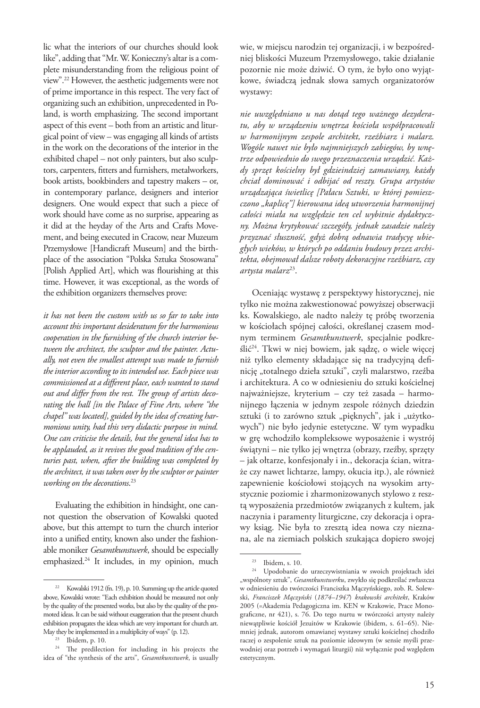lic what the interiors of our churches should look like", adding that "Mr. W. Konieczny's altar is a complete misunderstanding from the religious point of view".22 However, the aesthetic judgements were not of prime importance in this respect. The very fact of organizing such an exhibition, unprecedented in Poland, is worth emphasizing. The second important aspect of this event – both from an artistic and liturgical point of view – was engaging all kinds of artists in the work on the decorations of the interior in the exhibited chapel – not only painters, but also sculptors, carpenters, fitters and furnishers, metalworkers, book artists, bookbinders and tapestry makers – or, in contemporary parlance, designers and interior designers. One would expect that such a piece of work should have come as no surprise, appearing as it did at the heyday of the Arts and Crafts Movement, and being executed in Cracow, near Muzeum Przemysłowe [Handicraft Museum] and the birthplace of the association "Polska Sztuka Stosowana" [Polish Applied Art], which was flourishing at this time. However, it was exceptional, as the words of the exhibition organizers themselves prove:

*it has not been the custom with us so far to take into account this important desideratum for the harmonious cooperation in the furnishing of the church interior between the architect, the sculptor and the painter. Actually, not even the smallest attempt was made to furnish the interior according to its intended use. Each piece was commissioned at a different place, each wanted to stand out and differ from the rest. The group of artists decorating the hall [in the Palace of Fine Arts, where "the chapel" was located], guided by the idea of creating harmonious unity, had this very didactic purpose in mind. One can criticise the details, but the general idea has to be applauded, as it revives the good tradition of the centuries past, when, after the building was completed by the architect, it was taken over by the sculptor or painter working on the decorations*. 23

Evaluating the exhibition in hindsight, one cannot question the observation of Kowalski quoted above, but this attempt to turn the church interior into a unified entity, known also under the fashionable moniker *Gesamtkunstwerk*, should be especially emphasized.24 It includes, in my opinion, much

wie, w miejscu narodzin tej organizacji, i w bezpośredniej bliskości Muzeum Przemysłowego, takie działanie pozornie nie może dziwić. O tym, że było ono wyjątkowe, świadczą jednak słowa samych organizatorów wystawy:

*nie uwzględniano u nas dotąd tego ważnego dezyderatu, aby w urządzeniu wnętrza kościoła współpracowali w harmonijnym zespole architekt, rzeźbiarz i malarz. Wogóle nawet nie było najmniejszych zabiegów, by wnętrze odpowiednio do swego przeznaczenia urządzić. Każdy sprzęt kościelny był gdzieindziej zamawiany, każdy chciał dominować i odbijać od reszty. Grupa artystów urządzająca świetlicę [Pałacu Sztuki, w której pomieszczono "kaplicę"] kierowana ideą utworzenia harmonijnej całości miała na względzie ten cel wybitnie dydaktyczny. Można krytykować szczegóły, jednak zasadzie należy przyznać słuszność, gdyż dobrą odnawia tradycyę ubiegłych wieków, w których po oddaniu budowy przez architekta, obejmował dalsze roboty dekoracyjne rzeźbiarz, czy artysta malarz*23.

Oceniając wystawę z perspektywy historycznej, nie tylko nie można zakwestionować powyższej obserwacji ks. Kowalskiego, ale nadto należy tę próbę tworzenia w kościołach spójnej całości, określanej czasem modnym terminem *Gesamtkunstwerk*, specjalnie podkreślić24. Tkwi w niej bowiem, jak sądzę, o wiele więcej niż tylko elementy składające się na tradycyjną definicję "totalnego dzieła sztuki", czyli malarstwo, rzeźba i architektura. A co w odniesieniu do sztuki kościelnej najważniejsze, kryterium – czy też zasada – harmonijnego łączenia w jednym zespole różnych dziedzin sztuki (i to zarówno sztuk "pięknych", jak i "użytkowych") nie było jedynie estetyczne. W tym wypadku w grę wchodziło kompleksowe wyposażenie i wystrój świątyni – nie tylko jej wnętrza (obrazy, rzeźby, sprzęty – jak ołtarze, konfesjonały i in., dekoracja ścian, witraże czy nawet lichtarze, lampy, okucia itp.), ale również zapewnienie kościołowi stojących na wysokim artystycznie poziomie i zharmonizowanych stylowo z resztą wyposażenia przedmiotów związanych z kultem, jak naczynia i paramenty liturgiczne, czy dekoracja i oprawy ksiąg. Nie była to zresztą idea nowa czy nieznana, ale na ziemiach polskich szukająca dopiero swojej

<sup>22</sup> Kowalski 1912 (fn. 19), p. 10. Summing up the article quoted above, Kowalski wrote: "Each exhibition should be measured not only by the quality of the presented works, but also by the quality of the promoted ideas. It can be said without exaggeration that the present church exhibition propagates the ideas which are very important for church art. May they be implemented in a multiplicity of ways" (p. 12).

Ibidem, p. 10.

<sup>&</sup>lt;sup>24</sup> The predilection for including in his projects the idea of "the synthesis of the arts", *Gesamtkunstwerk*, is usually

Ibidem, s. 10.

<sup>24</sup> Upodobanie do urzeczywistniania w swoich projektach idei "wspólnoty sztuk", Gesamtkunstwerku, zwykło się podkreślać zwłaszcza w odniesieniu do twórczości Franciszka Mączyńskiego, zob. R. Solewski, *Franciszek Mączyński* (*1874–1947*) *krakowski architekt*, Kraków 2005 (=Akademia Pedagogiczna im. KEN w Krakowie, Prace Monograficzne, nr 421), s. 76. Do tego nurtu w twórczości artysty należy niewątpliwie kościół Jezuitów w Krakowie (ibidem, s. 61–65). Niemniej jednak, autorom omawianej wystawy sztuki kościelnej chodziło raczej o zespolenie sztuk na poziomie ideowym (w sensie myśli przewodniej oraz potrzeb i wymagań liturgii) niż wyłącznie pod względem estetycznym.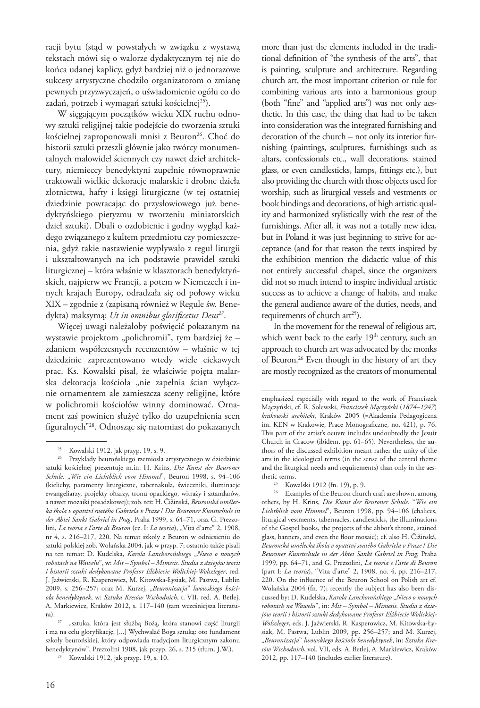racji bytu (stąd w powstałych w związku z wystawą tekstach mówi się o walorze dydaktycznym tej nie do końca udanej kaplicy, gdyż bardziej niż o jednorazowe sukcesy artystyczne chodziło organizatorom o zmianę pewnych przyzwyczajeń, o uświadomienie ogółu co do zadań, potrzeb i wymagań sztuki kościelnej<sup>25</sup>).

W sięgającym początków wieku XIX ruchu odnowy sztuki religijnej takie podejście do tworzenia sztuki kościelnej zaproponowali mnisi z Beuron<sup>26</sup>. Choć do historii sztuki przeszli głównie jako twórcy monumentalnych malowideł ściennych czy nawet dzieł architektury, niemieccy benedyktyni zupełnie równoprawnie traktowali wielkie dekoracje malarskie i drobne dzieła złotnictwa, hafty i księgi liturgiczne (w tej ostatniej dziedzinie powracając do przysłowiowego już benedyktyńskiego pietyzmu w tworzeniu miniatorskich dzieł sztuki). Dbali o ozdobienie i godny wygląd każdego związanego z kultem przedmiotu czy pomieszczenia, gdyż takie nastawienie wypływało z reguł liturgii i ukształtowanych na ich podstawie prawideł sztuki liturgicznej – która właśnie w klasztorach benedyktyńskich, najpierw we Francji, a potem w Niemczech i innych krajach Europy, odradzała się od połowy wieku XIX – zgodnie z (zapisaną również w Regule św. Benedykta) maksymą: *Ut in omnibus glorificetur Deus27*.

Więcej uwagi należałoby poświęcić pokazanym na wystawie projektom "polichromii", tym bardziej że – zdaniem współczesnych recenzentów – właśnie w tej dziedzinie zaprezentowano wtedy wiele ciekawych prac. Ks. Kowalski pisał, że właściwie pojęta malarska dekoracja kościoła "nie zapełnia ścian wyłącznie ornamentem ale zamieszcza sceny religijne, które w polichromii kościołów winny dominować. Ornament zaś powinien służyć tylko do uzupełnienia scen figuralnych"28. Odnosząc się natomiast do pokazanych

more than just the elements included in the traditional definition of "the synthesis of the arts", that is painting, sculpture and architecture. Regarding church art, the most important criterion or rule for combining various arts into a harmonious group (both "fine" and "applied arts") was not only aesthetic. In this case, the thing that had to be taken into consideration was the integrated furnishing and decoration of the church – not only its interior furnishing (paintings, sculptures, furnishings such as altars, confessionals etc., wall decorations, stained glass, or even candlesticks, lamps, fittings etc.), but also providing the church with those objects used for worship, such as liturgical vessels and vestments or book bindings and decorations, of high artistic quality and harmonized stylistically with the rest of the furnishings. After all, it was not a totally new idea, but in Poland it was just beginning to strive for acceptance (and for that reason the texts inspired by the exhibition mention the didactic value of this not entirely successful chapel, since the organizers did not so much intend to inspire individual artistic success as to achieve a change of habits, and make the general audience aware of the duties, needs, and requirements of church  $arct25$ ).

In the movement for the renewal of religious art, which went back to the early  $19<sup>th</sup>$  century, such an approach to church art was advocated by the monks of Beuron.<sup>26</sup> Even though in the history of art they are mostly recognized as the creators of monumental

<sup>25</sup> Kowalski 1912 (fn. 19), p. 9.

<sup>25</sup> Kowalski 1912, jak przyp. 19, s. 9.

<sup>26</sup> Przykłady beurońskiego rzemiosła artystycznego w dziedzinie sztuki kościelnej prezentuje m.in. H. Krins, *Die Kunst der Beuroner Schule.* "*Wie ein Lichtblick vom Himmel*", Beuron 1998, s. 94–106 (kielichy, paramenty liturgiczne, tabernakula, świeczniki, iluminacje ewangeliarzy, projekty ołtarzy, tronu opackiego, witraży i sztandarów, a nawet mozaiki posadzkowej); zob. też: H. Čižinská, *Beuronská umělecka škola v opatství svatého Gabriela v Praze* / *Die Beuroner Kunstschule in der Abtei Sankt Gabriel in Prag*, Praha 1999, s. 64–71, oraz G. Prezzolini, *La teoria e l'arte di Beuron* (cz. I: *La teoria*), "Vita d'arte" 2, 1908, nr 4, s. 216–217, 220. Na temat szkoły z Beuron w odniesieniu do sztuki polskiej zob. Wolańska 2004, jak w przyp. 7; ostatnio także pisali na ten temat: D. Kudelska, *Karola Lanckorońskiego* "Nieco o nowych *robotach na Wawelu*", w: *Mit – Symbol – Mimesis. Studia z dziejów teorii i historii sztuki dedykowane Profesor Elżbiecie Wolickiej-Wolszleger*, red. J. Jaźwierski, R. Kasperowicz, M. Kitowska-Łysiak, M. Pastwa, Lublin 2009, s. 256–257; oraz M. Kurzej, "*Beuronizacja*" *lwowskiego kościoła benedyktynek*, w: *Sztuka Kresów Wschodnich*, t. VII, red. A. Betlej, A. Markiewicz, Kraków 2012, s. 117–140 (tam wcześniejsza literatura).

<sup>&</sup>quot;sztuka, która jest służbą Bożą, która stanowi część liturgii i ma na celu gloryfikację. [...] Wychwalać Boga sztuką: oto fundament szkoły beurońskiej, który odpowiada tradycjom liturgicznym zakonu benedyktynów", Prezzolini 1908, jak przyp. 26, s. 215 (tłum. J.W.).

<sup>28</sup> Kowalski 1912, jak przyp. 19, s. 10.

emphasized especially with regard to the work of Franciszek Mączyński, cf. R. Solewski, *Franciszek Mączyński* (*1874–1947*) *krakowski architekt*, Kraków 2005 (=Akademia Pedagogiczna im. KEN w Krakowie, Prace Monograficzne, no. 421), p. 76. This part of the artist's oeuvre includes undoubtedly the Jesuit Church in Cracow (ibidem, pp. 61–65). Nevertheless, the authors of the discussed exhibition meant rather the unity of the arts in the ideological terms (in the sense of the central theme and the liturgical needs and requirements) than only in the aesthetic terms.

<sup>&</sup>lt;sup>26</sup> Examples of the Beuron church craft are shown, among others, by H. Krins, *Die Kunst der Beuroner Schule.* "*Wie ein Lichtblick vom Himmel*", Beuron 1998, pp. 94–106 (chalices, liturgical vestments, tabernacles, candlesticks, the illuminations of the Gospel books, the projects of the abbot's throne, stained glass, banners, and even the floor mosaic); cf. also H. Čižinská, *Beuronská umělecka škola v opatství svatého Gabriela v Praze* / *Die Beuroner Kunstschule in der Abtei Sankt Gabriel in Prag*, Praha 1999, pp. 64–71, and G. Prezzolini, *La teoria e l'arte di Beuron* (part I: *La teoria*), "Vita d'arte" 2, 1908, no. 4, pp. 216–217, 220. On the influence of the Beuron School on Polish art cf. Wolańska 2004 (fn. 7); recently the subject has also been discussed by: D. Kudelska, *Karola Lanckorońskiego* "Nieco o nowych *robotach na Wawelu*", in: *Mit – Symbol – Mimesis. Studia z dziejów teorii i historii sztuki dedykowane Profesor Elżbiecie Wolickiej-Wolszleger*, eds. J. Jaźwierski, R. Kasperowicz, M. Kitowska-Łysiak, M. Pastwa, Lublin 2009, pp. 256–257; and M. Kurzej, "*Beuronizacja*" *lwowskiego kościoła benedyktynek*, in: *Sztuka Kresów Wschodnich*, vol. VII, eds. A. Betlej, A. Markiewicz, Kraków 2012, pp. 117–140 (includes earlier literature).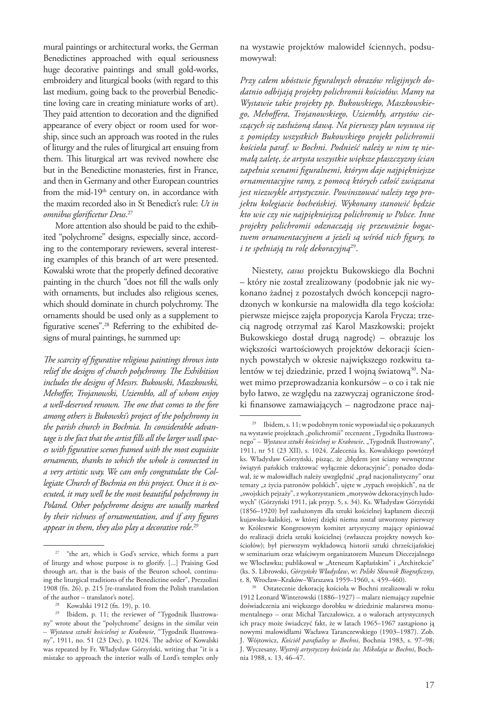mural paintings or architectural works, the German Benedictines approached with equal seriousness huge decorative paintings and small gold-works, embroidery and liturgical books (with regard to this last medium, going back to the proverbial Benedictine loving care in creating miniature works of art). They paid attention to decoration and the dignified appearance of every object or room used for worship, since such an approach was rooted in the rules of liturgy and the rules of liturgical art ensuing from them. This liturgical art was revived nowhere else but in the Benedictine monasteries, first in France, and then in Germany and other European countries from the mid-19<sup>th</sup> century on, in accordance with the maxim recorded also in St Benedict's rule: *Ut in omnibus glorificetur Deus*. 27

More attention also should be paid to the exhibited "polychrome" designs, especially since, according to the contemporary reviewers, several interesting examples of this branch of art were presented. Kowalski wrote that the properly defined decorative painting in the church "does not fill the walls only with ornaments, but includes also religious scenes, which should dominate in church polychromy. The ornaments should be used only as a supplement to figurative scenes".28 Referring to the exhibited designs of mural paintings, he summed up:

*The scarcity of figurative religious paintings throws into relief the designs of church polychromy. The Exhibition includes the designs of Messrs. Bukowski, Maszkowski, Mehoffer, Trojanowski, Uziembło, all of whom enjoy a well-deserved renown. The one that comes to the fore among others is Bukowski's project of the polychromy in the parish church in Bochnia. Its considerable advantage is the fact that the artist fills all the larger wall spaces with figurative scenes framed with the most exquisite ornaments, thanks to which the whole is connected in a very artistic way. We can only congratulate the Collegiate Church of Bochnia on this project. Once it is executed, it may well be the most beautiful polychromy in Poland. Other polychrome designs are usually marked by their richness of ornamentation, and if any figures appear in them, they also play a decorative role*. 29

na wystawie projektów malowideł ściennych, podsumowywał:

*Przy całem ubóstwie figuralnych obrazów religijnych dodatnio odbijają projekty polichromii kościołów. Mamy na Wystawie takie projekty pp. Bukowskiego, Maszkowskiego, Mehoffera, Trojanowskiego, Uziembły, artystów cieszących się zasłużoną sławą. Na pierwszy plan wysuwa się z pomiędzy wszystkich Bukowskiego projekt polichromii kościoła paraf. w Bochni. Podnieść należy w nim tę niemałą zaletę, że artysta wszystkie większe płaszczyzny ścian zapełnia scenami figuralnemi, którym daje najpiękniejsze ornamentacyjne ramy, z pomocą których całość związana jest niezwykle artystycznie. Powinszować należy tego projektu kolegiacie bocheńskiej. Wykonany stanowić będzie kto wie czy nie najpiękniejszą polichromię w Polsce. Inne projekty polichromii odznaczają się przeważnie bogactwem ornamentacyjnem a jeżeli są wśród nich figury, to i te spełniają tu rolę dekoracyjną*29.

Niestety, *casus* projektu Bukowskiego dla Bochni – który nie został zrealizowany (podobnie jak nie wykonano żadnej z pozostałych dwóch koncepcji nagrodzonych w konkursie na malowidła dla tego kościoła: pierwsze miejsce zajęła propozycja Karola Frycza; trzecią nagrodę otrzymał zaś Karol Maszkowski; projekt Bukowskiego dostał drugą nagrodę) – obrazuje los większości wartościowych projektów dekoracji ściennych powstałych w okresie największego rozkwitu talentów w tej dziedzinie, przed I wojną światową<sup>30</sup>. Nawet mimo przeprowadzania konkursów – o co i tak nie było łatwo, ze względu na zazwyczaj ograniczone środki finansowe zamawiających – nagrodzone prace naj-

<sup>&</sup>lt;sup>27</sup> "the art, which is God's service, which forms a part of liturgy and whose purpose is to glorify. [...] Praising God through art, that is the basis of the Beuron school, continuing the liturgical traditions of the Benedictine order", Prezzolini 1908 (fn. 26), p. 215 [re-translated from the Polish translation of the author – translator's note].

<sup>28</sup> Kowalski 1912 (fn. 19), p. 10.

<sup>&</sup>lt;sup>29</sup> Ibidem, p. 11; the reviewer of "Tygodnik Ilustrowany" wrote about the "polychrome" designs in the similar vein – *Wystawa sztuki kościelnej w Krakowie*, "Tygodnik Ilustrowany", 1911, no. 51 (23 Dec), p. 1024. The advice of Kowalski was repeated by Fr. Władysław Górzyński, writing that "it is a mistake to approach the interior walls of Lord's temples only

<sup>29</sup> Ibidem, s. 11; w podobnym tonie wypowiadał się o pokazanych na wystawie projektach "polichromii" recenzent "Tygodnika Ilustrowanego" – *Wystawa sztuki kościelnej w Krakowie*, "Tygodnik Ilustrowany", 1911, nr 51 (23 XII), s. 1024. Zalecenia ks. Kowalskiego powtórzył ks. Władysław Górzyński, pisząc, że "błędem jest ściany wewnętrzne świątyń pańskich traktować wyłącznie dekoracyjnie"; ponadto dodawał, że w malowidłach należy uwzględnić "prąd nacjonalistyczny" oraz tematy "z życia patronów polskich", ujęte w "typach swojskich", na tle "swojskich pejzaży", z wykorzystaniem "motywów dekoracyjnych ludowych" (Górzyński 1911, jak przyp. 5, s. 34). Ks. Władysław Górzyński (1856–1920) był zasłużonym dla sztuki kościelnej kapłanem diecezji kujawsko-kaliskiej, w której dzięki niemu został utworzony pierwszy w Królestwie Kongresowym komitet artystyczny mający opiniować do realizacji dzieła sztuki kościelnej (zwłaszcza projekty nowych kościołów); był pierwszym wykładowcą historii sztuki chrześcijańskiej w seminarium oraz właściwym organizatorem Muzeum Diecezjalnego we Włocławku; publikował w "Ateneum Kapłańskim" i "Architekcie" (ks. S. Librowski, *Górzyński Władysław*, w: *Polski Słownik Biograficzny*, t. 8, Wrocław–Kraków–Warszawa 1959–1960, s. 459–460).

<sup>30</sup> Ostatecznie dekorację kościoła w Bochni zrealizowali w roku 1912 Leonard Winterowski (1886–1927) – malarz niemający zupełnie doświadczenia ani większego dorobku w dziedzinie malarstwa monumentalnego – oraz Michał Tarczałowicz, a o walorach artystycznych ich pracy może świadczyć fakt, że w latach 1965–1967 zastąpiono ją nowymi malowidłami Wacława Taranczewskiego (1903–1987). Zob. J. Wójtowicz, *Kościół parafialny w Bochni*, Bochnia 1983, s. 97–98; J. Wyczesany, *Wystrój artystyczny kościoła św. Mikołaja w Bochni*, Bochnia 1988, s. 13, 46–47.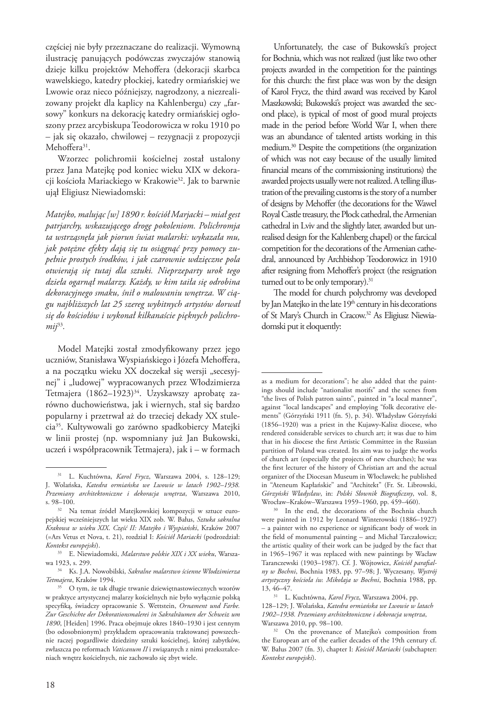częściej nie były przeznaczane do realizacji. Wymowną ilustrację panujących podówczas zwyczajów stanowią dzieje kilku projektów Mehoffera (dekoracji skarbca wawelskiego, katedry płockiej, katedry ormiańskiej we Lwowie oraz nieco późniejszy, nagrodzony, a niezrealizowany projekt dla kaplicy na Kahlenbergu) czy "farsowy" konkurs na dekorację katedry ormiańskiej ogłoszony przez arcybiskupa Teodorowicza w roku 1910 po – jak się okazało, chwilowej – rezygnacji z propozycji Mehoffera<sup>31</sup>.

Wzorzec polichromii kościelnej został ustalony przez Jana Matejkę pod koniec wieku XIX w dekoracji kościoła Mariackiego w Krakowie<sup>32</sup>. Jak to barwnie ujął Eligiusz Niewiadomski:

*Matejko, malując [w] 1890 r. kościół Marjacki – miał gest patrjarchy, wskazującego drogę pokoleniom. Polichromja ta wstrząsnęła jak piorun świat malarski: wykazała mu, jak potężne efekty dają się tu osiągnąć przy pomocy zupełnie prostych środków, i jak czarownie wdzięczne pola otwierają się tutaj dla sztuki. Nieprzeparty urok tego dzieła ogarnął malarzy. Każdy, w kim taiła się odrobina dekoracyjnego smaku, śnił o malowaniu wnętrza. W ciągu najbliższych lat 25 szereg wybitnych artystów dorwał się do kościołów i wykonał kilkanaście pięknych polichromij*<sup>33</sup>*.* 

Model Matejki został zmodyfikowany przez jego uczniów, Stanisława Wyspiańskiego i Józefa Mehoffera, a na początku wieku XX doczekał się wersji "secesyjnej" i "ludowej" wypracowanych przez Włodzimierza Tetmajera (1862–1923)<sup>34</sup>. Uzyskawszy aprobatę zarówno duchowieństwa, jak i wiernych, stał się bardzo popularny i przetrwał aż do trzeciej dekady XX stulecia35. Kultywowali go zarówno spadkobiercy Matejki w linii prostej (np. wspomniany już Jan Bukowski, uczeń i współpracownik Tetmajera), jak i – w formach

Unfortunately, the case of Bukowski's project for Bochnia, which was not realized (just like two other projects awarded in the competition for the paintings for this church: the first place was won by the design of Karol Frycz, the third award was received by Karol Maszkowski; Bukowski's project was awarded the second place), is typical of most of good mural projects made in the period before World War I, when there was an abundance of talented artists working in this medium.30 Despite the competitions (the organization of which was not easy because of the usually limited financial means of the commissioning institutions) the awarded projects usually were not realized. A telling illustration of the prevailing customs is the story of a number of designs by Mehoffer (the decorations for the Wawel Royal Castle treasury, the Płock cathedral, the Armenian cathedral in Lviv and the slightly later, awarded but unrealised design for the Kahlenberg chapel) or the farcical competition for the decorations of the Armenian cathedral, announced by Archbishop Teodorowicz in 1910 after resigning from Mehoffer's project (the resignation turned out to be only temporary).<sup>31</sup>

The model for church polychromy was developed by Jan Matejko in the late 19<sup>th</sup> century in his decorations of St Mary's Church in Cracow.32 As Eligiusz Niewiadomski put it eloquently:

<sup>31</sup> L. Kuchtówna, *Karol Frycz*, Warszawa 2004, s. 128–129; J. Wolańska, *Katedra ormiańska we Lwowie w latach 1902–1938. Przemiany architektoniczne i dekoracja wnętrza*, Warszawa 2010, s. 98–100.

<sup>32</sup> Na temat źródeł Matejkowskiej kompozycji w sztuce europejskiej wcześniejszych lat wieku XIX zob. W. Bałus, *Sztuka sakralna Krakowa w wieku XIX*. *Część II: Matejko i Wyspiański*, Kraków 2007 (=Ars Vetus et Nova, t. 21), rozdział I: *Kościół Mariacki* (podrozdział:

*Kontekst europejski*). 33 E. Niewiadomski, *Malarstwo polskie XIX i XX wieku*, Warszawa 1923, s. 299.

<sup>34</sup> Ks. J.A. Nowobilski, *Sakralne malarstwo ścienne Włodzimierza Tetmajera*, Kraków 1994.

<sup>&</sup>lt;sup>35</sup> O tym, że tak długie trwanie dziewiętnastowiecznych wzorów w praktyce artystycznej malarzy kościelnych nie było wyłącznie polską specyfiką, świadczy opracowanie S. Wettstein, *Ornament und Farbe. Zur Geschichte der Dekorationsmalerei in Sakralräumen der Schweiz um 1890*, [Heiden] 1996. Praca obejmuje okres 1840–1930 i jest cennym (bo odosobnionym) przykładem opracowania traktowanej powszechnie raczej pogardliwie dziedziny sztuki kościelnej, której zabytków, zwłaszcza po reformach *Vaticanum II* i związanych z nimi przekształceniach wnętrz kościelnych, nie zachowało się zbyt wiele.

as a medium for decorations"; he also added that the paintings should include "nationalist motifs" and the scenes from "the lives of Polish patron saints", painted in "a local manner", against "local landscapes" and employing "folk decorative elements" (Górzyński 1911 (fn. 5), p. 34). Władysław Górzyński (1856–1920) was a priest in the Kujawy-Kalisz diocese, who rendered considerable services to church art; it was due to him that in his diocese the first Artistic Committee in the Russian partition of Poland was created. Its aim was to judge the works of church art (especially the projects of new churches); he was the first lecturer of the history of Christian art and the actual organizer of the Diocesan Museum in Włocławek; he published in "Ateneum Kapłańskie" and "Architekt" (Fr. St. Librowski, *Górzyński Władysław*, in: *Polski Słownik Biograficzny*, vol. 8, Wrocław–Kraków–Warszawa 1959–1960, pp. 459–460).

<sup>30</sup> In the end, the decorations of the Bochnia church were painted in 1912 by Leonard Winterowski (1886–1927) – a painter with no experience or significant body of work in the field of monumental painting – and Michał Tarczałowicz; the artistic quality of their work can be judged by the fact that in 1965–1967 it was replaced with new paintings by Wacław Taranczewski (1903–1987). Cf. J. Wójtowicz, *Kościół parafialny w Bochni*, Bochnia 1983, pp. 97–98; J. Wyczesany, *Wystrój artystyczny kościoła św. Mikołaja w Bochni*, Bochnia 1988, pp. 13, 46–47.

<sup>31</sup> L. Kuchtówna, *Karol Frycz*, Warszawa 2004, pp. 128–129; J. Wolańska, *Katedra ormiańska we Lwowie w latach 1902–1938. Przemiany architektoniczne i dekoracja wnętrza*, Warszawa 2010, pp. 98–100.

<sup>&</sup>lt;sup>32</sup> On the provenance of Matejko's composition from the European art of the earlier decades of the 19th century cf. W. Bałus 2007 (fn. 3), chapter I: *Kościół Mariacki* (subchapter: *Kontekst europejski*).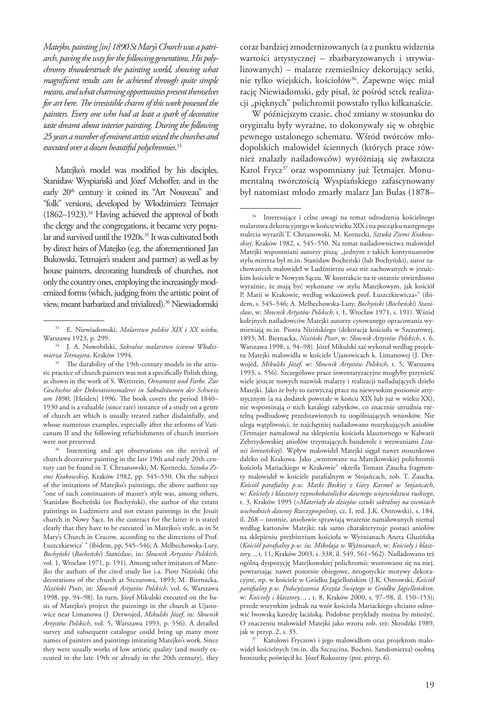*Matejko, painting [in] 1890 St Mary's Church was a patriarch, paving the way for the following generations. His polychromy thunderstruck the painting world, showing what magnificent results can be achieved through quite simple means, and what charming opportunities present themselves for art here. The irresistible charm of this work possessed the painters. Every one who had at least a spark of decorative taste dreamt about interior painting. During the following 25 years a number of eminent artists seized the churches and executed over a dozen beautiful polychromies*. 33

Matejko's model was modified by his disciples, Stanisław Wyspiański and Józef Mehoffer, and in the early 20<sup>th</sup> century it coined its "Art Nouveau" and "folk" versions, developed by Włodzimierz Tetmajer (1862–1923).34 Having achieved the approval of both the clergy and the congregations, it became very popular and survived until the 1920s.<sup>35</sup> It was cultivated both by direct heirs of Matejko (e.g. the aforementioned Jan Bukowski, Tetmajer's student and partner) as well as by house painters, decorating hundreds of churches, not only the country ones, employing the increasingly modernized forms (which, judging from the artistic point of view, meant barbarized and trivialized).<sup>36</sup> Niewiadomski

coraz bardziej zmodernizowanych (a z punktu widzenia wartości artystycznej – zbarbaryzowanych i strywializowanych) – malarze rzemieślnicy dekorujący setki, nie tylko wiejskich, kościołów<sup>36</sup>. Zapewne więc miał rację Niewiadomski, gdy pisał, że pośród setek realizacji "pięknych" polichromii powstało tylko kilkanaście.

W późniejszym czasie, choć zmiany w stosunku do oryginału były wyraźne, to dokonywały się w obrębie pewnego ustalonego schematu. Wśród twórców młodopolskich malowideł ściennych (których prace również znalazły naśladowców) wyróżniają się zwłaszcza Karol Frycz<sup>37</sup> oraz wspomniany już Tetmajer. Monumentalną twórczością Wyspiańskiego zafascynowany był natomiast młodo zmarły malarz Jan Bulas (1878–

Karolowi Fryczowi i jego malowidłom oraz projektom malowideł kościelnych (m.in. dla Szczucina, Bochni, Sandomierza) osobną broszurkę poświęcił ks. Józef Rokoszny (por. przyp. 6).

<sup>33</sup> E. Niewiadomski, *Malarstwo polskie XIX i XX wieku*, Warszawa 1923, p. 299.

<sup>34</sup> J. A. Nowobilski, *Sakralne malarstwo ścienne Włodzimierza Tetmajera*, Kraków 1994.

<sup>&</sup>lt;sup>35</sup> The durability of the 19th-century models in the artistic practice of church painters was not a specifically Polish thing, as shown in the work of S. Wettstein, *Ornament und Farbe. Zur Geschichte der Dekorationsmalerei in Sakralräumen der Schweiz um 1890*, [Heiden] 1996. The book covers the period 1840– 1930 and is a valuable (since rare) instance of a study on a genre of church art which is usually treated rather disdainfully, and whose numerous examples, especially after the reforms of Vaticanum II and the following refurbishments of church interiors were not preserved.

<sup>&</sup>lt;sup>36</sup> Interesting and apt observations on the revival of church decorative painting in the late 19th and early 20th century can be found in T. Chrzanowski, M. Kornecki, *Sztuka Ziemi Krakowskiej*, Kraków 1982, pp. 545–550. On the subject of the imitations of Matejko's paintings, the above authors say "one of such continuators of master's style was, among others, Stanisław Bocheński (or Bochyński), the author of the extant paintings in Ludźmierz and not extant paintings in the Jesuit church in Nowy Sącz. In the contract for the latter it is stated clearly that they have to be executed 'in Matejko's style, as in St Mary's Church in Cracow, according to the directions of Prof. Łuszczkiewicz' " (ibidem, pp. 545–546; A. Melbechowska-Luty, *Bochyński* (*Bocheński*) *Stanisław*, in: *Słownik Artystów Polskich*, vol. 1, Wrocław 1971, p. 191). Among other imitators of Matejko the authors of the cited study list i.a. Piotr Niziński (the decorations of the church at Szczurowa, 1893; M. Biernacka, *Niziński Piotr*, in: *Słownik Artystów Polskich*, vol. 6, Warszawa 1998, pp. 94–98). In turn, Józef Mikulski executed on the basis of Matejko's project the paintings in the church at Ujanowice near Limanowa (J. Derwojed, *Mikulski Józef*, in: *Słownik Artystów Polskich*, vol. 5, Warszawa 1993, p. 556). A detailed survey and subsequent catalogue could bring up many more names of painters and paintings imitating Matejko's work. Since they were usually works of low artistic quality (and mostly executed in the late 19th or already in the 20th century), they

<sup>36</sup> Interesujące i celne uwagi na temat odrodzenia kościelnego malarstwa dekoracyjnego w końcu wieku XIX i na początku następnego stulecia wyrazili T. Chrzanowski, M. Kornecki, *Sztuka Ziemi Krakowskiej*, Kraków 1982, s. 545–550. Na temat naśladownictwa malowideł Matejki wspomniani autorzy piszą: "jednym z takich kontynuatorów stylu mistrza był m.in. Stanisław Bocheński (lub Bochyński), autor zachowanych malowideł w Ludźmierzu oraz nie zachowanych w jezuickim kościele w Nowym Sączu. W kontrakcie na te ostatnie stwierdzono wyraźnie, że mają być wykonane »w stylu Matejkowym, jak kościół P. Marii w Krakowie, według wskazówek prof. Łuszczkiewicza«" (ibidem, s. 545–546; A. Melbechowska-Luty, *Bochyński* (*Bocheński*) *Stanisław*, w: *Słownik Artystów Polskich*, t. 1, Wrocław 1971, s. 191). Wśród kolejnych naśladowców Matejki autorzy cytowanego opracowania wymieniają m.in. Piotra Nizińskiego (dekoracja kościoła w Szczurowej, 1893; M. Biernacka, *Niziński Piotr*, w: *Słownik Artystów Polskich*, t. 6, Warszawa 1998, s. 94–98). Józef Mikulski zaś wykonał według projektu Matejki malowidła w kościele Ujanowicach k. Limanowej (J. Derwojed, *Mikulski Józef*, w: *Słownik Artystów Polskich*, t. 5, Warszawa 1993, s. 556). Szczegółowe prace inwentaryzacyjne mogłyby przynieść wiele jeszcze nowych nazwisk malarzy i realizacji naśladujących dzieło Matejki. Jako że były to zazwyczaj prace na niewysokim poziomie artystycznym (a na dodatek powstałe w końcu XIX lub już w wieku XX), nie wspominają o nich katalogi zabytków, co znacznie utrudnia rzetelną podbudowę przedstawionych tu uogólniających wniosków. Nie ulega wątpliwości, że najchętniej naśladowano muzykujących aniołów (Tetmajer namalował na sklepieniu kościoła klasztornego w Kalwarii Zebrzydowskiej aniołów trzymających banderole z wezwaniami *Litanii loretańskiej*). Wpływ malowideł Matejki sięgał nawet stosunkowo daleko od Krakowa. Jako "wzorowane na Matejkowskiej polichromii kościoła Mariackiego w Krakowie" określa Tomasz Zaucha fragmenty malowideł w kościele parafialnym w Stojańcach, zob. T. Zaucha, *Kościół parafialny p.w. Matki Boskiej z Góry Karmel w Stojańcach*, w: *Kościoły i klasztory rzymskokatolickie dawnego województwa ruskiego*, t. 3, Kraków 1995 (=*Materiały do dziejów sztuki sakralnej na ziemiach wschodnich dawnej Rzeczypospolitej*, cz. I, red. J.K. Ostrowski), s. 184, il. 268 – istotnie, aniołowie sprawiają wrażenie namalowanych niemal według kartonów Matejki; tak samo charakteryzuje postaci aniołów na sklepieniu prezbiterium kościoła w Wyżnianach Aneta Gluzińska (*Kościół parafialny p.w. św. Mikołaja w Wyżnianach*, w: *Kościoły i klasztory...*, t. 11, Kraków 2003, s. 338, il. 549, 561–562). Naśladowano też ogólną dyspozycję Matejkowskiej polichromii; wzorowano się na niej, powtarzając nawet pozornie obiegowe, neogotyckie motywy dekoracyjne, np. w kościele w Gródku Jagiellońskim (J.K. Ostrowski, *Kościół parafialny p.w. Podwyższenia Krzyża Świętego w Gródku Jagiellońskim*, w: *Kościoły i klasztory...*, , t. 8, Kraków 2000, s. 97–98, il. 150–153); przede wszystkim jednak na wzór kościoła Mariackiego chciano odnowić lwowską katedrę łacińską. Podobne przykłady można by mnożyć. O znaczeniu malowideł Matejki jako wzoru zob. też: Skrodzki 1989, jak w przyp. 2, s. 35.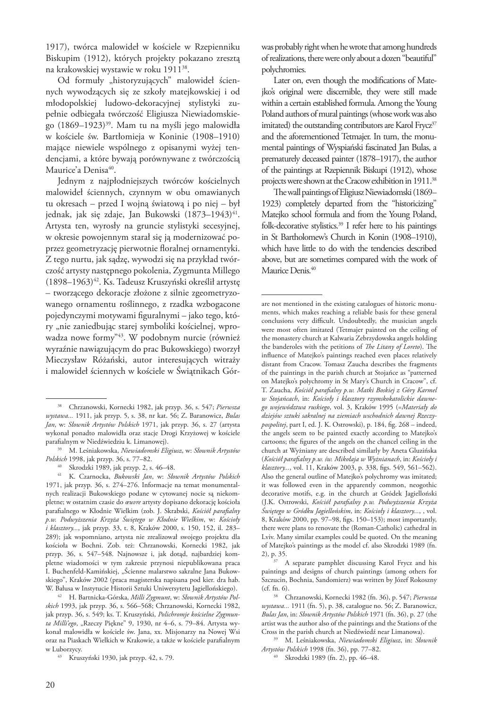1917), twórca malowideł w kościele w Rzepienniku Biskupim (1912), których projekty pokazano zresztą na krakowskiej wystawie w roku 191138.

Od formuły "historyzujących" malowideł ściennych wywodzących się ze szkoły matejkowskiej i od młodopolskiej ludowo-dekoracyjnej stylistyki zupełnie odbiegała twórczość Eligiusza Niewiadomskiego (1869–1923)39. Mam tu na myśli jego malowidła w kościele św. Bartłomieja w Koninie (1908–1910) mające niewiele wspólnego z opisanymi wyżej tendencjami, a które bywają porównywane z twórczością Maurice'a Denisa<sup>40</sup>.

Jednym z najpłodniejszych twórców kościelnych malowideł ściennych, czynnym w obu omawianych tu okresach – przed I wojną światową i po niej – był jednak, jak się zdaje, Jan Bukowski (1873–1943)<sup>41</sup>. Artysta ten, wyrosły na gruncie stylistyki secesyjnej, w okresie powojennym starał się ją modernizować poprzez geometryzację pierwotnie floralnej ornamentyki. Z tego nurtu, jak sądzę, wywodzi się na przykład twórczość artysty następnego pokolenia, Zygmunta Millego (1898–1963)<sup>42</sup>. Ks. Tadeusz Kruszyński określił artystę – tworzącego dekoracje złożone z silnie zgeometryzowanego ornamentu roślinnego, z rzadka wzbogacone pojedynczymi motywami figuralnymi – jako tego, który "nie zaniedbując starej symboliki kościelnej, wprowadza nowe formy"43. W podobnym nurcie (również wyraźnie nawiązującym do prac Bukowskiego) tworzył Mieczysław Różański, autor interesujących witraży i malowideł ściennych w kościele w Świątnikach Gór-

<sup>42</sup> H. Bartnicka-Górska, *Milli Zygmunt*, w: *Słownik Artystów Polskich* 1993, jak przyp. 36, s. 566–568; Chrzanowski, Kornecki 1982, jak przyp. 36, s. 549; ks. T. Kruszyński, *Polichromje kościelne Zygmunta Milli'ego*, "Rzeczy Piękne" 9, 1930, nr 4–6, s. 79–84. Artysta wykonał malowidła w kościele św. Jana, xx. Misjonarzy na Nowej Wsi oraz na Piaskach Wielkich w Krakowie, a także w kościele parafialnym w Luborzycy. 43 Kruszyński 1930, jak przyp. 42, s. 79.

was probably right when he wrote that among hundreds of realizations, there were only about a dozen "beautiful" polychromies.

Later on, even though the modifications of Matejko's original were discernible, they were still made within a certain established formula. Among the Young Poland authors of mural paintings (whose work was also imitated) the outstanding contributors are Karol Frycz<sup>37</sup> and the aforementioned Tetmajer. In turn, the monumental paintings of Wyspiański fascinated Jan Bulas, a prematurely deceased painter (1878–1917), the author of the paintings at Rzepiennik Biskupi (1912), whose projects were shown at the Cracow exhibition in 1911.<sup>38</sup>

The wall paintings of Eligiusz Niewiadomski (1869– 1923) completely departed from the "historicizing" Matejko school formula and from the Young Poland, folk-decorative stylistics.<sup>39</sup> I refer here to his paintings in St Bartholomew's Church in Konin (1908–1910), which have little to do with the tendencies described above, but are sometimes compared with the work of Maurice Denis.<sup>40</sup>

<sup>37</sup> A separate pamphlet discussing Karol Frycz and his paintings and designs of church paintings (among others for Szczucin, Bochnia, Sandomierz) was written by Józef Rokoszny (cf. fn. 6).

<sup>38</sup> Chrzanowski, Kornecki 1982, jak przyp. 36, s. 547; *Pierwsza wystawa...* 1911, jak przyp. 5, s. 38, nr kat. 56; Z. Baranowicz, *Bulas Jan*, w: *Słownik Artystów Polskich* 1971, jak przyp. 36, s. 27 (artysta wykonał ponadto malowidła oraz stacje Drogi Krzyżowej w kościele parafialnym w Niedźwiedziu k. Limanowej).

<sup>39</sup> M. Leśniakowska, *Niewiadomski Eligiusz*, w: *Słownik Artystów Polskich* 1998, jak przyp. 36, s. 77–82.

<sup>40</sup> Skrodzki 1989, jak przyp. 2, s. 46–48.

<sup>41</sup> K. Czarnocka, *Bukowski Jan*, w: *Słownik Artystów Polskich*  1971, jak przyp. 36, s. 274–276. Informacje na temat monumentalnych realizacji Bukowskiego podane w cytowanej nocie są niekompletne; w ostatnim czasie do *œuvre* artysty dopisano dekorację kościoła parafialnego w Kłodnie Wielkim (zob. J. Skrabski, *Kościół parafialny p.w. Podwyższenia Krzyża Świętego w Kłodnie Wielkim*, w: *Kościoły i klasztory...*, jak przyp. 33, t. 8, Kraków 2000, s. 150, 152, il. 283– 289); jak wspomniano, artysta nie zrealizował swojego projektu dla kościoła w Bochni. Zob. też: Chrzanowski, Kornecki 1982, jak przyp. 36, s. 547–548. Najnowsze i, jak dotąd, najbardziej kompletne wiadomości w tym zakresie przynosi niepublikowana praca I. Buchenfeld-Kamińskiej, "Ścienne malarstwo sakralne Jana Bukowskiego", Kraków 2002 (praca magisterska napisana pod kier. dra hab. W. Bałusa w Instytucie Historii Sztuki Uniwersytetu Jagiellońskiego).

are not mentioned in the existing catalogues of historic monuments, which makes reaching a reliable basis for these general conclusions very difficult. Undoubtedly, the musician angels were most often imitated (Tetmajer painted on the ceiling of the monastery church at Kalwaria Zebrzydowska angels holding the banderoles with the petitions of *The Litany of Loreto*). The influence of Matejko's paintings reached even places relatively distant from Cracow. Tomasz Zaucha describes the fragments of the paintings in the parish church at Stojańce as "patterned on Matejko's polychromy in St Mary's Church in Cracow", cf. T. Zaucha, *Kościół parafialny p.w. Matki Boskiej z Góry Karmel w Stojańcach*, in: *Kościoły i klasztory rzymskokatolickie dawnego województwa ruskiego*, vol. 3, Kraków 1995 (=*Materiały do dziejów sztuki sakralnej na ziemiach wschodnich dawnej Rzeczypospolitej*, part I, ed. J. K. Ostrowski), p. 184, fig. 268 – indeed, the angels seem to be painted exactly according to Matejko's cartoons; the figures of the angels on the chancel ceiling in the church at Wyżniany are described similarly by Aneta Gluzińska (*Kościół parafialny p.w. św. Mikołaja w Wyżnianach*, in: *Kościoły i klasztory...*, vol. 11, Kraków 2003, p. 338, figs. 549, 561–562). Also the general outline of Matejko's polychromy was imitated; it was followed even in the apparently common, neogothic decorative motifs, e.g. in the church at Gródek Jagielloński (J.K. Ostrowski, *Kościół parafialny p.w. Podwyższenia Krzyża Świętego w Gródku Jagiellońskim*, in: *Kościoły i klasztory...*, , vol. 8, Kraków 2000, pp. 97–98, figs. 150–153); most importantly, there were plans to renovate the (Roman-Catholic) cathedral in Lviv. Many similar examples could be quoted. On the meaning of Matejko's paintings as the model cf. also Skrodzki 1989 (fn. 2), p. 35.

<sup>38</sup> Chrzanowski, Kornecki 1982 (fn. 36), p. 547; *Pierwsza wystawa...* 1911 (fn. 5), p. 38, catalogue no. 56; Z. Baranowicz, *Bulas Jan*, in: *Słownik Artystów Polskich* 1971 (fn. 36), p. 27 (the artist was the author also of the paintings and the Stations of the Cross in the parish church at Niedźwiedź near Limanowa).

<sup>39</sup> M. Leśniakowska, *Niewiadomski Eligiusz*, in: *Słownik Artystów Polskich* 1998 (fn. 36), pp. 77–82.

<sup>40</sup> Skrodzki 1989 (fn. 2), pp. 46–48.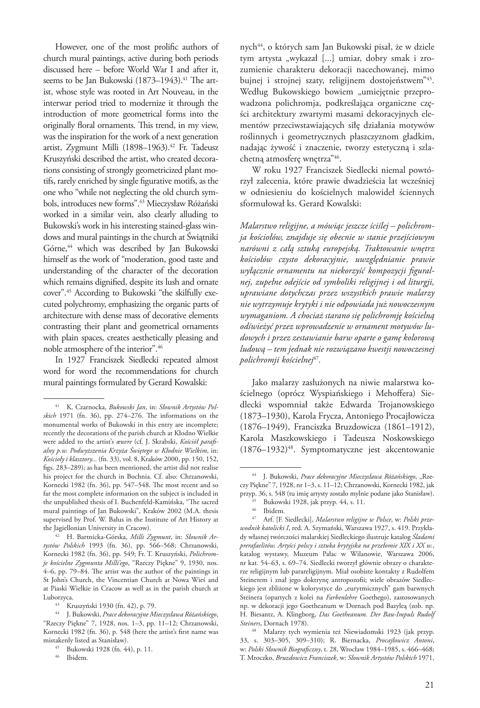However, one of the most prolific authors of church mural paintings, active during both periods discussed here – before World War I and after it, seems to be Jan Bukowski (1873–1943).<sup>41</sup> The artist, whose style was rooted in Art Nouveau, in the interwar period tried to modernize it through the introduction of more geometrical forms into the originally floral ornaments. This trend, in my view, was the inspiration for the work of a next generation artist, Zygmunt Milli (1898-1963).<sup>42</sup> Fr. Tadeusz Kruszyński described the artist, who created decorations consisting of strongly geometricized plant motifs, rarely enriched by single figurative motifs, as the one who "while not neglecting the old church symbols, introduces new forms".43 Mieczysław Różański worked in a similar vein, also clearly alluding to Bukowski's work in his interesting stained-glass windows and mural paintings in the church at Świątniki Górne,<sup>44</sup> which was described by Jan Bukowski himself as the work of "moderation, good taste and understanding of the character of the decoration which remains dignified, despite its lush and ornate cover".45 According to Bukowski "the skilfully executed polychromy, emphasizing the organic parts of architecture with dense mass of decorative elements contrasting their plant and geometrical ornaments with plain spaces, creates aesthetically pleasing and noble atmosphere of the interior".46

In 1927 Franciszek Siedlecki repeated almost word for word the recommendations for church mural paintings formulated by Gerard Kowalski:

<sup>42</sup> H. Bartnicka-Górska, *Milli Zygmunt*, in: *Słownik Artystów Polskich* 1993 (fn. 36), pp. 566–568; Chrzanowski, Kornecki 1982 (fn. 36), pp. 549; Fr. T. Kruszyński, *Polichromje kościelne Zygmunta Milli'ego*, "Rzeczy Piękne" 9, 1930, nos. 4–6, pp. 79–84. The artist was the author of the paintings in St John's Church, the Vincentian Church at Nowa Wieś and at Piaski Wielkie in Cracow as well as in the parish church at Luborzyca.

nych<sup>44</sup>, o których sam Jan Bukowski pisał, że w dziele tym artysta "wykazał [...] umiar, dobry smak i zrozumienie charakteru dekoracji nacechowanej, mimo bujnej i strojnej szaty, religijnem dostojeństwem<sup>"45</sup>. Według Bukowskiego bowiem "umiejętnie przeprowadzona polichromja, podkreślająca organiczne części architektury zwartymi masami dekoracyjnych elementów przeciwstawiających siłę działania motywów roślinnych i geometrycznych płaszczyznom gładkim, nadając żywość i znaczenie, tworzy estetyczną i szlachetną atmosferę wnętrza"46.

W roku 1927 Franciszek Siedlecki niemal powtórzył zalecenia, które prawie dwadzieścia lat wcześniej w odniesieniu do kościelnych malowideł ściennych sformułował ks. Gerard Kowalski:

*Malarstwo religijne, a mówiąc jeszcze ściślej – polichromja kościołów, znajduje się obecnie w stanie przejściowym narówni z całą sztuką europejską. Traktowanie wnętrz kościołów czysto dekoracyjnie, uwzględnianie prawie wyłącznie ornamentu na niekorzyść kompozycji figuralnej, zupełne odejście od symboliki religijnej i od liturgji, uprawiane dotychczas przez wszystkich prawie malarzy nie wytrzymuje krytyki i nie odpowiada już nowoczesnym wymaganiom. A chociaż starano się polichromję kościelną odświeżyć przez wprowadzenie w ornament motywów ludowych i przez zestawianie barw oparte o gamę kolorową ludową – tem jednak nie rozwiązano kwestji nowoczesnej polichromji kościelnej*<sup>47</sup>*.* 

Jako malarzy zasłużonych na niwie malarstwa kościelnego (oprócz Wyspiańskiego i Mehoffera) Siedlecki wspomniał także Edwarda Trojanowskiego (1873–1930), Karola Frycza, Antoniego Procajłowicza (1876–1949), Franciszka Bruzdowicza (1861–1912), Karola Maszkowskiego i Tadeusza Noskowskiego (1876–1932)48. Symptomatyczne jest akcentowanie

<sup>41</sup> K. Czarnocka, *Bukowski Jan*, in: *Słownik Artystów Polskich* 1971 (fn. 36), pp. 274–276. The informations on the monumental works of Bukowski in this entry are incomplete; recently the decorations of the parish church at Kłodno Wielkie were added to the artist's *œuvre* (cf. J. Skrabski, *Kościół parafialny p.w. Podwyższenia Krzyża Świętego w Kłodnie Wielkim*, in: *Kościoły i klasztory...* (fn. 33), vol. 8, Kraków 2000, pp. 150, 152, figs. 283–289); as has been mentioned, the artist did not realise his project for the church in Bochnia. Cf. also: Chrzanowski, Kornecki 1982 (fn. 36), pp. 547–548. The most recent and so far the most complete information on the subject is included in the unpublished thesis of I. Buchenfeld-Kamińska, "The sacred mural paintings of Jan Bukowski", Kraków 2002 (M.A. thesis supervised by Prof. W. Bałus in the Institute of Art History at the Jagiellonian University in Cracow).

<sup>43</sup> Kruszyński 1930 (fn. 42), p. 79.

<sup>44</sup> J. Bukowski, *Prace dekoracyjne Mieczysława Różańskiego*, "Rzeczy Piękne" 7, 1928, nos. 1–3, pp. 11–12; Chrzanowski, Kornecki 1982 (fn. 36), p. 548 (here the artist's first name was mistakenly listed as Stanisław).

<sup>45</sup> Bukowski 1928 (fn. 44), p. 11.

<sup>46</sup> Ibidem*.*

<sup>&</sup>lt;sup>44</sup> J. Bukowski, Prace dekoracyjne Mieczysława Różańskiego, "Rzeczy Piękne" 7, 1928, nr 1–3, s. 11–12; Chrzanowski, Kornecki 1982, jak przyp. 36, s. 548 (tu imię artysty zostało mylnie podane jako Stanisław).<br><sup>45</sup> Bukowski 1928, jak przyp. 44, s. 11.<br><sup>46</sup> Buklam

 $^{46}$  Ibidem.<br> $^{47}$  Arf IE

<sup>47</sup> Arf. [F. Siedlecki], *Malarstwo religijne w Polsce*, w: *Polski przewodnik katolicki I*, red. A. Szymański, Warszawa 1927, s. 419. Przykłady własnej twórczości malarskiej Siedleckiego ilustruje katalog *Śladami prerafaelitów. Artyści polscy i sztuka brytyjska na przełomie XIX i XX w.*, katalog wystawy, Muzeum Pałac w Wilanowie, Warszawa 2006, nr kat. 54–63, s. 69–74. Siedlecki tworzył głównie obrazy o charakterze religijnym lub parareligijnym. Miał osobiste kontakty z Rudolfem Steinerem i znał jego doktrynę antropozofii; wiele obrazów Siedleckiego jest zbliżone w kolorystyce do "eurytmicznych" gam barwnych Steinera (opartych z kolei na *Farbenlehre* Goethego), zastosowanych np. w dekoracji jego Goetheanum w Dornach pod Bazyleą (zob. np. H. Biesantz, A. Klingborg, *Das Goetheanum. Der Bau-Impuls Rudolf Steiners*, Dornach 1978). 48 Malarzy tych wymienia też Niewiadomski 1923 (jak przyp.

<sup>33,</sup> s. 303–305, 309–310); R. Biernacka, *Procajłowicz Antoni*, w: *Polski Słownik Biograficzny*, t. 28, Wrocław 1984–1985, s. 466–468; T. Mroczko, *Bruzdowicz Franciszek*, w: *Słownik Artystów Polskich* 1971,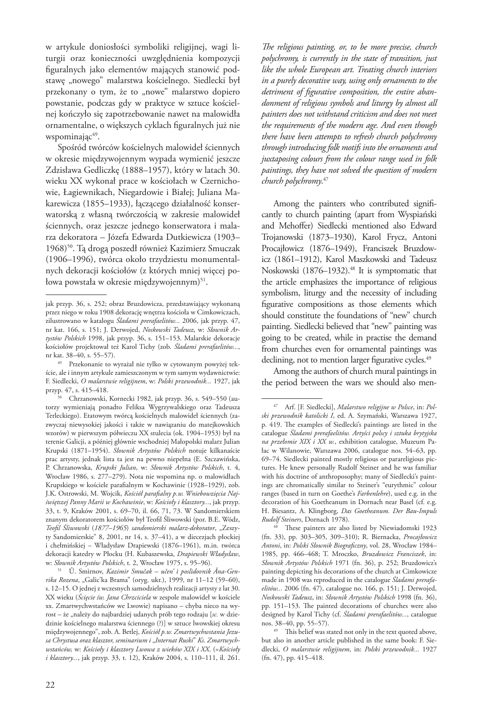w artykule doniosłości symboliki religijnej, wagi liturgii oraz konieczności uwzględnienia kompozycji figuralnych jako elementów mających stanowić podstawę "nowego" malarstwa kościelnego. Siedlecki był przekonany o tym, że to "nowe" malarstwo dopiero powstanie, podczas gdy w praktyce w sztuce kościelnej kończyło się zapotrzebowanie nawet na malowidła ornamentalne, o większych cyklach figuralnych już nie wspominają $c^{49}$ .

Spośród twórców kościelnych malowideł ściennych w okresie międzywojennym wypada wymienić jeszcze Zdzisława Gedliczkę (1888–1957), który w latach 30. wieku XX wykonał prace w kościołach w Czernichowie, Łagiewnikach, Niegardowie i Białej; Juliana Makarewicza (1855–1933), łączącego działalność konserwatorską z własną twórczością w zakresie malowideł ściennych, oraz jeszcze jednego konserwatora i malarza dekoratora – Józefa Edwarda Dutkiewicza (1903– 1968)<sup>50</sup>. Tą drogą poszedł również Kazimierz Smuczak (1906–1996), twórca około trzydziestu monumentalnych dekoracji kościołów (z których mniej więcej połowa powstała w okresie międzywojennym)<sup>51</sup>.

*The religious painting, or, to be more precise, church polychromy, is currently in the state of transition, just like the whole European art. Treating church interiors in a purely decorative way, using only ornaments to the detriment of figurative composition, the entire abandonment of religious symbols and liturgy by almost all painters does not withstand criticism and does not meet the requirements of the modern age. And even though there have been attempts to refresh church polychromy through introducing folk motifs into the ornaments and juxtaposing colours from the colour range used in folk paintings, they have not solved the question of modern church polychromy*. 47

Among the painters who contributed significantly to church painting (apart from Wyspiański and Mehoffer) Siedlecki mentioned also Edward Trojanowski (1873–1930), Karol Frycz, Antoni Procajłowicz (1876–1949), Franciszek Bruzdowicz (1861–1912), Karol Maszkowski and Tadeusz Noskowski (1876–1932).<sup>48</sup> It is symptomatic that the article emphasizes the importance of religious symbolism, liturgy and the necessity of including figurative compositions as those elements which should constitute the foundations of "new" church painting. Siedlecki believed that "new" painting was going to be created, while in practise the demand from churches even for ornamental paintings was declining, not to mention larger figurative cycles.<sup>49</sup>

Among the authors of church mural paintings in the period between the wars we should also men-

jak przyp. 36, s. 252; obraz Bruzdowicza, przedstawiający wykonaną przez niego w roku 1908 dekorację wnętrza kościoła w Cimkowiczach, zilustrowano w katalogu *Śladami prerafaelitów...* 2006, jak przyp. 47, nr kat. 166, s. 151; J. Derwojed, *Noskowski Tadeusz*, w: *Słownik Artystów Polskich* 1998, jak przyp. 36, s. 151–153. Malarskie dekoracje kościołów projektował też Karol Tichy (zob. *Śladami prerafaelitów...*,

nr kat. 38–40, s. 55–57). 49 Przekonanie to wyrażał nie tylko w cytowanym powyżej tekście, ale i innym artykule zamieszczonym w tym samym wydawnictwie: F. Siedlecki, *O malarstwie religijnem*, w: *Polski przewodnik...* 1927, jak przyp. 47, s. 415–418.

<sup>50</sup> Chrzanowski, Kornecki 1982, jak przyp. 36, s. 549–550 (autorzy wymieniają ponadto Feliksa Wygrzywalskiego oraz Tadeusza Terleckiego). Etatowym twórcą kościelnych malowideł ściennych (zazwyczaj niewysokiej jakości i także w nawiązaniu do matejkowskich wzorów) w pierwszym półwieczu XX stulecia (ok. 1904–1953) był na terenie Galicji, a później głównie wschodniej Małopolski malarz Julian Krupski (1871–1954). *Słownik Artystów Polskich* notuje kilkanaście prac artysty, jednak lista ta jest na pewno niepełna (E. Szczawińska, P. Chrzanowska, *Krupski Julian*, w: *Słownik Artystów Polskich*, t. 4, Wrocław 1986, s. 277–279). Nota nie wspomina np. o malowidłach Krupskiego w kościele parafialnym w Kochawinie (1928–1929), zob. J.K. Ostrowski, M. Wojcik, *Kościół parafialny p.w. Wniebowzięcia Najświętszej Panny Marii w Kochawinie*, w: *Kościoły i klasztory...*, jak przyp. 33, t. 9, Kraków 2001, s. 69–70, il. 66, 71, 73. W Sandomierskiem znanym dekoratorem kościołów był Teofil Śliwowski (por. B.E. Wódz, *Teofil Śliwowski* (*1877–1965*) *sandomierski malarz-dekorator*, "Zeszyty Sandomierskie" 8, 2001, nr 14, s. 37–41), a w diecezjach płockiej i chełmińskiej – Władysław Drapiewski (1876–1961), m.in. twórca dekoracji katedry w Płocku (H. Kubaszewska, *Drapiewski Władysław*, w: *Słownik Artystów Polskich*, t. 2, Wrocław 1975, s. 95–96).

<sup>51</sup> Û. Smìrnov, *Kazimir Smučak – učen' ì poslìdovnik Âna-Genrika Rozena*, "Galic'ka Brama" (oryg. ukr.), 1999, nr 11-12 (59-60), s. 12–15. O jednej z wczesnych samodzielnych realizacji artysty z lat 30. XX wieku (*Ścięcie św. Jana Chrzciciela* w zespole malowideł w kościele xx. Zmartwychwstańców we Lwowie) napisano – chyba nieco na wyrost – że "należy do najbardziej udanych prób tego rodzaju [*sc.* w dziedzinie kościelnego malarstwa ściennego (?)] w sztuce lwowskiej okresu międzywojennego", zob. A. Betlej, *Kościół p.w. Zmartwychwstania Jezu*sa Chrystusa oraz klasztor, seminarium i "Internat Ruski" Ks. Zmartwych*wstańców,* w: *Kościoły i klasztory Lwowa z wieków XIX i XX*. (=*Kościoły i klasztory...*, jak przyp. 33, t. 12), Kraków 2004, s. 110–111, il. 261.

<sup>47</sup> Arf. [F. Siedlecki], *Malarstwo religijne w Polsce*, in: *Polski przewodnik katolicki I*, ed. A. Szymański, Warszawa 1927, p. 419. The examples of Siedlecki's paintings are listed in the catalogue *Śladami prerafaelitów. Artyści polscy i sztuka brytyjska na przełomie XIX i XX w.*, exhibition catalogue, Muzeum Pałac w Wilanowie, Warszawa 2006, catalogue nos. 54–63, pp. 69–74. Siedlecki painted mostly religious or parareligious pictures. He knew personally Rudolf Steiner and he was familiar with his doctrine of anthroposophy; many of Siedlecki's paintings are chromatically similar to Steiner's "eurythmic" colour ranges (based in turn on Goethe's *Farbenlehre*), used e.g. in the decoration of his Goetheanum in Dornach near Basel (cf. e.g. H. Biesantz, A. Klingborg, *Das Goetheanum. Der Bau-Impuls Rudolf Steiners*, Dornach 1978). 48 These painters are also listed by Niewiadomski 1923

<sup>(</sup>fn. 33), pp. 303–305, 309–310); R. Biernacka, *Procajłowicz Antoni*, in: *Polski Słownik Biograficzny*, vol. 28, Wrocław 1984– 1985, pp. 466–468; T. Mroczko, *Bruzdowicz Franciszek*, in: *Słownik Artystów Polskich* 1971 (fn. 36), p. 252; Bruzdowicz's painting depicting his decorations of the church at Cimkowicze made in 1908 was reproduced in the catalogue *Śladami prerafaelitów...* 2006 (fn. 47), catalogue no. 166, p. 151; J. Derwojed, *Noskowski Tadeusz*, in: *Słownik Artystów Polskich* 1998 (fn. 36), pp. 151–153. The painted decorations of churches were also designed by Karol Tichy (cf. *Śladami prerafaelitów...*, catalogue nos. 38–40, pp. 55–57).

<sup>49</sup> This belief was stated not only in the text quoted above, but also in another article published in the same book: F. Siedlecki, *O malarstwie religijnem*, in: *Polski przewodnik...* 1927 (fn. 47), pp. 415–418.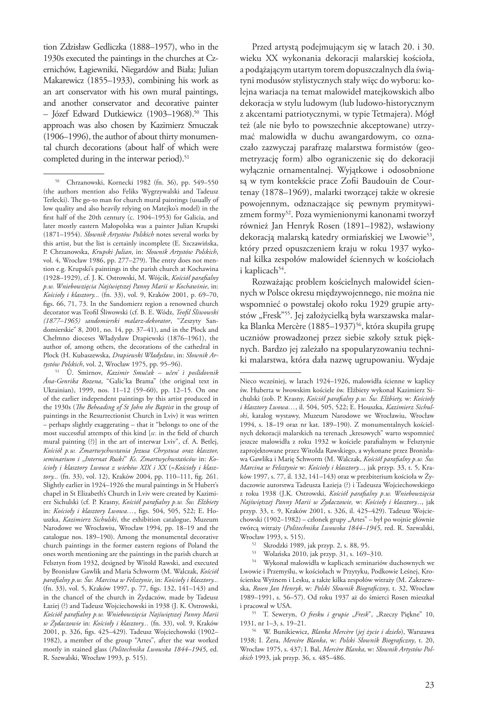tion Zdzisław Gedliczka (1888–1957), who in the 1930s executed the paintings in the churches at Czernichów, Łagiewniki, Niegardów and Biała; Julian Makarewicz (1855–1933), combining his work as an art conservator with his own mural paintings, and another conservator and decorative painter – Józef Edward Dutkiewicz (1903–1968).50 This approach was also chosen by Kazimierz Smuczak (1906–1996), the author of about thirty monumental church decorations (about half of which were completed during in the interwar period).<sup>51</sup>

<sup>51</sup> Û. Smìrnov, *Kazimir Smučak – učen' ì poslìdovnik Âna-Genrika Rozena*, "Galic'ka Brama" (the original text in Ukrainian), 1999, nos. 11–12 (59–60), pp. 12–15. On one of the earlier independent paintings by this artist produced in the 1930s (*The Beheading of St John the Baptist* in the group of paintings in the Resurrectionist Church in Lviv) it was written – perhaps slightly exaggerating – that it "belongs to one of the most successful attempts of this kind [*sc.* in the field of church mural painting (?)] in the art of interwar Lviv", cf. A. Betlej, *Kościół p.w. Zmartwychwstania Jezusa Chrystusa oraz klasztor,*  seminarium i "Internat Ruski" Ks. Zmartwychwstańców in: Ko*ścioły i klasztory Lwowa z wieków XIX i XX* (=*Kościoły i klasztory...* (fn. 33), vol. 12), Kraków 2004, pp. 110–111, fig. 261. Slightly earlier in 1924–1926 the mural paintings in St Hubert's chapel in St Elizabeth's Church in Lviv were created by Kazimierz Sichulski (cf. P. Krasny, *Kościół parafialny p.w. Św. Elżbiety* in: *Kościoły i klasztory Lwowa…*, figs. 504, 505, 522; E. Houszka, *Kazimierz Sichulski*, the exhibition catalogue, Muzeum Narodowe we Wrocławiu, Wrocław 1994, pp. 18–19 and the catalogue nos. 189–190). Among the monumental decorative church paintings in the former eastern regions of Poland the ones worth mentioning are the paintings in the parish church at Felsztyn from 1932, designed by Witold Rawski, and executed by Bronisław Gawlik and Maria Schworm (M. Walczak, *Kościół parafialny p.w. Św. Marcina w Felsztynie*, in: *Kościoły i klasztory...* (fn. 33), vol. 5, Kraków 1997, p. 77, figs. 132, 141–143) and in the chancel of the church in Żydaczów, made by Tadeusz Łaziej (?) and Tadeusz Wojciechowski in 1938 (J. K. Ostrowski, *Kościół parafialny p.w. Wniebowzięcia Najświętszej Panny Marii w Żydaczowie* in: *Kościoły i klasztory...* (fn. 33), vol. 9, Kraków 2001, p. 326, figs. 425–429). Tadeusz Wojciechowski (1902– 1982), a member of the group "Artes", after the war worked mostly in stained glass (*Politechnika Lwowska 1844–1945*, ed. R. Szewalski, Wrocław 1993, p. 515).

Przed artystą podejmującym się w latach 20. i 30. wieku XX wykonania dekoracji malarskiej kościoła, a podążającym utartym torem dopuszczalnych dla świątyni modusów stylistycznych stały więc do wyboru: kolejna wariacja na temat malowideł matejkowskich albo dekoracja w stylu ludowym (lub ludowo-historycznym z akcentami patriotycznymi, w typie Tetmajera). Mógł też (ale nie było to powszechnie akceptowane) utrzymać malowidła w duchu awangardowym, co oznaczało zazwyczaj parafrazę malarstwa formistów (geometryzację form) albo ograniczenie się do dekoracji wyłącznie ornamentalnej. Wyjątkowe i odosobnione są w tym kontekście prace Zofii Baudouin de Courtenay (1878–1969), malarki tworzącej także w okresie powojennym, odznaczające się pewnym prymitywizmem formy52. Poza wymienionymi kanonami tworzył również Jan Henryk Rosen (1891–1982), wsławiony dekoracją malarską katedry ormiańskiej we Lwowie<sup>53</sup>, który przed opuszczeniem kraju w roku 1937 wykonał kilka zespołów malowideł ściennych w kościołach i kaplicach<sup>54</sup>.

Rozważając problem kościelnych malowideł ściennych w Polsce okresu międzywojennego, nie można nie wspomnieć o powstałej około roku 1929 grupie artystów "Fresk"<sup>55</sup>. Jej założycielką była warszawska malarka Blanka Mercère (1885–1937)<sup>56</sup>, która skupiła grupę uczniów prowadzonej przez siebie szkoły sztuk pięknych. Bardzo jej zależało na spopularyzowaniu techniki malarstwa, która dała nazwę ugrupowaniu. Wydaje

55 T. Seweryn, *O fresku i grupie "Fresk*", "Rzeczy Piękne" 10, 1931, nr 1–3, s. 19–21.

<sup>50</sup> Chrzanowski, Kornecki 1982 (fn. 36), pp. 549–550 (the authors mention also Feliks Wygrzywalski and Tadeusz Terlecki). The go-to man for church mural paintings (usually of low quality and also heavily relying on Matejko's model) in the first half of the 20th century (c. 1904–1953) for Galicia, and later mostly eastern Małopolska was a painter Julian Krupski (1871–1954). *Słownik Artystów Polskich* notes several works by this artist, but the list is certainly incomplete (E. Szczawińska, P. Chrzanowska, *Krupski Julian*, in: *Słownik Artystów Polskich*, vol. 4, Wrocław 1986, pp. 277–279). The entry does not mention e.g. Krupski's paintings in the parish church at Kochawina (1928–1929), cf. J. K. Ostrowski, M. Wójcik, *Kościół parafialny p.w. Wniebowzięcia Najświętszej Panny Marii w Kochawinie*, in: *Kościoły i klasztory...* (fn. 33), vol. 9, Kraków 2001, p. 69–70, figs. 66, 71, 73. In the Sandomierz region a renowned church decorator was Teofil Śliwowski (cf. B. E. Wódz, *Teofil Śliwowski (1877–1965) sandomierski malarz-dekorator*, "Zeszyty Sandomierskie" 8, 2001, no. 14, pp. 37–41), and in the Płock and Chełmno dioceses Władysław Drapiewski (1876–1961), the author of, among others, the decorations of the cathedral in Płock (H. Kubaszewska, *Drapiewski Władysław*, in: *Słownik Artystów Polskich*, vol. 2, Wrocław 1975, pp. 95–96).

Nieco wcześniej, w latach 1924–1926, malowidła ścienne w kaplicy św. Huberta w lwowskim kościele św. Elżbiety wykonał Kazimierz Sichulski (zob. P. Krasny, *Kościół parafialny p.w. Św. Elżbiety,* w: *Kościoły i klasztory Lwowa…*, il. 504, 505, 522; E. Houszka, *Kazimierz Sichulski*, katalog wystawy, Muzeum Narodowe we Wrocławiu, Wrocław 1994, s. 18–19 oraz nr kat. 189–190). Z monumentalnych kościelnych dekoracji malarskich na terenach "kresowych" warto wspomnieć jeszcze malowidła z roku 1932 w kościele parafialnym w Felsztynie zaprojektowane przez Witolda Rawskiego, a wykonane przez Bronisława Gawlika i Marię Schworm (M. Walczak, *Kościół parafialny p.w. Św. Marcina w Felsztynie* w: *Kościoły i klasztory...*, jak przyp. 33, t. 5, Kraków 1997, s. 77, il. 132, 141–143) oraz w prezbiterium kościoła w Żydaczowie autorstwa Tadeusza Łazieja (?) i Tadeusza Wojciechowskiego z roku 1938 (J.K. Ostrowski, *Kościół parafialny p.w. Wniebowzięcia Najświętszej Panny Marii w Żydaczowie,* w: *Kościoły i klasztory...*, jak przyp. 33, t. 9, Kraków 2001, s. 326, il. 425–429). Tadeusz Wojciechowski (1902–1982) – członek grupy "Artes" – był po wojnie głównie twórcą witraży (*Politechnika Lwowska 1844–1945*, red. R. Szewalski,

 $\frac{52}{3}$  Skrodzki 1989, jak przyp. 2, s. 88, 95.<br> $\frac{53}{3}$  Welańska 2010, jak przyp. 31 s. 169.

<sup>&</sup>lt;sup>53</sup> Wolańska 2010, jak przyp. 31, s. 169–310.<br><sup>54</sup> Wykonał malowidła w kaplicach seminarió

<sup>54</sup> Wykonał malowidła w kaplicach seminariów duchownych we Lwowie i Przemyślu, w kościołach w Przytyku, Podkowie Leśnej, Krościenku Wyżnem i Lesku, a także kilka zespołów witraży (M. Zakrzewska, *Rosen Jan Henryk*, w: *Polski Słownik Biograficzny*, t. 32, Wrocław 1989–1991, s. 56–57). Od roku 1937 aż do śmierci Rosen mieszkał i pracował w USA.

<sup>56</sup> W. Bunikiewicz, *Blanka Mercère* (*jej życie i dzieło*), Warszawa 1938; I. Żera, *Mercère Blanka*, w: *Polski Słownik Biograficzny*, t. 20, Wrocław 1975, s. 437; I. Bal, *Mercère Blanka,* w: *Słownik Artystów Polskich* 1993, jak przyp. 36, s. 485–486.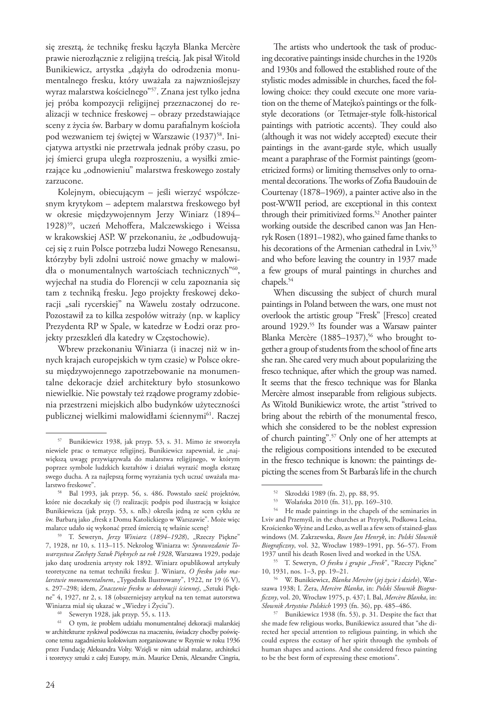się zresztą, że technikę fresku łączyła Blanka Mercère prawie nierozłącznie z religijną treścią. Jak pisał Witold Bunikiewicz, artystka "dążyła do odrodzenia monumentalnego fresku, który uważała za najwznioślejszy wyraz malarstwa kościelnego"57. Znana jest tylko jedna jej próba kompozycji religijnej przeznaczonej do realizacji w technice freskowej – obrazy przedstawiające sceny z życia św. Barbary w domu parafialnym kościoła pod wezwaniem tej świętej w Warszawie (1937)<sup>58</sup>. Inicjatywa artystki nie przetrwała jednak próby czasu, po jej śmierci grupa uległa rozproszeniu, a wysiłki zmierzające ku "odnowieniu" malarstwa freskowego zostały zarzucone.

Kolejnym, obiecującym – jeśli wierzyć współczesnym krytykom – adeptem malarstwa freskowego był w okresie międzywojennym Jerzy Winiarz (1894– 1928)<sup>59</sup>, uczeń Mehoffera, Malczewskiego i Weissa w krakowskiej ASP. W przekonaniu, że "odbudowującej się z ruin Polsce potrzeba ludzi Nowego Renesansu, którzyby byli zdolni ustroić nowe gmachy w malowidła o monumentalnych wartościach technicznych"60, wyjechał na studia do Florencji w celu zapoznania się tam z techniką fresku. Jego projekty freskowej dekoracji "sali rycerskiej" na Wawelu zostały odrzucone. Pozostawił za to kilka zespołów witraży (np. w kaplicy Prezydenta RP w Spale, w katedrze w Łodzi oraz projekty przeszkleń dla katedry w Częstochowie).

Wbrew przekonaniu Winiarza (i inaczej niż w innych krajach europejskich w tym czasie) w Polsce okresu międzywojennego zapotrzebowanie na monumentalne dekoracje dzieł architektury było stosunkowo niewielkie. Nie powstały też rządowe programy zdobienia przestrzeni miejskich albo budynków użyteczności publicznej wielkimi malowidłami ściennymi<sup>61</sup>. Raczej

The artists who undertook the task of producing decorative paintings inside churches in the 1920s and 1930s and followed the established route of the stylistic modes admissible in churches, faced the following choice: they could execute one more variation on the theme of Matejko's paintings or the folkstyle decorations (or Tetmajer-style folk-historical paintings with patriotic accents). They could also (although it was not widely accepted) execute their paintings in the avant-garde style, which usually meant a paraphrase of the Formist paintings (geometricized forms) or limiting themselves only to ornamental decorations. The works of Zofia Baudouin de Courtenay (1878–1969), a painter active also in the post-WWII period, are exceptional in this context through their primitivized forms.<sup>52</sup> Another painter working outside the described canon was Jan Henryk Rosen (1891–1982), who gained fame thanks to his decorations of the Armenian cathedral in Lviv,<sup>53</sup> and who before leaving the country in 1937 made a few groups of mural paintings in churches and chapels.<sup>54</sup>

When discussing the subject of church mural paintings in Poland between the wars, one must not overlook the artistic group "Fresk" [Fresco] created around 1929.<sup>55</sup> Its founder was a Warsaw painter Blanka Mercère (1885-1937),<sup>56</sup> who brought together a group of students from the school of fine arts she ran. She cared very much about popularizing the fresco technique, after which the group was named. It seems that the fresco technique was for Blanka Mercère almost inseparable from religious subjects. As Witold Bunikiewicz wrote, the artist "strived to bring about the rebirth of the monumental fresco, which she considered to be the noblest expression of church painting".57 Only one of her attempts at the religious compositions intended to be executed in the fresco technique is known: the paintings depicting the scenes from St Barbara's life in the church

<sup>57</sup> Bunikiewicz 1938, jak przyp. 53, s. 31. Mimo że stworzyła niewiele prac o tematyce religijnej, Bunikiewicz zapewniał, że "największą uwagę przywiązywała do malarstwa religijnego, w którym poprzez symbole ludzkich kształtów i działań wyrazić mogła ekstazę swego ducha. A za najlepszą formę wyrażania tych uczuć uważała ma-

<sup>&</sup>lt;sup>58</sup> Bal 1993, jak przyp. 56, s. 486. Powstało sześć projektów, które nie doczekały się (?) realizacji; podpis pod ilustracją w książce Bunikiewicza (jak przyp. 53, s. nlb.) określa jedną ze scen cyklu ze św. Barbarą jako "fresk z Domu Katolickiego w Warszawie". Może więc malarce udało się wykonać przed śmiercią tę właśnie scenę?

<sup>59</sup> T. Seweryn, *Jerzy Winiarz (1894–1928*), "Rzeczy Piękne" 7, 1928, nr 10, s. 113–115. Nekrolog Winiarza w: *Sprawozdanie Towarzystwa Zachęty Sztuk Pięknych za rok 1928*, Warszawa 1929, podaje jako datę urodzenia artysty rok 1892. Winiarz opublikował artykuły teoretyczne na temat techniki fresku: J. Winiarz, *O fresku jako malarstwie monumentalnem*, "Tygodnik Ilustrowany", 1922, nr 19 (6 V), s. 297–298; idem, *Znaczenie fresku w dekoracji ściennej*, "Sztuki Piękne" 4, 1927, nr 2, s. 18 (obszerniejszy artykuł na ten temat autorstwa Winiarza miał się ukazać w "Wiedzy i Życiu").  $^{60}$  Seweryn 1928, jak przyp. 55, s. 113.

<sup>61</sup> O tym, że problem udziału monumentalnej dekoracji malarskiej w architekturze zyskiwał podówczas na znaczeniu, świadczy choćby poświęcone temu zagadnieniu kolokwium zorganizowane w Rzymie w roku 1936 przez Fundację Aleksandra Volty. Wzięli w nim udział malarze, architekci i teoretycy sztuki z całej Europy, m.in. Maurice Denis, Alexandre Cingria,

<sup>&</sup>lt;sup>52</sup> Skrodzki 1989 (fn. 2), pp. 88, 95.<br><sup>53</sup> Walańska 2010 (fn. 31), pp. 160

<sup>53</sup> Wolańska 2010 (fn. 31), pp. 169–310.

He made paintings in the chapels of the seminaries in Lviv and Przemyśl, in the churches at Przytyk, Podkowa Leśna, Krościenko Wyżne and Lesko, as well as a few sets of stained-glass windows (M. Zakrzewska, *Rosen Jan Henryk*, in: *Polski Słownik Biograficzny*, vol. 32, Wrocław 1989–1991, pp. 56–57). From 1937 until his death Rosen lived and worked in the USA.

<sup>55</sup> T. Seweryn, O fresku i grupie "Fresk", "Rzeczy Piękne" 10, 1931, nos. 1–3, pp. 19–21.

<sup>56</sup> W. Bunikiewicz, *Blanka Mercère* (*jej życie i dzieło*), Warszawa 1938; I. Żera, *Mercère Blanka*, in: *Polski Słownik Biograficzny*, vol. 20, Wrocław 1975, p. 437; I. Bal, *Mercère Blanka*, in: *Słownik Artystów Polskich* 1993 (fn. 36), pp. 485–486.

<sup>57</sup> Bunikiewicz 1938 (fn. 53), p. 31. Despite the fact that she made few religious works, Bunikiewicz assured that "she directed her special attention to religious painting, in which she could express the ecstasy of her spirit through the symbols of human shapes and actions. And she considered fresco painting to be the best form of expressing these emotions".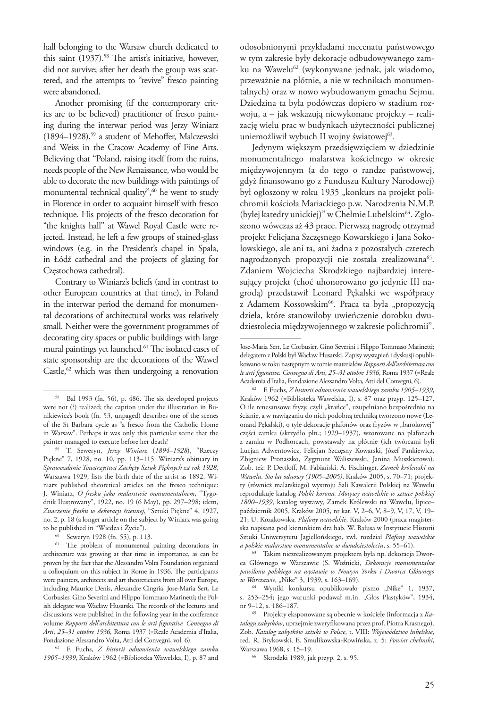hall belonging to the Warsaw church dedicated to this saint  $(1937)$ .<sup>58</sup> The artist's initiative, however, did not survive; after her death the group was scattered, and the attempts to "revive" fresco painting were abandoned.

Another promising (if the contemporary critics are to be believed) practitioner of fresco painting during the interwar period was Jerzy Winiarz (1894–1928),59 a student of Mehoffer, Malczewski and Weiss in the Cracow Academy of Fine Arts. Believing that "Poland, raising itself from the ruins, needs people of the New Renaissance, who would be able to decorate the new buildings with paintings of monumental technical quality",<sup>60</sup> he went to study in Florence in order to acquaint himself with fresco technique. His projects of the fresco decoration for "the knights hall" at Wawel Royal Castle were rejected. Instead, he left a few groups of stained-glass windows (e.g. in the President's chapel in Spała, in Łódź cathedral and the projects of glazing for Częstochowa cathedral).

Contrary to Winiarz's beliefs (and in contrast to other European countries at that time), in Poland in the interwar period the demand for monumental decorations of architectural works was relatively small. Neither were the government programmes of decorating city spaces or public buildings with large mural paintings yet launched.<sup>61</sup> The isolated cases of state sponsorship are the decorations of the Wawel Castle, $62$  which was then undergoing a renovation

<sup>60</sup> Seweryn 1928 (fn. 55), p. 113.

<sup>61</sup> The problem of monumental painting decorations in architecture was growing at that time in importance, as can be proven by the fact that the Alessandro Volta Foundation organized a colloquium on this subject in Rome in 1936. The participants were painters, architects and art theoreticians from all over Europe, including Maurice Denis, Alexandre Cingria, Jose-Maria Sert, Le Corbusier, Gino Severini and Filippo Tommaso Marinetti; the Polish delegate was Wacław Husarski. The records of the lectures and discussions were published in the following year in the conference volume *Rapporti dell'architettura con le arti figurative. Convegno di Arti*, *25–31 ottobre 1936*, Roma 1937 (=Reale Academia d'Italia, Fondazione Alessandro Volta, Atti del Convegni, vol. 6). 62 F. Fuchs, *Z historii odnowienia wawelskiego zamku* 

*1905–1939*, Kraków 1962 (=Biblioteka Wawelska, I), p. 87 and

odosobnionymi przykładami mecenatu państwowego w tym zakresie były dekoracje odbudowywanego zamku na Wawelu<sup>62</sup> (wykonywane jednak, jak wiadomo, przeważnie na płótnie, a nie w technikach monumentalnych) oraz w nowo wybudowanym gmachu Sejmu. Dziedzina ta była podówczas dopiero w stadium rozwoju, a – jak wskazują niewykonane projekty – realizację wielu prac w budynkach użyteczności publicznej uniemożliwił wybuch II wojny światowej<sup>63</sup>.

Jedynym większym przedsięwzięciem w dziedzinie monumentalnego malarstwa kościelnego w okresie międzywojennym (a do tego o randze państwowej, gdyż finansowano go z Funduszu Kultury Narodowej) był ogłoszony w roku 1935 "konkurs na projekt polichromii kościoła Mariackiego p.w. Narodzenia N.M.P. (byłej katedry unickiej)" w Chełmie Lubelskim64. Zgłoszono wówczas aż 43 prace. Pierwszą nagrodę otrzymał projekt Felicjana Szczęsnego Kowarskiego i Jana Sokołowskiego, ale ani ta, ani żadna z pozostałych czterech nagrodzonych propozycji nie została zrealizowana<sup>65</sup>. Zdaniem Wojciecha Skrodzkiego najbardziej interesujący projekt (choć uhonorowano go jedynie III nagrodą) przedstawił Leonard Pękalski we współpracy z Adamem Kossowskim<sup>66</sup>. Praca ta była "propozycją dzieła, które stanowiłoby uwieńczenie dorobku dwudziestolecia międzywojennego w zakresie polichromii".

<sup>63</sup> Takim niezrealizowanym projektem była np. dekoracja Dworca Głównego w Warszawie (S. Woźnicki, *Dekoracje monumentalne pawilonu polskiego na wystawie w Nowym Yorku i Dworca Głównego w Warszawie*, "Nike" 3, 1939, s. 163-169).

<sup>58</sup> Bal 1993 (fn. 56), p. 486. The six developed projects were not (?) realized; the caption under the illustration in Bunikiewicz's book (fn. 53, unpaged) describes one of the scenes of the St Barbara cycle as "a fresco from the Catholic Home in Warsaw". Perhaps it was only this particular scene that the painter managed to execute before her death?

<sup>59</sup> T. Seweryn, *Jerzy Winiarz* (*1894*–*1928*), "Rzeczy Piękne" 7, 1928, no. 10, pp. 113–115. Winiarz's obituary in *Sprawozdanie Towarzystwa Zachęty Sztuk Pięknych za rok 1928*, Warszawa 1929, lists the birth date of the artist as 1892. Winiarz published theoretical articles on the fresco technique: J. Winiarz, *O fresku jako malarstwie monumentalnem*, "Tygodnik Ilustrowany", 1922, no. 19 (6 May), pp. 297–298; idem, *Znaczenie fresku w dekoracji ściennej*, "Sztuki Piękne" 4, 1927, no. 2, p. 18 (a longer article on the subject by Winiarz was going to be published in "Wiedza i Życie").

Jose-Maria Sert, Le Corbusier, Gino Severini i Filippo Tommaso Marinetti; delegatem z Polski był Wacław Husarski. Zapisy wystąpień i dyskusji opublikowano w roku następnym w tomie materiałów *Rapporti dell'architettura con le arti figurative. Convegno di Arti*, *25–31 ottobre 1936*, Roma 1937 (=Reale Academia d'Italia, Fondazione Alessandro Volta, Atti del Convegni, 6).

<sup>62</sup> F. Fuchs, *Z historii odnowienia wawelskiego zamku 1905–1939*, Kraków 1962 (=Biblioteka Wawelska, I), s. 87 oraz przyp. 125–127. O ile renesansowe fryzy, czyli "krańce", uzupełniano bezpośrednio na ścianie, a w nawiązaniu do nich podobną techniką tworzono nowe (Leonard Pękalski), o tyle dekoracje plafonów oraz fryzów w "barokowej" części zamku (skrzydło płn.; 1929–1937), wzorowane na plafonach z zamku w Podhorcach, powstawały na płótnie (ich twórcami byli Lucjan Adwentowicz, Felicjan Szczęsny Kowarski, Józef Pankiewicz, Zbigniew Pronaszko, Zygmunt Waliszewski, Janina Muszkietowa). Zob. też: P. Dettloff, M. Fabiański, A. Fischinger, *Zamek królewski na Wawelu. Sto lat odnowy (1905–2005)*, Kraków 2005, s. 70–71; projekty (również malarskiego) wystroju Sali Kawalerii Polskiej na Wawelu reprodukuje katalog *Polski korona. Motywy wawelskie w sztuce polskiej 1800–1939*, katalog wystawy, Zamek Królewski na Wawelu, lipiec– październik 2005, Kraków 2005, nr kat. V, 2–6, V, 8–9, V, 17, V, 19– 21; U. Kozakowska, *Plafony wawelskie*, Kraków 2000 (praca magisterska napisana pod kierunkiem dra hab. W. Bałusa w Instytucie Historii Sztuki Uniwersytetu Jagiellońskiego, zwł. rozdział *Plafony wawelskie a polskie malarstwo monumentalne w dwudziestoleciu*, s. 55–61).

<sup>&</sup>lt;sup>64</sup> Wyniki konkursu opublikowało pismo "Nike" 1, 1937, s. 253-254; jego warunki podawał m.in. "Głos Plastyków", 1934, nr 9–12, s. 186–187. 65 Projekty eksponowane są obecnie w kościele (informacja z *Ka-*

*talogu zabytków*, uprzejmie zweryfikowana przez prof. Piotra Krasnego). Zob. *Katalog zabytków sztuki w Polsce*, t. VIII: *Województwo lubelskie*, red. R. Brykowski, E. Smulikowska-Rowińska, z. 5: *Powiat chełmski*, Warszawa 1968, s. 15–19. 66 Skrodzki 1989, jak przyp. 2, s. 95.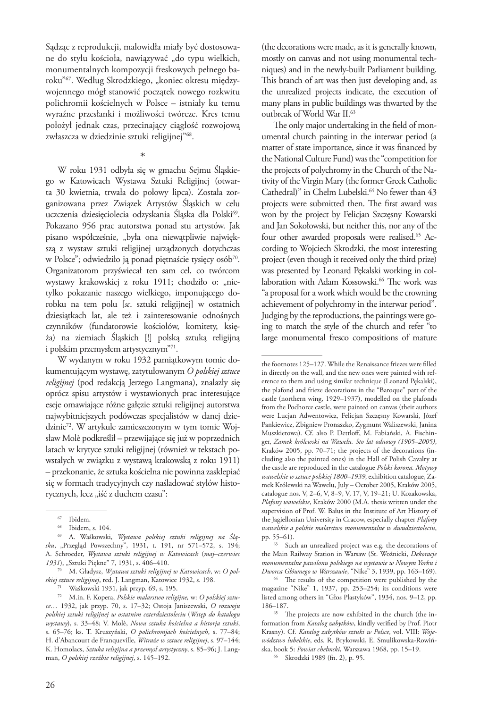Sądząc z reprodukcji, malowidła miały być dostosowane do stylu kościoła, nawiązywać "do typu wielkich, monumentalnych kompozycji freskowych pełnego baroku"<sup>67</sup>. Według Skrodzkiego, "koniec okresu międzywojennego mógł stanowić początek nowego rozkwitu polichromii kościelnych w Polsce – istniały ku temu wyraźne przesłanki i możliwości twórcze. Kres temu położył jednak czas, przecinający ciągłość rozwojową zwłaszcza w dziedzinie sztuki religijnej"68.

\* W roku 1931 odbyła się w gmachu Sejmu Śląskiego w Katowicach Wystawa Sztuki Religijnej (otwarta 30 kwietnia, trwała do połowy lipca). Została zorganizowana przez Związek Artystów Śląskich w celu uczczenia dziesięciolecia odzyskania Śląska dla Polski<sup>69</sup>. Pokazano 956 prac autorstwa ponad stu artystów. Jak pisano współcześnie, "była ona niewątpliwie największą z wystaw sztuki religijnej urządzonych dotychczas w Polsce"; odwiedziło ją ponad piętnaście tysięcy osób<sup>70</sup>. Organizatorom przyświecał ten sam cel, co twórcom wystawy krakowskiej z roku 1911; chodziło o: "nietylko pokazanie naszego wielkiego, imponującego dorobku na tem polu [*sc*. sztuki religijnej] w ostatnich dziesiątkach lat, ale też i zainteresowanie odnośnych czynników (fundatorowie kościołów, komitety, księża) na ziemiach Śląskich [!] polską sztuką religijną i polskim przemysłem artystycznym"71.

W wydanym w roku 1932 pamiątkowym tomie dokumentującym wystawę, zatytułowanym *O polskiej sztuce religijnej* (pod redakcją Jerzego Langmana), znalazły się oprócz spisu artystów i wystawionych prac interesujące eseje omawiające różne gałęzie sztuki religijnej autorstwa najwybitniejszych podówczas specjalistów w danej dziedzinie<sup>72</sup>. W artykule zamieszczonym w tym tomie Wojsław Molè podkreślił – przewijające się już w poprzednich latach w krytyce sztuki religijnej (również w tekstach powstałych w związku z wystawą krakowską z roku 1911) – przekonanie, że sztuka kościelna nie powinna zasklepiać się w formach tradycyjnych czy naśladować stylów historycznych, lecz "iść z duchem czasu":

(the decorations were made, as it is generally known, mostly on canvas and not using monumental techniques) and in the newly-built Parliament building. This branch of art was then just developing and, as the unrealized projects indicate, the execution of many plans in public buildings was thwarted by the outbreak of World War II.<sup>63</sup>

The only major undertaking in the field of monumental church painting in the interwar period (a matter of state importance, since it was financed by the National Culture Fund) was the "competition for the projects of polychromy in the Church of the Nativity of the Virgin Mary (the former Greek Catholic Cathedral)" in Chełm Lubelski.<sup>64</sup> No fewer than 43 projects were submitted then. The first award was won by the project by Felicjan Szczęsny Kowarski and Jan Sokołowski, but neither this, nor any of the four other awarded proposals were realised.<sup>65</sup> According to Wojciech Skrodzki, the most interesting project (even though it received only the third prize) was presented by Leonard Pękalski working in collaboration with Adam Kossowski.<sup>66</sup> The work was "a proposal for a work which would be the crowning achievement of polychromy in the interwar period". Judging by the reproductions, the paintings were going to match the style of the church and refer "to large monumental fresco compositions of mature

<sup>66</sup> Skrodzki 1989 (fn. 2), p. 95.

 $67$  Ibidem.<br> $68$  Ibidem, s. 104.

<sup>69</sup> A. Waśkowski, *Wystawa polskiej sztuki religijnej na Śląsku*, "Przegląd Powszechny", 1931, t. 191, nr 571–572, s. 194; A. Schroeder, *Wystawa sztuki religijnej w Katowicach* (*maj–czerwiec 1931*), "Sztuki Piękne" 7, 1931, s. 406–410.

<sup>70</sup> M. Gładysz, *Wystawa sztuki religijnej w Katowicach*, w: *O polskiej sztuce religijnej*, red. J. Langman, Katowice 1932, s. 198. 71 Waśkowski 1931, jak przyp. 69, s. 195.

<sup>72</sup> M.in. F. Kopera, *Polskie malarstwo religijne,* w: *O polskiej sztuce…* 1932, jak przyp. 70, s. 17–32; Ostoja Janiszewski, *O rozwoju polskiej sztuki religijnej w ostatnim czterdziestoleciu* (*Wstęp do katalogu wystawy*), s. 33–48; V. Molè, *Nowa sztuka kościelna a historja sztuki*, s. 65–76; ks. T. Kruszyński, *O polichromjach kościelnych*, s. 77–84; H. d'Abancourt de Franqueville, *Witraże w sztuce religijnej*, s. 97–144; K. Homolacs, *Sztuka religijna a przemysł artystyczny*, s. 85–96; J. Langman, *O polskiej rzeźbie religijnej*, s. 145–192.

the footnotes 125–127. While the Renaissance friezes were filled in directly on the wall, and the new ones were painted with reference to them and using similar technique (Leonard Pękalski), the plafond and frieze decorations in the "Baroque" part of the castle (northern wing, 1929–1937), modelled on the plafonds from the Podhorce castle, were painted on canvas (their authors were Lucjan Adwentowicz, Felicjan Szczęsny Kowarski, Józef Pankiewicz, Zbigniew Pronaszko, Zygmunt Waliszewski, Janina Muszkietowa). Cf. also P. Dettloff, M. Fabiański, A. Fischinger, *Zamek królewski na Wawelu. Sto lat odnowy (1905–2005)*, Kraków 2005, pp. 70–71; the projects of the decorations (including also the painted ones) in the Hall of Polish Cavalry at the castle are reproduced in the catalogue *Polski korona. Motywy wawelskie w sztuce polskiej 1800–1939*, exhibition catalogue, Zamek Królewski na Wawelu, July – October 2005, Kraków 2005, catalogue nos. V, 2–6, V, 8–9, V, 17, V, 19–21; U. Kozakowska, *Plafony wawelskie*, Kraków 2000 (M.A. thesis written under the supervision of Prof. W. Bałus in the Institute of Art History of the Jagiellonian University in Cracow, especially chapter *Plafony wawelskie a polskie malarstwo monumentalne w dwudziestoleciu*, pp. 55–61).

<sup>63</sup> Such an unrealized project was e.g. the decorations of the Main Railway Station in Warsaw (St. Woźnicki, *Dekoracje monumentalne pawilonu polskiego na wystawie w Nowym Yorku i Dworca Głównego w Warszawie*, "Nike" 3, 1939, pp. 163–169).

<sup>64</sup> The results of the competition were published by the magazine "Nike" 1, 1937, pp. 253–254; its conditions were listed among others in "Głos Plastyków", 1934, nos. 9–12, pp. 186–187.

<sup>65</sup> The projects are now exhibited in the church (the information from *Katalog zabytków*, kindly verified by Prof. Piotr Krasny). Cf. *Katalog zabytków sztuki w Polsce*, vol. VIII: *Województwo lubelskie*, eds. R. Brykowski, E. Smulikowska-Rowińska, book 5: *Powiat chełmski*, Warszawa 1968, pp. 15–19.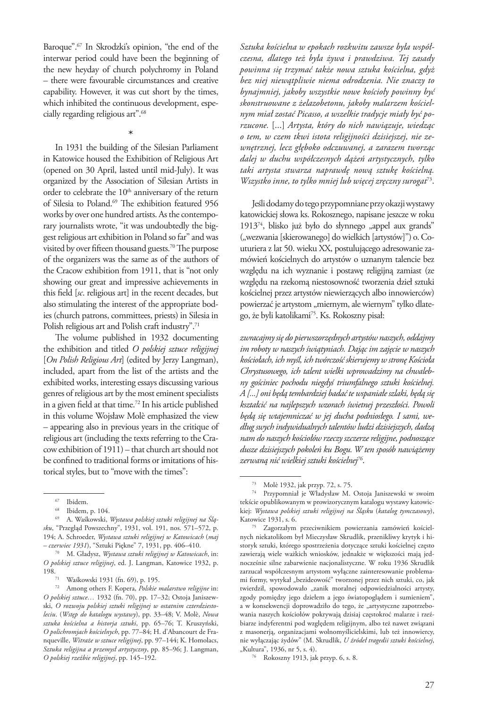Baroque".67 In Skrodzki's opinion, "the end of the interwar period could have been the beginning of the new heyday of church polychromy in Poland – there were favourable circumstances and creative capability. However, it was cut short by the times, which inhibited the continuous development, especially regarding religious art".68

\*

In 1931 the building of the Silesian Parliament in Katowice housed the Exhibition of Religious Art (opened on 30 April, lasted until mid-July). It was organized by the Association of Silesian Artists in order to celebrate the 10<sup>th</sup> anniversary of the return of Silesia to Poland.<sup>69</sup> The exhibition featured 956 works by over one hundred artists. As the contemporary journalists wrote, "it was undoubtedly the biggest religious art exhibition in Poland so far" and was visited by over fifteen thousand guests.<sup>70</sup> The purpose of the organizers was the same as of the authors of the Cracow exhibition from 1911, that is "not only showing our great and impressive achievements in this field [*sc*. religious art] in the recent decades, but also stimulating the interest of the appropriate bodies (church patrons, committees, priests) in Silesia in Polish religious art and Polish craft industry".<sup>71</sup>

The volume published in 1932 documenting the exhibition and titled *O polskiej sztuce religijnej* [*On Polish Religious Art*] (edited by Jerzy Langman), included, apart from the list of the artists and the exhibited works, interesting essays discussing various genres of religious art by the most eminent specialists in a given field at that time.72 In his article published in this volume Wojsław Molè emphasized the view – appearing also in previous years in the critique of religious art (including the texts referring to the Cracow exhibition of 1911) – that church art should not be confined to traditional forms or imitations of historical styles, but to "move with the times":

*Sztuka kościelna w epokach rozkwitu zawsze była współczesna, dlatego też była żywa i prawdziwa. Tej zasady powinna się trzymać także nowa sztuka kościelna, gdyż bez niej niewątpliwie niema odrodzenia. Nie znaczy to bynajmniej, jakoby wszystkie nowe kościoły powinny być skonstruowane z żelazobetonu, jakoby malarzem kościelnym miał zostać Picasso, a wszelkie tradycje miały być porzucone.* [...] *Artysta, który do nich nawiązuje, wiedząc o tem, w czem tkwi istota religijności dzisiejszej, nie zewnętrznej, lecz głęboko odczuwanej, a zarazem tworząc dalej w duchu współczesnych dążeń artystycznych, tylko taki artysta stwarza naprawdę nową sztukę kościelną. Wszystko inne, to tylko mniej lub więcej zręczny surogat*73.

Jeśli dodamy do tego przypomniane przy okazji wystawy katowickiej słowa ks. Rokosznego, napisane jeszcze w roku 1913 $^{74}$ , blisko już było do słynnego "appel aux grands" ("wezwania [skierowanego] do wielkich [artystów]") o. Couturiera z lat 50. wieku XX, postulującego adresowanie zamówień kościelnych do artystów o uznanym talencie bez względu na ich wyznanie i postawę religijną zamiast (ze względu na rzekomą niestosowność tworzenia dzieł sztuki kościelnej przez artystów niewierzących albo innowierców) powierzać je artystom "miernym, ale wiernym" tylko dlatego, że byli katolikami75. Ks. Rokoszny pisał:

*zwracajmy się do pierwszorzędnych artystów naszych, oddajmy im roboty w naszych świątyniach. Dając im zajęcie w naszych kościołach, ich myśl, ich twórczość skierujemy w stronę Kościoła Chrystusowego, ich talent wielki wprowadzimy na chwalebny gościniec pochodu niegdyś triumfalnego sztuki kościelnej. A [...] oni będą tembardziej badać te wspaniałe szlaki, będą się kształcić na najlepszych wzorach świetnej przeszłości. Powoli będą się wtajemniczać w jej ducha podniosłego. I sami, według swych indywidualnych talentów ludzi dzisiejszych, dadzą nam do naszych kościołów rzeczy szczerze religijne, podnoszące dusze dzisiejszych pokoleń ku Bogu. W ten sposób nawiążemy zerwaną nić wielkiej sztuki kościelnej76*.

<sup>%</sup> Ibidem.<br>
68 Ibidem, p. 104.

<sup>69</sup> A. Waśkowski, *Wystawa polskiej sztuki religijnej na Śląsku*, "Przegląd Powszechny", 1931, vol. 191, nos. 571–572, p. 194; A. Schroeder, *Wystawa sztuki religijnej w Katowicach* (*maj – czerwiec 1931*), "Sztuki Piękne" 7, 1931, pp. 406–410.

<sup>70</sup> M. Gładysz, *Wystawa sztuki religijnej w Katowicach*, in: *O polskiej sztuce religijnej*, ed. J. Langman, Katowice 1932, p.

<sup>&</sup>lt;sup>71</sup> Waśkowski 1931 (fn. 69), p. 195.

<sup>72</sup> Among others F. Kopera, *Polskie malarstwo religijne* in: *O polskiej sztuce…* 1932 (fn. 70), pp. 17–32; Ostoja Janiszewski, *O rozwoju polskiej sztuki religijnej w ostatnim czterdziestoleciu*. (*Wstęp do katalogu wystawy*), pp. 33–48; V. Molè, *Nowa sztuka kościelna a historja sztuki*, pp. 65–76; T. Kruszyński, *O polichromjach kościelnych*, pp. 77–84; H. d'Abancourt de Franqueville, *Witraże w sztuce religijnej*, pp. 97–144; K. Homolacs, *Sztuka religijna a przemysł artystyczny*, pp. 85–96; J. Langman, *O polskiej rzeźbie religijnej*, pp. 145–192.

<sup>&</sup>lt;sup>73</sup> Molè 1932, jak przyp. 72, s. 75.<br><sup>74</sup> Przypomniał je Władysław M. Ostoja Janiszewski w swoim tekście opublikowanym w prowizorycznym katalogu wystawy katowickiej: *Wystawa polskiej sztuki religijnej na Śląsku* (*katalog tymczasowy*), Katowice 1931, s. 6. 75 Zagorzałym przeciwnikiem powierzania zamówień kościel-

nych niekatolikom był Mieczysław Skrudlik, przenikliwy krytyk i historyk sztuki, którego spostrzeżenia dotyczące sztuki kościelnej często zawierają wiele ważkich wniosków, jednakże w większości mają jednocześnie silne zabarwienie nacjonalistyczne. W roku 1936 Skrudlik zarzucał współczesnym artystom wyłączne zainteresowanie problemami formy, wytykał "bezideowość" tworzonej przez nich sztuki, co, jak twierdził, spowodowało "zanik moralnej odpowiedzialności artysty, zgody pomiędzy jego dziełem a jego światopoglądem i sumieniem", a w konsekwencji doprowadziło do tego, że "artystyczne zapotrzebowania naszych kościołów pokrywają dzisiaj częstokroć malarze i rzeźbiarze indyferentni pod względem religijnym, albo też nawet związani z masonerją, organizacjami wolnomyślicielskimi, lub też innowiercy, nie wyłączając żydów" (M. Skrudlik, *U źródeł tragedii sztuki kościelnej*,

<sup>&</sup>lt;sup>76</sup> Rokoszny 1913, jak przyp. 6, s. 8.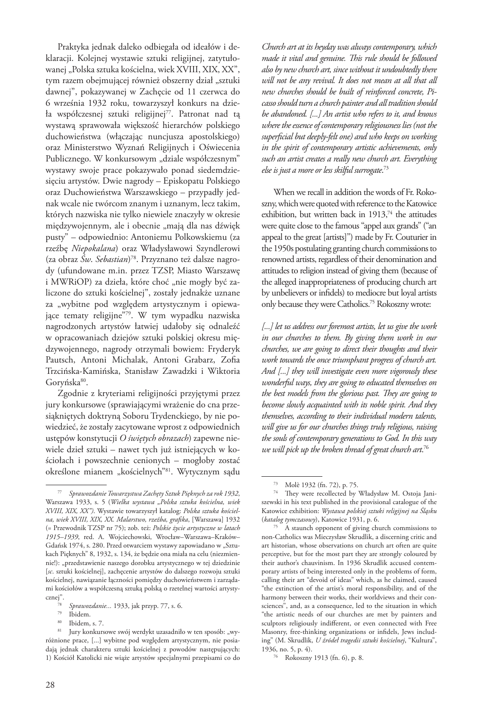Praktyka jednak daleko odbiegała od ideałów i deklaracji. Kolejnej wystawie sztuki religijnej, zatytułowanej "Polska sztuka kościelna, wiek XVIII, XIX, XX", tym razem obejmującej również obszerny dział "sztuki dawnej", pokazywanej w Zachęcie od 11 czerwca do 6 września 1932 roku, towarzyszył konkurs na dzieła współczesnej sztuki religijnej<sup>77</sup>. Patronat nad tą wystawą sprawowała większość hierarchów polskiego duchowieństwa (włączając nuncjusza apostolskiego) oraz Ministerstwo Wyznań Religijnych i Oświecenia Publicznego. W konkursowym "dziale współczesnym" wystawy swoje prace pokazywało ponad siedemdziesięciu artystów. Dwie nagrody – Episkopatu Polskiego oraz Duchowieństwa Warszawskiego – przypadły jednak wcale nie twórcom znanym i uznanym, lecz takim, których nazwiska nie tylko niewiele znaczyły w okresie międzywojennym, ale i obecnie "mają dla nas dźwięk pusty" – odpowiednio: Antoniemu Polkowskiemu (za rzeźbę *Niepokalana*) oraz Władysławowi Szyndlerowi (za obraz *Św*. *Sebastian*) 78. Przyznano też dalsze nagrody (ufundowane m.in. przez TZSP, Miasto Warszawę i MWRiOP) za dzieła, które choć "nie mogły być zaliczone do sztuki kościelnej", zostały jednakże uznane za "wybitne pod względem artystycznym i opiewające tematy religijne"79. W tym wypadku nazwiska nagrodzonych artystów łatwiej udałoby się odnaleźć w opracowaniach dziejów sztuki polskiej okresu międzywojennego, nagrody otrzymali bowiem: Fryderyk Pautsch, Antoni Michalak, Antoni Grabarz, Zofia Trzcińska-Kamińska, Stanisław Zawadzki i Wiktoria Goryńska<sup>80</sup>.

Zgodnie z kryteriami religijności przyjętymi przez jury konkursowe (sprawiającymi wrażenie do cna przesiąkniętych doktryną Soboru Trydenckiego, by nie powiedzieć, że zostały zacytowane wprost z odpowiednich ustępów konstytucji *O świętych obrazach*) zapewne niewiele dzieł sztuki – nawet tych już istniejących w kościołach i powszechnie cenionych – mogłoby zostać określone mianem "kościelnych"<sup>81</sup>. Wytycznym sądu

*Church art at its heyday was always contemporary, which made it vital and genuine. This rule should be followed also by new church art, since without it undoubtedly there will not be any revival. It does not mean at all that all new churches should be built of reinforced concrete, Picasso should turn a church painter and all tradition should be abandoned. [...] An artist who refers to it, and knows where the essence of contemporary religiousness lies (not the superficial but deeply-felt one) and who keeps on working in the spirit of contemporary artistic achievements, only such an artist creates a really new church art. Everything else is just a more or less skilful surrogate*. 73

When we recall in addition the words of Fr. Rokoszny, which were quoted with reference to the Katowice exhibition, but written back in  $1913$ ,<sup>74</sup> the attitudes were quite close to the famous "appel aux grands" ("an appeal to the great [artists]") made by Fr. Couturier in the 1950s postulating granting church commissions to renowned artists, regardless of their denomination and attitudes to religion instead of giving them (because of the alleged inappropriateness of producing church art by unbelievers or infidels) to mediocre but loyal artists only because they were Catholics.75 Rokoszny wrote:

*[...] let us address our foremost artists, let us give the work in our churches to them. By giving them work in our churches, we are going to direct their thoughts and their work towards the once triumphant progress of church art. And [...] they will investigate even more vigorously these wonderful ways, they are going to educated themselves on the best models from the glorious past. They are going to become slowly acquainted with its noble spirit. And they themselves, according to their individual modern talents, will give us for our churches things truly religious, raising the souls of contemporary generations to God. In this way we will pick up the broken thread of great church art*. 76

<sup>77</sup> *Sprawozdanie Towarzystwa Zachęty Sztuk Pięknych za rok 1932*, Warszawa 1933, s. 5 (*Wielka wystawa "Polska sztuka kościelna, wiek XVIII, XIX, XX")*. Wystawie towarzyszył katalog: *Polska sztuka kościelna, wiek XVIII, XIX, XX. Malarstwo, rzeźba, grafika*, [Warszawa] 1932 (= Przewodnik TZSP nr 75); zob. też: *Polskie życie artystyczne w latach 1915–1939*, red. A. Wojciechowski, Wrocław–Warszawa–Kraków– Gdańsk 1974, s. 280. Przed otwarciem wystawy zapowiadano w "Sztukach Pięknych" 8, 1932, s. 134, że będzie ona miała na celu (niezmiennie!): "przedstawienie naszego dorobku artystycznego w tej dziedzinie [*sc*. sztuki kościelnej], zachęcenie artystów do dalszego rozwoju sztuki kościelnej, nawiązanie łączności pomiędzy duchowieństwem i zarządami kościołów a współczesną sztuką polską o rzetelnej wartości artystycznej".

<sup>78</sup> *Sprawozdanie...* 1933, jak przyp. 77, s. 6. 79 Ibidem. 80 Ibidem, s. 7.

Jury konkursowe swój werdykt uzasadniło w ten sposób: "wyróżnione prace, [...] wybitne pod względem artystycznym, nie posiadają jednak charakteru sztuki kościelnej z powodów następujących: 1) Kościół Katolicki nie wiąże artystów specjalnymi przepisami co do

<sup>73</sup> Molè 1932 (fn. 72), p. 75.

<sup>74</sup> They were recollected by Władysław M. Ostoja Janiszewski in his text published in the provisional catalogue of the Katowice exhibition: *Wystawa polskiej sztuki religijnej na Śląsku* (*katalog tymczasowy*), Katowice 1931, p. 6.

<sup>75</sup> A staunch opponent of giving church commissions to non-Catholics was Mieczysław Skrudlik, a discerning critic and art historian, whose observations on church art often are quite perceptive, but for the most part they are strongly coloured by their author's chauvinism. In 1936 Skrudlik accused contemporary artists of being interested only in the problems of form, calling their art "devoid of ideas" which, as he claimed, caused "the extinction of the artist's moral responsibility, and of the harmony between their works, their worldviews and their consciences", and, as a consequence, led to the situation in which "the artistic needs of our churches are met by painters and sculptors religiously indifferent, or even connected with Free Masonry, free-thinking organizations or infidels, Jews including" (M. Skrudlik, *U źródeł tragedii sztuki kościelnej*, "Kultura", 1936, no. 5, p. 4).

<sup>76</sup> Rokoszny 1913 (fn. 6), p. 8.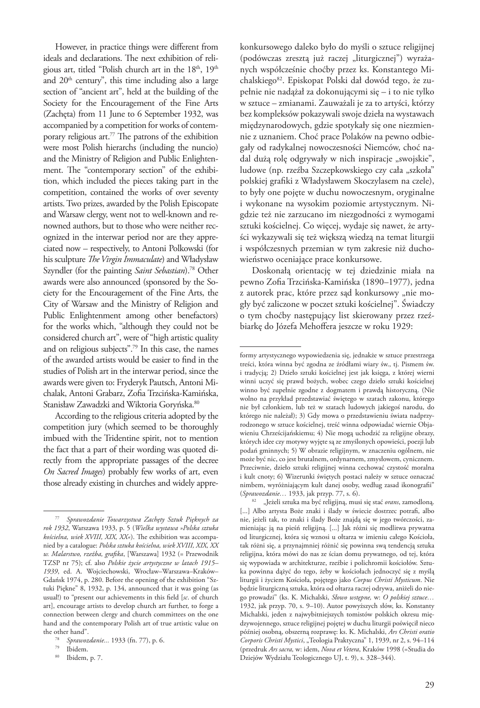However, in practice things were different from ideals and declarations. The next exhibition of religious art, titled "Polish church art in the 18<sup>th</sup>, 19<sup>th</sup> and  $20<sup>th</sup>$  century", this time including also a large section of "ancient art", held at the building of the Society for the Encouragement of the Fine Arts (Zachęta) from 11 June to 6 September 1932, was accompanied by a competition for works of contemporary religious art.77 The patrons of the exhibition were most Polish hierarchs (including the nuncio) and the Ministry of Religion and Public Enlightenment. The "contemporary section" of the exhibition, which included the pieces taking part in the competition, contained the works of over seventy artists. Two prizes, awarded by the Polish Episcopate and Warsaw clergy, went not to well-known and renowned authors, but to those who were neither recognized in the interwar period nor are they appreciated now – respectively, to Antoni Polkowski (for his sculpture *The Virgin Immaculate*) and Władysław Szyndler (for the painting *Saint Sebastian*).78 Other awards were also announced (sponsored by the Society for the Encouragement of the Fine Arts, the City of Warsaw and the Ministry of Religion and Public Enlightenment among other benefactors) for the works which, "although they could not be considered church art", were of "high artistic quality and on religious subjects".79 In this case, the names of the awarded artists would be easier to find in the studies of Polish art in the interwar period, since the awards were given to: Fryderyk Pautsch, Antoni Michalak, Antoni Grabarz, Zofia Trzcińska-Kamińska, Stanisław Zawadzki and Wiktoria Goryńska.<sup>80</sup>

According to the religious criteria adopted by the competition jury (which seemed to be thoroughly imbued with the Tridentine spirit, not to mention the fact that a part of their wording was quoted directly from the appropriate passages of the decree *On Sacred Images*) probably few works of art, even those already existing in churches and widely apprekonkursowego daleko było do myśli o sztuce religijnej (podówczas zresztą już raczej "liturgicznej") wyrażanych współcześnie choćby przez ks. Konstantego Michalskiego<sup>82</sup>. Episkopat Polski dał dowód tego, że zupełnie nie nadążał za dokonującymi się – i to nie tylko w sztuce – zmianami. Zauważali je za to artyści, którzy bez kompleksów pokazywali swoje dzieła na wystawach międzynarodowych, gdzie spotykały się one niezmiennie z uznaniem. Choć prace Polaków na pewno odbiegały od radykalnej nowoczesności Niemców, choć nadal dużą rolę odgrywały w nich inspiracje "swojskie", ludowe (np. rzeźba Szczepkowskiego czy cała "szkoła" polskiej grafiki z Władysławem Skoczylasem na czele), to były one pojęte w duchu nowoczesnym, oryginalne i wykonane na wysokim poziomie artystycznym. Nigdzie też nie zarzucano im niezgodności z wymogami sztuki kościelnej. Co więcej, wydaje się nawet, że artyści wykazywali się też większą wiedzą na temat liturgii i współczesnych przemian w tym zakresie niż duchowieństwo oceniające prace konkursowe.

Doskonałą orientację w tej dziedzinie miała na pewno Zofia Trzcińska-Kamińska (1890–1977), jedna z autorek prac, które przez sąd konkursowy "nie mogły być zaliczone w poczet sztuki kościelnej". Świadczy o tym choćby następujący list skierowany przez rzeźbiarkę do Józefa Mehoffera jeszcze w roku 1929:

<sup>77</sup> *Sprawozdanie Towarzystwa Zachęty Sztuk Pięknych za rok 1932*, Warszawa 1933, p. 5 (*Wielka wystawa »Polska sztuka kościelna, wiek XVIII, XIX, XX«*). The exhibition was accompanied by a catalogue: *Polska sztuka kościelna, wiek XVIII, XIX, XX w. Malarstwo, rzeźba, grafika*, [Warszawa] 1932 (= Przewodnik TZSP nr 75); cf. also *Polskie życie artystyczne w latach 1915– 1939*, ed. A. Wojciechowski, Wrocław–Warszawa–Kraków– Gdańsk 1974, p. 280. Before the opening of the exhibition "Sztuki Piękne" 8, 1932, p. 134, announced that it was going (as usual!) to "present our achievements in this field [*sc*. of church art], encourage artists to develop church art further, to forge a connection between clergy and church committees on the one hand and the contemporary Polish art of true artistic value on the other hand".

<sup>78</sup> *Sprawozdanie...* 1933 (fn. 77), p. 6.

<sup>&</sup>lt;sup>80</sup> Ibidem, p. 7.

formy artystycznego wypowiedzenia się, jednakże w sztuce przestrzega treści, która winna być zgodna ze źródłami wiary św., tj. Pismem św. i tradycją; 2) Dzieło sztuki kościelnej jest jak księga, z której wierni winni uczyć się prawd bożych, wobec czego dzieło sztuki kościelnej winno być zupełnie zgodne z dogmatem i prawdą historyczną. (Nie wolno na przykład przedstawiać świętego w szatach zakonu, którego nie był członkiem, lub też w szatach ludowych jakiegoś narodu, do którego nie należał); 3) Gdy mowa o przedstawieniu świata nadprzyrodzonego w sztuce kościelnej, treść winna odpowiadać wiernie Objawieniu Chrześcijańskiemu; 4) Nie mogą uchodzić za religijne obrazy, których idee czy motywy wyjęte są ze zmyślonych opowieści, poezji lub podań gminnych; 5) W obrazie religijnym, w znaczeniu ogólnem, nie może być nic, co jest brutalnem, ordynarnem, zmysłowem, cynicznem. Przeciwnie, dzieło sztuki religijnej winna cechować czystość moralna i kult cnoty; 6) Wizerunki świętych postaci należy w sztuce oznaczać nimbem, wyróżniającym kult danej osoby, według zasad ikonografii" (*Sprawozdanie…* 1933, jak przyp. 77, s. 6).

<sup>82</sup> "Jeżeli sztuka ma być religijną, musi się stać *orans*, zamodloną. [...] Albo artysta Boże znaki i ślady w świecie dostrzec potrafi, albo nie, jeżeli tak, to znaki i ślady Boże znajdą się w jego twórczości, zamieniając ją na pieśń religijną. [...] Jak różni się modlitwa prywatna od liturgicznej, która się wznosi u ołtarza w imieniu całego Kościoła, tak różni się, a przynajmniej różnić się powinna swą tendencją sztuka religijna, która mówi do nas ze ścian domu prywatnego, od tej, która się wypowiada w architekturze, rzeźbie i polichromii kościołów. Sztuka powinna dążyć do tego, żeby w kościołach jednoczyć się z myślą liturgii i życiem Kościoła, pojętego jako *Corpus Christi Mysticum*. Nie będzie liturgiczną sztuka, która od ołtarza raczej odrywa, aniżeli do niego prowadzi" (ks. K. Michalski, *Słowo wstępne,* w: *O polskiej sztuce…*  1932, jak przyp. 70, s. 9–10). Autor powyższych słów, ks. Konstanty Michalski, jeden z najwybitniejszych tomistów polskich okresu międzywojennego, sztuce religijnej pojętej w duchu liturgii poświęcił nieco później osobną, obszerną rozprawę: ks. K. Michalski, *Ars Christi oratio Corporis Christi Mystici*, "Teologia Praktyczna" 1, 1939, nr 2, s. 94–114 (przedruk *Ars sacra,* w: idem, *Nova et Vetera*, Kraków 1998 (=Studia do Dziejów Wydziału Teologicznego UJ, t. 9), s. 328–344).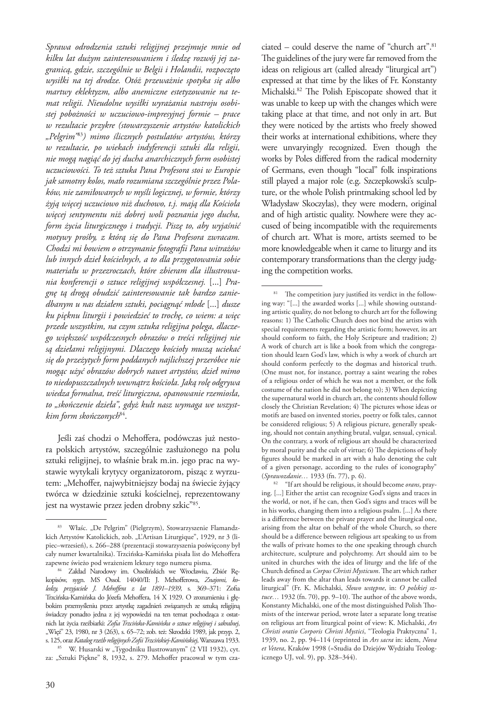*Sprawa odrodzenia sztuki religijnej przejmuje mnie od kilku lat dużym zainteresowaniem i śledzę rozwój jej zagranicą, gdzie, szczególnie w Belgii i Holandii, rozpoczęto wysiłki na tej drodze. Otóż przeważnie spotyka się albo martwy eklektyzm, albo anemiczne estetyzowanie na temat religii. Nieudolne wysiłki wyrażania nastroju osobistej pobożności w uczuciowo-impresyjnej formie – prace w rezultacie przykre (stowarzyszenie artystów katolickich "Pelgrim"*<sup>83</sup>*) mimo ślicznych postulatów artystów, którzy w rezultacie, po wiekach indyferencji sztuki dla religii, nie mogą nagiąć do jej ducha anarchicznych form osobistej uczuciowości. To też sztuka Pana Profesora stoi w Europie jak samotny kolos, mało rozumiana szczególnie przez Polaków, nie zamiłowanych w myśli logicznej, w formie, którzy żyją więcej uczuciowo niż duchowo, t.j. mają dla Kościoła więcej sentymentu niż dobrej woli poznania jego ducha, form życia liturgicznego i tradycji. Piszę to, aby wyjaśnić motywy prośby, z którą się do Pana Profesora zwracam. Chodzi mi bowiem o otrzymanie fotografii Pana witrażów lub innych dzieł kościelnych, a to dla przygotowania sobie materiału w przezroczach, które zbieram dla illustrowania konferencji o sztuce religijnej współczesnej.* [...] *Pragnę tą drogą obudzić zainteresowanie tak bardzo zaniedbanym u nas działem sztuki, pociągnąć młode* [...] *dusze ku pięknu liturgii i powiedzieć to trochę, co wiem: a więc przede wszystkim, na czym sztuka religijna polega, dlaczego większość współczesnych obrazów o treści religijnej nie są dziełami religijnymi. Dlaczego kościoły muszą uciekać się do przeżytych form poddanych najlichszej przeróbce nie mogąc użyć obrazów dobrych nawet artystów, dzieł mimo to niedopuszczalnych wewnątrz kościoła. Jaką rolę odgrywa wiedza formalna, treść liturgiczna, opanowanie rzemiosła, to "skończenie dzieła", gdyż kult nasz wymaga we wszystkim form skończonych*84.

Jeśli zaś chodzi o Mehoffera, podówczas już nestora polskich artystów, szczególnie zasłużonego na polu sztuki religijnej, to właśnie brak m.in. jego prac na wystawie wytykali krytycy organizatorom, pisząc z wyrzutem: "Mehoffer, najwybitniejszy bodaj na świecie żyjący twórca w dziedzinie sztuki kościelnej, reprezentowany jest na wystawie przez jeden drobny szkic"85.

<sup>85</sup> W. Husarski w "Tygodniku Ilustrowanym" (2 VII 1932), cyt. za: "Sztuki Piękne" 8, 1932, s. 279. Mehoffer pracował w tym cza-

ciated – could deserve the name of "church art".81 The guidelines of the jury were far removed from the ideas on religious art (called already "liturgical art") expressed at that time by the likes of Fr. Konstanty Michalski.82 The Polish Episcopate showed that it was unable to keep up with the changes which were taking place at that time, and not only in art. But they were noticed by the artists who freely showed their works at international exhibitions, where they were unvaryingly recognized. Even though the works by Poles differed from the radical modernity of Germans, even though "local" folk inspirations still played a major role (e.g. Szczepkowski's sculpture, or the whole Polish printmaking school led by Władysław Skoczylas), they were modern, original and of high artistic quality. Nowhere were they accused of being incompatible with the requirements of church art. What is more, artists seemed to be more knowledgeable when it came to liturgy and its contemporary transformations than the clergy judging the competition works.

<sup>82</sup> "If art should be religious, it should become *orans*, praying. [...] Either the artist can recognize God's signs and traces in the world, or not, if he can, then God's signs and traces will be in his works, changing them into a religious psalm. [...] As there is a difference between the private prayer and the liturgical one, arising from the altar on behalf of the whole Church, so there should be a difference between religious art speaking to us from the walls of private homes to the one speaking through church architecture, sculpture and polychromy. Art should aim to be united in churches with the idea of liturgy and the life of the Church defined as *Corpus Christi Mysticum*. The art which rather leads away from the altar than leads towards it cannot be called liturgical" (Fr. K. Michalski, *Słowo wstępne*, in: *O polskiej sztuce…* 1932 (fn. 70), pp. 9–10). The author of the above words, Konstanty Michalski, one of the most distinguished Polish Thomists of the interwar period, wrote later a separate long treatise on religious art from liturgical point of view: K. Michalski, *Ars Christi oratio Corporis Christi Mystici*, "Teologia Praktyczna" 1, 1939, no. 2, pp. 94–114 (reprinted in *Ars sacra* in: idem, *Nova et Vetera*, Kraków 1998 (=Studia do Dziejów Wydziału Teologicznego UJ, vol. 9), pp. 328–344).

<sup>&</sup>lt;sup>83</sup> Właśc. "De Pelgrim" (Pielgrzym), Stowarzyszenie Flamandzkich Artystów Katolickich, zob. "L'Artisan Liturgique", 1929, nr 3 (lipiec–wrzesień), s. 266–288 (prezentacji stowarzyszenia poświęcony był cały numer kwartalnika). Trzcińska-Kamińska pisała list do Mehoffera

<sup>&</sup>lt;sup>84</sup> Zakład Narodowy im. Ossolińskich we Wrocławiu, Zbiór Rękopisów, sygn. MS Ossol. 14040/II: J. Mehofferowa, *Znajomi, koledzy, przyjaciele J. Mehoffera z lat 1891–1939*, s. 369–371: Zofia Trzcińska-Kamińska do Józefa Mehoffera, 14 X 1929. O zrozumieniu i głębokim przemyśleniu przez artystkę zagadnień związanych ze sztuką religijną świadczy ponadto jedna z jej wypowiedzi na ten temat pochodząca z ostatnich lat życia rzeźbiarki: *Zofia Trzcińska-Kamińska o sztuce religijnej i sakralnej*, "Więź" 23, 1980, nr 3 (263), s. 65–72; zob. też: Skrodzki 1989, jak przyp. 2, s. 125, oraz Katalog rzeźb religijnych Zofii Trzcińskiej-Kamińskiej, Warszawa 1933.

<sup>&</sup>lt;sup>81</sup> The competition jury justified its verdict in the following way: "[...] the awarded works [...] while showing outstanding artistic quality, do not belong to church art for the following reasons: 1) The Catholic Church does not bind the artists with special requirements regarding the artistic form; however, its art should conform to faith, the Holy Scripture and tradition; 2) A work of church art is like a book from which the congregation should learn God's law, which is why a work of church art should conform perfectly to the dogmas and historical truth. (One must not, for instance, portray a saint wearing the robes of a religious order of which he was not a member, or the folk costume of the nation he did not belong to); 3) When depicting the supernatural world in church art, the contents should follow closely the Christian Revelation; 4) The pictures whose ideas or motifs are based on invented stories, poetry or folk tales, cannot be considered religious; 5) A religious picture, generally speaking, should not contain anything brutal, vulgar, sensual, cynical. On the contrary, a work of religious art should be characterized by moral purity and the cult of virtue; 6) The depictions of holy figures should be marked in art with a halo denoting the cult of a given personage, according to the rules of iconography" (*Sprawozdanie…* 1933 (fn. 77), p. 6).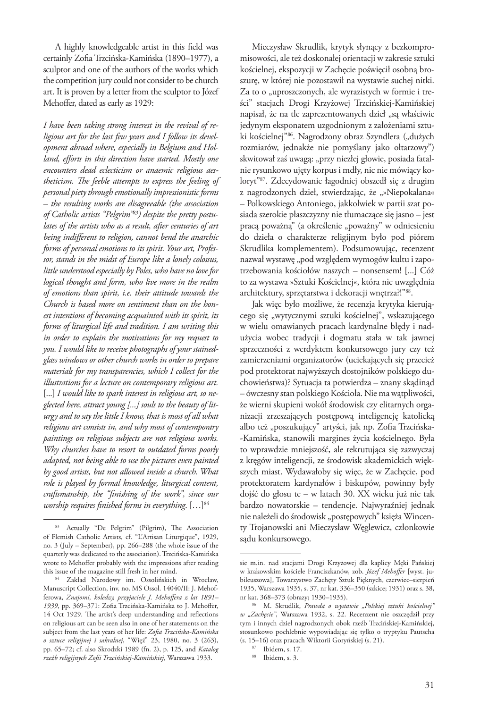A highly knowledgeable artist in this field was certainly Zofia Trzcińska-Kamińska (1890–1977), a sculptor and one of the authors of the works which the competition jury could not consider to be church art. It is proven by a letter from the sculptor to Józef Mehoffer, dated as early as 1929:

*I have been taking strong interest in the revival of religious art for the last few years and I follow its development abroad where, especially in Belgium and Holland, efforts in this direction have started. Mostly one encounters dead eclecticism or anaemic religious aestheticism. The feeble attempts to express the feeling of personal piety through emotionally impressionistic forms – the resulting works are disagreeable (the association of Catholic artists "Pelgrim"83) despite the pretty postulates of the artists who as a result, after centuries of art being indifferent to religion, cannot bend the anarchic forms of personal emotions to its spirit. Your art, Professor, stands in the midst of Europe like a lonely colossus, little understood especially by Poles, who have no love for logical thought and form, who live more in the realm of emotions than spirit, i.e. their attitude towards the Church is based more on sentiment than on the honest intentions of becoming acquainted with its spirit, its forms of liturgical life and tradition. I am writing this in order to explain the motivations for my request to you. I would like to receive photographs of your stainedglass windows or other church works in order to prepare materials for my transparencies, which I collect for the illustrations for a lecture on contemporary religious art.*  [...] *I would like to spark interest in religious art, so neglected here, attract young [...] souls to the beauty of liturgy and to say the little I know, that is most of all what religious art consists in, and why most of contemporary paintings on religious subjects are not religious works. Why churches have to resort to outdated forms poorly adapted, not being able to use the pictures even painted by good artists, but not allowed inside a church. What role is played by formal knowledge, liturgical content, craftsmanship, the "finishing of the work", since our worship requires finished forms in everything.* [...]<sup>84</sup>

Mieczysław Skrudlik, krytyk słynący z bezkompromisowości, ale też doskonałej orientacji w zakresie sztuki kościelnej, ekspozycji w Zachęcie poświęcił osobną broszurę, w której nie pozostawił na wystawie suchej nitki. Za to o "uproszczonych, ale wyrazistych w formie i treści" stacjach Drogi Krzyżowej Trzcińskiej-Kamińskiej napisał, że na tle zaprezentowanych dzieł "są właściwie jedynym eksponatem uzgodnionym z założeniami sztuki kościelnej"<sup>86</sup>. Nagrodzony obraz Szyndlera ("dużych rozmiarów, jednakże nie pomyślany jako ołtarzowy") skwitował zaś uwagą: "przy niezłej głowie, posiada fatalnie rysunkowo ujęty korpus i mdły, nic nie mówiący koloryt"87. Zdecydowanie łagodniej obszedł się z drugim z nagrodzonych dzieł, stwierdzając, że "»Niepokalana« – Polkowskiego Antoniego, jakkolwiek w partii szat posiada szerokie płaszczyzny nie tłumaczące się jasno – jest pracą poważną" (a określenie "poważny" w odniesieniu do dzieła o charakterze religijnym było pod piórem Skrudlika komplementem). Podsumowując, recenzent nazwał wystawę "pod względem wymogów kultu i zapotrzebowania kościołów naszych – nonsensem! [...] Cóż to za wystawa »Sztuki Kościelnej«, która nie uwzględnia architektury, sprzętarstwa i dekoracji wnętrza?!"88.

Jak więc było możliwe, że recenzja krytyka kierującego się "wytycznymi sztuki kościelnej", wskazującego w wielu omawianych pracach kardynalne błędy i nadużycia wobec tradycji i dogmatu stała w tak jawnej sprzeczności z werdyktem konkursowego jury czy też zamierzeniami organizatorów (uciekających się przecież pod protektorat najwyższych dostojników polskiego duchowieństwa)? Sytuacja ta potwierdza – znany skądinąd – ówczesny stan polskiego Kościoła. Nie ma wątpliwości, że wierni skupieni wokół środowisk czy elitarnych organizacji zrzeszających postępową inteligencję katolicką albo też "poszukujący" artyści, jak np. Zofia Trzcińska- -Kamińska, stanowili margines życia kościelnego. Była to wprawdzie mniejszość, ale rekrutująca się zazwyczaj z kręgów inteligencji, ze środowisk akademickich większych miast. Wydawałoby się więc, że w Zachęcie, pod protektoratem kardynałów i biskupów, powinny były dojść do głosu te – w latach 30. XX wieku już nie tak bardzo nowatorskie – tendencje. Najwyraźniej jednak nie należeli do środowisk "postępowych" księża Wincenty Trojanowski ani Mieczysław Węglewicz, członkowie sądu konkursowego.

<sup>83</sup> Actually "De Pelgrim" (Pilgrim), The Association of Flemish Catholic Artists, cf. "L'Artisan Liturgique", 1929, no. 3 (July – September), pp. 266–288 (the whole issue of the quarterly was dedicated to the association). Trzcińska-Kamińska wrote to Mehoffer probably with the impressions after reading this issue of the magazine still fresh in her mind.

<sup>84</sup> Zakład Narodowy im. Ossolińskich in Wrocław, Manuscript Collection, inv. no. MS Ossol. 14040/II: J. Mehofferowa, *Znajomi, koledzy, przyjaciele J. Mehoffera z lat 1891– 1939*, pp. 369–371: Zofia Trzcińska-Kamińska to J. Mehoffer, 14 Oct 1929. The artist's deep understanding and reflections on religious art can be seen also in one of her statements on the subject from the last years of her life: *Zofia Trzcińska-Kamińska o sztuce religijnej i sakralnej*, "Więź" 23, 1980, no. 3 (263), pp. 65–72; cf. also Skrodzki 1989 (fn. 2), p. 125, and *Katalog rzeźb religijnych Zofii Trzcińskiej-Kamińskiej*, Warszawa 1933.

sie m.in. nad stacjami Drogi Krzyżowej dla kaplicy Męki Pańskiej w krakowskim kościele Franciszkanów, zob. *Józef Mehoffer* [wyst. jubileuszowa], Towarzystwo Zachęty Sztuk Pięknych, czerwiec–sierpień 1935, Warszawa 1935, s. 37, nr kat. 336–350 (szkice; 1931) oraz s. 38, nr kat. 368–373 (obrazy; 1930–1935).

<sup>86</sup> M. Skrudlik, *Prawda o wystawie "Polskiej sztuki kościelnej" w "Zachęcie"*, Warszawa 1932, s. 22. Recenzent nie oszczędził przy tym i innych dzieł nagrodzonych obok rzeźb Trzcińskiej-Kamińskiej, stosunkowo pochlebnie wypowiadając się tylko o tryptyku Pautscha (s. 15–16) oraz pracach Wiktorii Goryńskiej (s. 21). 87 Ibidem, s. 17.

<sup>88</sup> Ibidem, s. 3.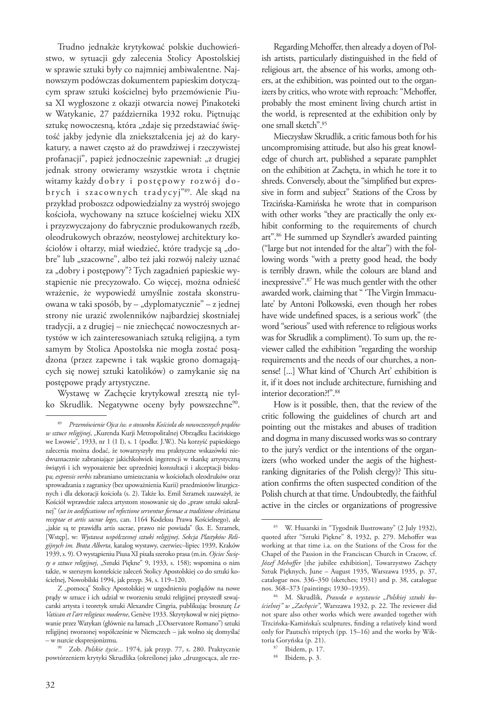Trudno jednakże krytykować polskie duchowieństwo, w sytuacji gdy zalecenia Stolicy Apostolskiej w sprawie sztuki były co najmniej ambiwalentne. Najnowszym podówczas dokumentem papieskim dotyczącym spraw sztuki kościelnej było przemówienie Piusa XI wygłoszone z okazji otwarcia nowej Pinakoteki w Watykanie, 27 października 1932 roku. Piętnując sztukę nowoczesną, która "zdaje się przedstawiać świętość jakby jedynie dla zniekształcenia jej aż do karykatury, a nawet często aż do prawdziwej i rzeczywistej profanacji", papież jednocześnie zapewniał: "z drugiej jednak strony otwieramy wszystkie wrota i chętnie witamy każdy dobry i postępowy rozwój dobrych i szacownych tradycyj"89. Ale skąd na przykład proboszcz odpowiedzialny za wystrój swojego kościoła, wychowany na sztuce kościelnej wieku XIX i przyzwyczajony do fabrycznie produkowanych rzeźb, oleodrukowych obrazów, neostylowej architektury kościołów i ołtarzy, miał wiedzieć, które tradycje są "dobre" lub "szacowne", albo też jaki rozwój należy uznać za "dobry i postępowy"? Tych zagadnień papieskie wystąpienie nie precyzowało. Co więcej, można odnieść wrażenie, że wypowiedź umyślnie została skonstruowana w taki sposób, by – "dyplomatycznie" – z jednej strony nie urazić zwolenników najbardziej skostniałej tradycji, a z drugiej – nie zniechęcać nowoczesnych artystów w ich zainteresowaniach sztuką religijną, a tym samym by Stolica Apostolska nie mogła zostać posądzona (przez zapewne i tak wąskie grono domagających się nowej sztuki katolików) o zamykanie się na postępowe prądy artystyczne.

Wystawę w Zachęcie krytykował zresztą nie tylko Skrudlik. Negatywne oceny były powszechne<sup>90</sup>.

Regarding Mehoffer, then already a doyen of Polish artists, particularly distinguished in the field of religious art, the absence of his works, among others, at the exhibition, was pointed out to the organizers by critics, who wrote with reproach: "Mehoffer, probably the most eminent living church artist in the world, is represented at the exhibition only by one small sketch".85

Mieczysław Skrudlik, a critic famous both for his uncompromising attitude, but also his great knowledge of church art, published a separate pamphlet on the exhibition at Zachęta, in which he tore it to shreds. Conversely, about the "simplified but expressive in form and subject" Stations of the Cross by Trzcińska-Kamińska he wrote that in comparison with other works "they are practically the only exhibit conforming to the requirements of church art".86 He summed up Szyndler's awarded painting ("large but not intended for the altar") with the following words "with a pretty good head, the body is terribly drawn, while the colours are bland and inexpressive".87 He was much gentler with the other awarded work, claiming that " 'The Virgin Immaculate' by Antoni Polkowski, even though her robes have wide undefined spaces, is a serious work" (the word "serious" used with reference to religious works was for Skrudlik a compliment). To sum up, the reviewer called the exhibition "regarding the worship requirements and the needs of our churches, a nonsense! [...] What kind of 'Church Art' exhibition is it, if it does not include architecture, furnishing and interior decoration?!".<sup>88</sup>

How is it possible, then, that the review of the critic following the guidelines of church art and pointing out the mistakes and abuses of tradition and dogma in many discussed works was so contrary to the jury's verdict or the intentions of the organizers (who worked under the aegis of the highestranking dignitaries of the Polish clergy)? This situation confirms the often suspected condition of the Polish church at that time. Undoubtedly, the faithful active in the circles or organizations of progressive

<sup>89</sup> *Przemówienie Ojca św. o stosunku Kościoła do nowoczesnych prądów w sztuce religijnej*, "Kurenda Kurji Metropolitalnej Obrządku Łacińskiego we Lwowie", 1933, nr 1 (1 I), s. 1 (podkr. J.W.). Na korzyść papieskiego zalecenia można dodać, że towarzyszyły mu praktyczne wskazówki niedwuznacznie zabraniające jakichkolwiek ingerencji w tkankę artystyczną świątyń i ich wyposażenie bez uprzedniej konsultacji i akceptacji biskupa; *expressis verbis* zabraniano umieszczania w kościołach oleodruków oraz sprowadzania z zagranicy (bez upoważnienia Kurii) przedmiotów liturgicznych i dla dekoracji kościoła (s. 2). Także ks. Emil Szramek zauważył, że Kościół wprawdzie zaleca artystom stosowanie się do "praw sztuki sakralnej" (*ut in aedificatione vel refectione serventur formae a traditione christiana receptae et artis sacrae leges*, can. 1164 Kodeksu Prawa Kościelnego), ale "jakie są te prawidła artis sacrae, prawo nie powiada" (ks. E. Szramek, [Wstęp], w: *Wystawa współczesnej sztuki religijnej*. *Sekcja Plastyków Religijnych im. Brata Alberta*, katalog wystawy, czerwiec–lipiec 1939, Kraków 1939, s. 9). O wystąpieniu Piusa XI pisała szeroko prasa (m.in. *Ojciec Święty o sztuce religijnej*, "Sztuki Piękne" 9, 1933, s. 158); wspomina o nim także, w szerszym kontekście zaleceń Stolicy Apostolskiej co do sztuki kościelnej, Nowobilski 1994, jak przyp. 34, s. 119–120.

Z "pomocą" Stolicy Apostolskiej w uzgodnieniu poglądów na nowe prądy w sztuce i ich udział w tworzeniu sztuki religijnej przyszedł szwajcarski artysta i teoretyk sztuki Alexandre Cingria, publikując broszurę *Le Vatican et l'art religieux moderne*, Genève 1933. Skrytykował w niej piętnowanie przez Watykan (głównie na łamach "L'Osservatore Romano") sztuki religijnej tworzonej współcześnie w Niemczech – jak wolno się domyślać

<sup>&</sup>lt;sup>90</sup> Zob. Polskie życie... 1974, jak przyp. 77, s. 280. Praktycznie powtórzeniem krytyki Skrudlika (określonej jako "druzgocąca, ale rze-

<sup>85</sup> W. Husarski in "Tygodnik Ilustrowany" (2 July 1932), quoted after "Sztuki Piękne" 8, 1932, p. 279. Mehoffer was working at that time i.a. on the Stations of the Cross for the Chapel of the Passion in the Franciscan Church in Cracow, cf. *Józef Mehoffer* [the jubilee exhibition], Towarzystwo Zachęty Sztuk Pięknych, June – August 1935, Warszawa 1935, p. 37, catalogue nos. 336–350 (sketches; 1931) and p. 38, catalogue nos. 368–373 (paintings; 1930–1935).

<sup>86</sup> M. Skrudlik, *Prawda o wystawie "Polskiej sztuki ko*ścielnej" w "Zachęcie", Warszawa 1932, p. 22. The reviewer did not spare also other works which were awarded together with Trzcińska-Kamińska's sculptures, finding a relatively kind word only for Pautsch's triptych (pp. 15–16) and the works by Wiktoria Goryńska (p. 21).

<sup>87</sup> Ibidem, p. 17.

<sup>88</sup> Ibidem, p. 3.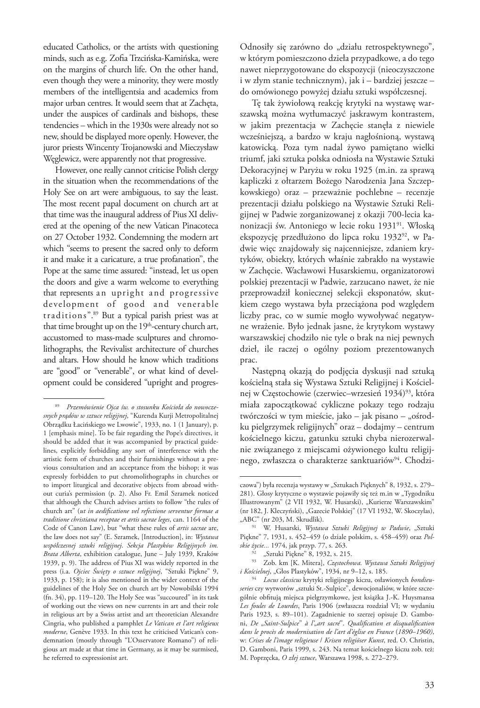educated Catholics, or the artists with questioning minds, such as e.g. Zofia Trzcińska-Kamińska, were on the margins of church life. On the other hand, even though they were a minority, they were mostly members of the intelligentsia and academics from major urban centres. It would seem that at Zachęta, under the auspices of cardinals and bishops, these tendencies – which in the 1930s were already not so new, should be displayed more openly. However, the juror priests Wincenty Trojanowski and Mieczysław Węglewicz, were apparently not that progressive.

However, one really cannot criticise Polish clergy in the situation when the recommendations of the Holy See on art were ambiguous, to say the least. The most recent papal document on church art at that time was the inaugural address of Pius XI delivered at the opening of the new Vatican Pinacoteca on 27 October 1932. Condemning the modern art which "seems to present the sacred only to deform it and make it a caricature, a true profanation", the Pope at the same time assured: "instead, let us open the doors and give a warm welcome to everything that represents an upright and progressive development of good and venerable traditions".89 But a typical parish priest was at that time brought up on the 19<sup>th</sup>-century church art, accustomed to mass-made sculptures and chromolithographs, the Revivalist architecture of churches and altars. How should he know which traditions are "good" or "venerable", or what kind of development could be considered "upright and progresOdnosiły się zarówno do "działu retrospektywnego", w którym pomieszczono dzieła przypadkowe, a do tego nawet nieprzygotowane do ekspozycji (nieoczyszczone i w złym stanie technicznym), jak i – bardziej jeszcze – do omówionego powyżej działu sztuki współczesnej.

Tę tak żywiołową reakcję krytyki na wystawę warszawską można wytłumaczyć jaskrawym kontrastem, w jakim prezentacja w Zachęcie stanęła z niewiele wcześniejszą, a bardzo w kraju nagłośnioną, wystawą katowicką. Poza tym nadal żywo pamiętano wielki triumf, jaki sztuka polska odniosła na Wystawie Sztuki Dekoracyjnej w Paryżu w roku 1925 (m.in. za sprawą kapliczki z ołtarzem Bożego Narodzenia Jana Szczepkowskiego) oraz – przeważnie pochlebne – recenzje prezentacji działu polskiego na Wystawie Sztuki Religijnej w Padwie zorganizowanej z okazji 700-lecia kanonizacji św. Antoniego w lecie roku 1931<sup>91</sup>. Włoską ekspozycję przedłużono do lipca roku 1932<sup>92</sup>, w Padwie więc znajdowały się najcenniejsze, zdaniem krytyków, obiekty, których właśnie zabrakło na wystawie w Zachęcie. Wacławowi Husarskiemu, organizatorowi polskiej prezentacji w Padwie, zarzucano nawet, że nie przeprowadził koniecznej selekcji eksponatów, skutkiem czego wystawa była przeciążona pod względem liczby prac, co w sumie mogło wywoływać negatywne wrażenie. Było jednak jasne, że krytykom wystawy warszawskiej chodziło nie tyle o brak na niej pewnych dzieł, ile raczej o ogólny poziom prezentowanych prac.

Następną okazją do podjęcia dyskusji nad sztuką kościelną stała się Wystawa Sztuki Religijnej i Kościelnej w Częstochowie (czerwiec–wrzesień 1934)<sup>93</sup>, która miała zapoczątkować cykliczne pokazy tego rodzaju twórczości w tym mieście, jako – jak pisano – "ośrodku pielgrzymek religijnych" oraz – dodajmy – centrum kościelnego kiczu, gatunku sztuki chyba nierozerwalnie związanego z miejscami ożywionego kultu religijnego, zwłaszcza o charakterze sanktuariów<sup>94</sup>. Chodzi-

<sup>89</sup> *Przemówienie Ojca św. o stosunku Kościoła do nowoczesnych prądów w sztuce religijnej*, "Kurenda Kurji Metropolitalnej Obrządku Łacińskiego we Lwowie", 1933, no. 1 (1 January), p. 1 [emphasis mine]. To be fair regarding the Pope's directives, it should be added that it was accompanied by practical guidelines, explicitly forbidding any sort of interference with the artistic form of churches and their furnishings without a previous consultation and an acceptance from the bishop; it was expressly forbidden to put chromolithographs in churches or to import liturgical and decorative objects from abroad without curia's permission (p. 2). Also Fr. Emil Szramek noticed that although the Church advises artists to follow "the rules of church art" (*ut in aedificatione vel refectione serventur formae a traditione christiana receptae et artis sacrae leges*, can. 1164 of the Code of Canon Law), but "what these rules of *artis sacrae* are, the law does not say" (E. Szramek, [Introduction], in: *Wystawa współczesnej sztuki religijnej*. *Sekcja Plastyków Religijnych im. Brata Alberta*, exhibition catalogue, June – July 1939, Kraków 1939, p. 9). The address of Pius XI was widely reported in the press (i.a. *Ojciec Święty o sztuce religijnej*, "Sztuki Piękne" 9, 1933, p. 158); it is also mentioned in the wider context of the guidelines of the Holy See on church art by Nowobilski 1994 (fn. 34), pp. 119–120. The Holy See was "succoured" in its task of working out the views on new currents in art and their role in religious art by a Swiss artist and art theoretician Alexandre Cingria, who published a pamphlet *Le Vatican et l'art religieux moderne*, Genève 1933. In this text he criticised Vatican's condemnation (mostly through "L'Osservatore Romano") of religious art made at that time in Germany, as it may be surmised, he referred to expressionist art.

czowa") była recenzja wystawy w "Sztukach Pięknych" 8, 1932, s. 279-281). Głosy krytyczne o wystawie pojawiły się też m.in w "Tygodniku Illustrowanym" (2 VII 1932, W. Husarski), "Kurierze Warszawskim" (nr 182, J. Kleczyński), "Gazecie Polskiej" (17 VI 1932, W. Skoczylas), "ABC" (nr 203, M. Skrudlik).

<sup>&</sup>lt;sup>91</sup> W. Husarski, *Wystawa Sztuki Religijnej w Padwie*, "Sztuki Piękne" 7, 1931, s. 452–459 (o dziale polskim, s. 458–459) oraz *Pol-*

*skie życie...* 1974, jak przyp. 77, s. 263. 92 "Sztuki Piękne" 8, 1932, s. 215. 93 Zob. km [K. Mitera], *Częstochowa. Wystawa Sztuki Religijnej* 

*i Kościelnej*, "Głos Plastyków", 1934, nr 9–12, s. 185. 94 *Locus classicus* krytyki religijnego kiczu, osławionych *bondieuseries* czy wytworów "sztuki St.-Sulpice", dewocjonaliów, w które szczególnie obfitują miejsca pielgrzymkowe, jest książka J.-K. Huysmansa *Les foules de Lourdes*, Paris 1906 (zwłaszcza rozdział VI; w wydaniu Paris 1923, s. 89–101). Zagadnienie to szerzej opisuje D. Gamboni, *De* "*Saint-Sulpice*" *à l'*"*art sacré*". *Qualification et disqualification dans le procès de modernisation de l'art d'église en France* (*1890*–*1960)*, w: *Crises de l'image religieuse* / *Krisen religiöser Kunst*, red. O. Christin, D. Gamboni, Paris 1999, s. 243. Na temat kościelnego kiczu zob. też: M. Poprzęcka, *O złej sztuce*, Warszawa 1998, s. 272–279.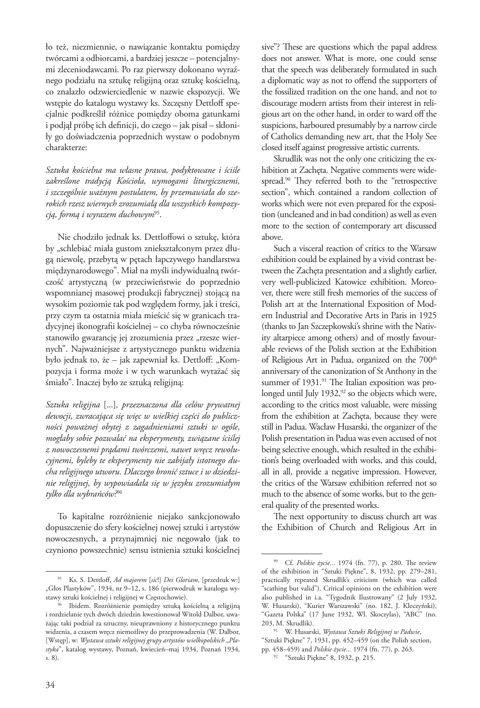ło też, niezmiennie, o nawiązanie kontaktu pomiędzy twórcami a odbiorcami, a bardziej jeszcze – potencjalnymi zleceniodawcami. Po raz pierwszy dokonano wyraźnego podziału na sztukę religijną oraz sztukę kościelną, co znalazło odzwierciedlenie w nazwie ekspozycji. We wstępie do katalogu wystawy ks. Szczęsny Dettloff specjalnie podkreślił różnice pomiędzy oboma gatunkami i podjął próbę ich definicji, do czego – jak pisał – skłoniły go doświadczenia poprzednich wystaw o podobnym charakterze:

*Sztuka kościelna ma własne prawa, podyktowane i ściśle zakreślone tradycją Kościoła, wymogami liturgicznemi, i szczególnie ważnym postulatem, by przemawiała do szerokich rzesz wiernych zrozumiałą dla wszystkich kompozycją, formą i wyrazem duchowym*95.

Nie chodziło jednak ks. Dettloffowi o sztukę, która by "schlebiać miała gustom zniekształconym przez długą niewolę, przebytą w pętach łapczywego handlarstwa międzynarodowego". Miał na myśli indywidualną twórczość artystyczną (w przeciwieństwie do poprzednio wspomnianej masowej produkcji fabrycznej) stojącą na wysokim poziomie tak pod względem formy, jak i treści, przy czym ta ostatnia miała mieścić się w granicach tradycyjnej ikonografii kościelnej – co chyba równocześnie stanowiło gwarancję jej zrozumienia przez "rzesze wiernych". Najważniejsze z artystycznego punktu widzenia było jednak to, że – jak zapewniał ks. Dettloff: "Kompozycja i forma może i w tych warunkach wyrażać się śmiało". Inaczej było ze sztuką religijną:

*Sztuka religijna* [...]*, przeznaczona dla celów prywatnej dewocji, zwracająca się więc w wielkiej części do publiczności poważnej obytej z zagadnieniami sztuki w ogóle, mogłaby sobie pozwalać na eksperymenty, związane ściślej z nowoczesnemi prądami twórczemi, nawet wręcz rewolucyjnemi, byleby te eksperymenty nie zabijały istotnego ducha religijnego utworu. Dlaczego bronić sztuce i w dziedzinie religijnej, by wypowiadała się w języku zrozumiałym tylko dla wybrańców?*<sup>96</sup>

To kapitalne rozróżnienie niejako sankcjonowało dopuszczenie do sfery kościelnej nowej sztuki i artystów nowoczesnych, a przynajmniej nie negowało (jak to czyniono powszechnie) sensu istnienia sztuki kościelnej sive"? These are questions which the papal address does not answer. What is more, one could sense that the speech was deliberately formulated in such a diplomatic way as not to offend the supporters of the fossilized tradition on the one hand, and not to discourage modern artists from their interest in religious art on the other hand, in order to ward off the suspicions, harboured presumably by a narrow circle of Catholics demanding new art, that the Holy See closed itself against progressive artistic currents.

Skrudlik was not the only one criticizing the exhibition at Zachęta. Negative comments were widespread.<sup>90</sup> They referred both to the "retrospective section", which contained a random collection of works which were not even prepared for the exposition (uncleaned and in bad condition) as well as even more to the section of contemporary art discussed above.

Such a visceral reaction of critics to the Warsaw exhibition could be explained by a vivid contrast between the Zachęta presentation and a slightly earlier, very well-publicized Katowice exhibition. Moreover, there were still fresh memories of the success of Polish art at the International Exposition of Modern Industrial and Decorative Arts in Paris in 1925 (thanks to Jan Szczepkowski's shrine with the Nativity altarpiece among others) and of mostly favourable reviews of the Polish section at the Exhibition of Religious Art in Padua, organized on the 700<sup>th</sup> anniversary of the canonization of St Anthony in the summer of 1931.<sup>91</sup> The Italian exposition was prolonged until July  $1932$ ,  $92$  so the objects which were, according to the critics most valuable, were missing from the exhibition at Zachęta, because they were still in Padua. Wacław Husarski, the organizer of the Polish presentation in Padua was even accused of not being selective enough, which resulted in the exhibition's being overloaded with works, and this could, all in all, provide a negative impression. However, the critics of the Warsaw exhibition referred not so much to the absence of some works, but to the general quality of the presented works.

The next opportunity to discuss church art was the Exhibition of Church and Religious Art in

<sup>95</sup> Ks. S. Dettloff, *Ad majorem* [*sic*!] *Dei Gloriam,* [przedruk w:] "Głos Plastyków", 1934, nr 9–12, s. 186 (pierwodruk w katalogu wy-<br>stawy sztuki kościelnej i religijnej w Częstochowie).

<sup>&</sup>lt;sup>96</sup> Ibidem. Rozróżnienie pomiędzy sztuką kościelną a religijną i rozdzielanie tych dwóch dziedzin kwestionował Witold Dalbor, uważając taki podział za sztuczny, nieuprawniony z historycznego punktu widzenia, a czasem wręcz niemożliwy do przeprowadzenia (W. Dalbor, [Wstęp], w: Wystawa sztuki religijnej grupy artystów wielkopolskich "Pla*styka*", katalog wystawy, Poznań, kwiecień–maj 1934, Poznań 1934, s. 8).

<sup>90</sup> Cf. *Polskie życie...* 1974 (fn. 77), p. 280. The review of the exhibition in "Sztuki Piękne", 8, 1932, pp. 279–281, practically repeated Skrudlik's criticism (which was called "scathing but valid"). Critical opinions on the exhibition were also published in i.a. "Tygodnik Ilustrowany" (2 July 1932, W. Husarski), "Kurier Warszawski" (no. 182, J. Kleczyński), "Gazeta Polska" (17 June 1932, Wł. Skoczylas), "ABC" (no. 203, M. Skrudlik).

<sup>91</sup> W. Husarski, *Wystawa Sztuki Religijnej w Padwie*, "Sztuki Piękne" 7, 1931, pp. 452–459 (on the Polish section, pp. 458–459) and *Polskie życie...* 1974 (fn. 77), p. 263.

<sup>92</sup> "Sztuki Piękne" 8, 1932, p. 215.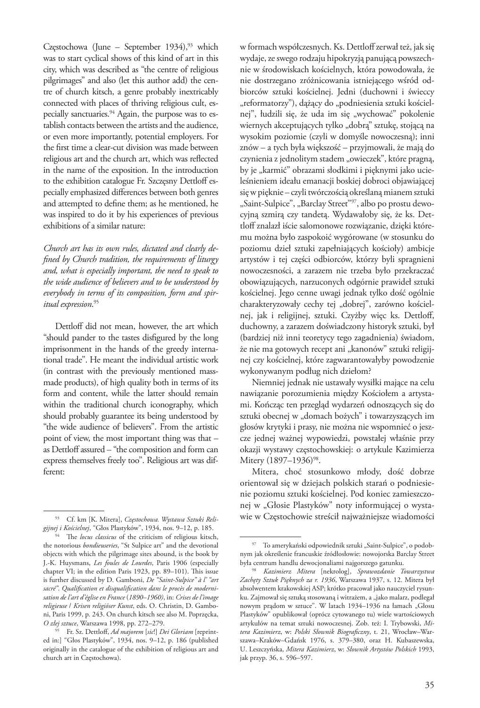Częstochowa (June – September 1934),<sup>93</sup> which was to start cyclical shows of this kind of art in this city, which was described as "the centre of religious pilgrimages" and also (let this author add) the centre of church kitsch, a genre probably inextricably connected with places of thriving religious cult, especially sanctuaries.<sup>94</sup> Again, the purpose was to establish contacts between the artists and the audience, or even more importantly, potential employers. For the first time a clear-cut division was made between religious art and the church art, which was reflected in the name of the exposition. In the introduction to the exhibition catalogue Fr. Szczęsny Dettloff especially emphasized differences between both genres and attempted to define them; as he mentioned, he was inspired to do it by his experiences of previous exhibitions of a similar nature:

*Church art has its own rules, dictated and clearly defined by Church tradition, the requirements of liturgy and, what is especially important, the need to speak to the wide audience of believers and to be understood by everybody in terms of its composition, form and spiritual expression*. 95

Dettloff did not mean, however, the art which "should pander to the tastes disfigured by the long imprisonment in the hands of the greedy international trade". He meant the individual artistic work (in contrast with the previously mentioned massmade products), of high quality both in terms of its form and content, while the latter should remain within the traditional church iconography, which should probably guarantee its being understood by "the wide audience of believers". From the artistic point of view, the most important thing was that – as Dettloff assured – "the composition and form can express themselves freely too". Religious art was different:

w formach współczesnych. Ks. Dettloff zerwał też, jak się wydaje, ze swego rodzaju hipokryzją panującą powszechnie w środowiskach kościelnych, która powodowała, że nie dostrzegano zróżnicowania istniejącego wśród odbiorców sztuki kościelnej. Jedni (duchowni i świeccy "reformatorzy"), dążący do "podniesienia sztuki kościelnej", łudzili się, że uda im się "wychować" pokolenie wiernych akceptujących tylko "dobrą" sztukę, stojącą na wysokim poziomie (czyli w domyśle nowoczesną); inni znów – a tych była większość – przyjmowali, że mają do czynienia z jednolitym stadem "owieczek", które pragną, by je "karmić" obrazami słodkimi i pięknymi jako ucieleśnieniem ideału emanacji boskiej dobroci objawiającej się w pięknie – czyli twórczością określaną mianem sztuki "Saint-Sulpice", "Barclay Street"<sup>97</sup>, albo po prostu dewocyjną szmirą czy tandetą. Wydawałoby się, że ks. Dettloff znalazł iście salomonowe rozwiązanie, dzięki któremu można było zaspokoić wygórowane (w stosunku do poziomu dzieł sztuki zapełniających kościoły) ambicje artystów i tej części odbiorców, którzy byli spragnieni nowoczesności, a zarazem nie trzeba było przekraczać obowiązujących, narzuconych odgórnie prawideł sztuki kościelnej. Jego cenne uwagi jednak tylko dość ogólnie charakteryzowały cechy tej "dobrej", zarówno kościelnej, jak i religijnej, sztuki. Czyżby więc ks. Dettloff, duchowny, a zarazem doświadczony historyk sztuki, był (bardziej niż inni teoretycy tego zagadnienia) świadom, że nie ma gotowych recept ani "kanonów" sztuki religijnej czy kościelnej, które zagwarantowałyby powodzenie wykonywanym podług nich dziełom?

Niemniej jednak nie ustawały wysiłki mające na celu nawiązanie porozumienia między Kościołem a artystami. Kończąc ten przegląd wydarzeń odnoszących się do sztuki obecnej w "domach bożych" i towarzyszących im głosów krytyki i prasy, nie można nie wspomnieć o jeszcze jednej ważnej wypowiedzi, powstałej właśnie przy okazji wystawy częstochowskiej: o artykule Kazimierza Mitery (1897–1936)<sup>98</sup>.

Mitera, choć stosunkowo młody, dość dobrze orientował się w dziejach polskich starań o podniesienie poziomu sztuki kościelnej. Pod koniec zamieszczonej w "Głosie Plastyków" noty informującej o wystawie w Częstochowie streścił najważniejsze wiadomości

<sup>93</sup> Cf. km [K. Mitera], *Częstochowa. Wystawa Sztuki Religijnej i Kościelnej*, "Głos Plastyków", 1934, nos. 9–12, p. 185.

<sup>94</sup> The *locus classicus* of the criticism of religious kitsch, the notorious *bondieuseries*, "St Sulpice art" and the devotional objects with which the pilgrimage sites abound, is the book by J.-K. Huysmans, *Les foules de Lourdes*, Paris 1906 (especially chapter VI; in the edition Paris 1923, pp. 89–101). This issue is further discussed by D. Gamboni, *De "Saint-Sulpice" à l' "art sacré"*. *Qualification et disqualification dans le procès de modernisation de l'art d'église en France* (*1890*–*1960)*, in: *Crises de l'image religieuse* / *Krisen religiöser Kunst*, eds. O. Christin, D. Gamboni, Paris 1999, p. 243. On church kitsch see also M. Poprzęcka, *O złej sztuce*, Warszawa 1998, pp. 272–279.

<sup>95</sup> Fr. Sz. Dettloff, *Ad majorem* [*sic*!] *Dei Gloriam* [reprinted in:] "Głos Plastyków", 1934, nos. 9–12, p. 186 (published originally in the catalogue of the exhibition of religious art and church art in Częstochowa).

<sup>97</sup> To amerykański odpowiednik sztuki "Saint-Sulpice", o podobnym jak określenie francuskie źródłosłowie: nowojorska Barclay Street była centrum handlu dewocjonaliami najgorszego gatunku. 98 *Kazimierz Mitera* [nekrolog], *Sprawozdanie Towarzystwa* 

*Zachęty Sztuk Pięknych za r. 1936*, Warszawa 1937, s. 12. Mitera był absolwentem krakowskiej ASP; krótko pracował jako nauczyciel rysunku. Zajmował się sztuką stosowaną i witrażem, a "jako malarz, podlegał nowym prądom w sztuce". W latach 1934–1936 na łamach "Głosu Plastyków" opublikował (oprócz cytowanego tu) wiele wartościowych artykułów na temat sztuki nowoczesnej. Zob. też: I. Trybowski, *Mitera Kazimierz*, w: *Polski Słownik Biograficzny*, t. 21, Wrocław–Warszawa–Kraków–Gdańsk 1976, s. 379–380, oraz H. Kubaszewska, U. Leszczyńska, *Mitera Kazimierz*, w: *Słownik Artystów Polskich* 1993, jak przyp. 36, s. 596–597.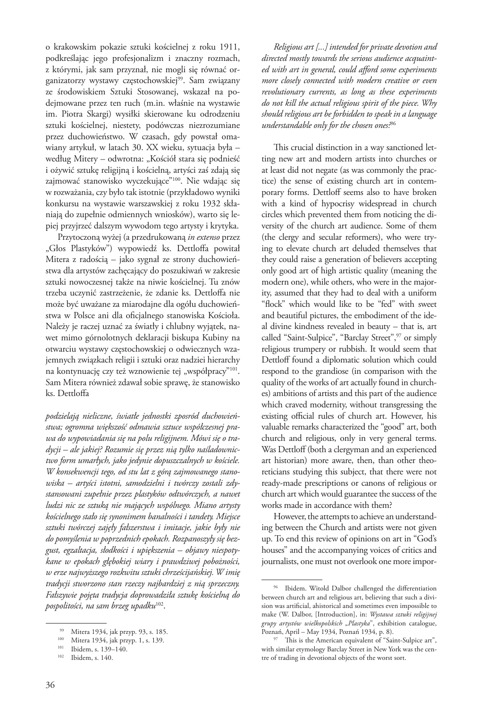o krakowskim pokazie sztuki kościelnej z roku 1911, podkreślając jego profesjonalizm i znaczny rozmach, z którymi, jak sam przyznał, nie mogli się równać organizatorzy wystawy częstochowskiej<sup>99</sup>. Sam związany ze środowiskiem Sztuki Stosowanej, wskazał na podejmowane przez ten ruch (m.in. właśnie na wystawie im. Piotra Skargi) wysiłki skierowane ku odrodzeniu sztuki kościelnej, niestety, podówczas niezrozumiane przez duchowieństwo. W czasach, gdy powstał omawiany artykuł, w latach 30. XX wieku, sytuacja była – według Mitery – odwrotna: "Kościół stara się podnieść i ożywić sztukę religijną i kościelną, artyści zaś zdają się zajmować stanowisko wyczekujące"100. Nie wdając się w rozważania, czy było tak istotnie (przykładowo wyniki konkursu na wystawie warszawskiej z roku 1932 skłaniają do zupełnie odmiennych wniosków), warto się lepiej przyjrzeć dalszym wywodom tego artysty i krytyka.

Przytoczoną wyżej (a przedrukowaną *in extenso* przez "Głos Plastyków") wypowiedź ks. Dettloffa powitał Mitera z radością – jako sygnał ze strony duchowieństwa dla artystów zachęcający do poszukiwań w zakresie sztuki nowoczesnej także na niwie kościelnej. Tu znów trzeba uczynić zastrzeżenie, że zdanie ks. Dettloffa nie może być uważane za miarodajne dla ogółu duchowieństwa w Polsce ani dla oficjalnego stanowiska Kościoła. Należy je raczej uznać za światły i chlubny wyjątek, nawet mimo górnolotnych deklaracji biskupa Kubiny na otwarciu wystawy częstochowskiej o odwiecznych wzajemnych związkach religii i sztuki oraz nadziei hierarchy na kontynuację czy też wznowienie tej "współpracy"<sup>101</sup>. Sam Mitera również zdawał sobie sprawę, że stanowisko ks. Dettloffa

*podzielają nieliczne, światłe jednostki zposród duchowieństwa; ogromna większość odmawia sztuce współczesnej prawa do wypowiadania się na polu religijnem. Mówi się o tradycji – ale jakiej? Rozumie się przez nią tylko naśladownictwo form umarłych, jako jedynie dopuszczalnych w kościele. W konsekwencji tego, od stu lat z górą zajmowanego stanowiska – artyści istotni, samodzielni i twórczy zostali zdystansowani zupełnie przez plastyków odtwórczych, a nawet ludzi nic ze sztuką nie mających wspólnego. Miano artysty kościelnego stało się synonimem banalności i tandety. Miejsce sztuki twórczej zajęły fałszerstwa i imitacje, jakie były nie do pomyślenia w poprzednich epokach. Rozpanoszyły się bezgust, egzaltacja, słodkości i upiększenia – objawy niespotykane w epokach głębokiej wiary i prawdziwej pobożności, w erze najwyższego rozkwitu sztuki chrześcijańskiej. W imię tradycji stworzono stan rzeczy najbardziej z nią sprzeczny. Fałszywie pojęta tradycja doprowadziła sztukę kościelną do pospolitości, na sam brzeg upadku*102.

*Religious art [...] intended for private devotion and directed mostly towards the serious audience acquainted with art in general, could afford some experiments more closely connected with modern creative or even revolutionary currents, as long as these experiments do not kill the actual religious spirit of the piece. Why should religious art be forbidden to speak in a language understandable only for the chosen ones?*<sup>96</sup>

This crucial distinction in a way sanctioned letting new art and modern artists into churches or at least did not negate (as was commonly the practice) the sense of existing church art in contemporary forms. Dettloff seems also to have broken with a kind of hypocrisy widespread in church circles which prevented them from noticing the diversity of the church art audience. Some of them (the clergy and secular reformers), who were trying to elevate church art deluded themselves that they could raise a generation of believers accepting only good art of high artistic quality (meaning the modern one), while others, who were in the majority, assumed that they had to deal with a uniform "flock" which would like to be "fed" with sweet and beautiful pictures, the embodiment of the ideal divine kindness revealed in beauty – that is, art called "Saint-Sulpice", "Barclay Street", 97 or simply religious trumpery or rubbish. It would seem that Dettloff found a diplomatic solution which could respond to the grandiose (in comparison with the quality of the works of art actually found in churches) ambitions of artists and this part of the audience which craved modernity, without transgressing the existing official rules of church art. However, his valuable remarks characterized the "good" art, both church and religious, only in very general terms. Was Dettloff (both a clergyman and an experienced art historian) more aware, then, than other theoreticians studying this subject, that there were not ready-made prescriptions or canons of religious or church art which would guarantee the success of the works made in accordance with them?

However, the attempts to achieve an understanding between the Church and artists were not given up. To end this review of opinions on art in "God's houses" and the accompanying voices of critics and journalists, one must not overlook one more impor-

<sup>99</sup> Mitera 1934, jak przyp. 93, s. 185.<br><sup>100</sup> Mitera 1934, jak przyp. 1, s. 139.<br><sup>101</sup> Ibidem, s. 139–140.

Ibidem, s. 140.

<sup>96</sup> Ibidem. Witold Dalbor challenged the differentiation between church art and religious art, believing that such a division was artificial, ahistorical and sometimes even impossible to make (W. Dalbor, [Introduction], in: *Wystawa sztuki religijnej grupy artystów wielkopolskich "Plastyka*", exhibition catalogue, Poznań, April – May 1934, Poznań 1934, p. 8).

<sup>97</sup> This is the American equivalent of "Saint-Sulpice art", with similar etymology Barclay Street in New York was the centre of trading in devotional objects of the worst sort.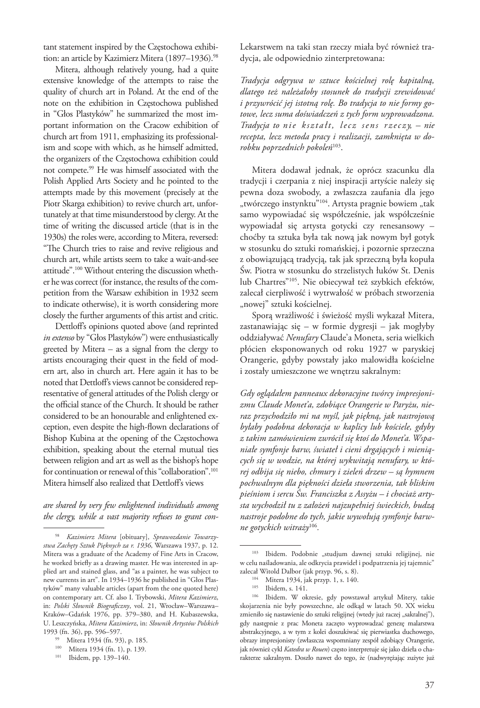tant statement inspired by the Częstochowa exhibition: an article by Kazimierz Mitera (1897-1936).<sup>98</sup>

Mitera, although relatively young, had a quite extensive knowledge of the attempts to raise the quality of church art in Poland. At the end of the note on the exhibition in Częstochowa published in "Głos Plastyków" he summarized the most important information on the Cracow exhibition of church art from 1911, emphasizing its professionalism and scope with which, as he himself admitted, the organizers of the Częstochowa exhibition could not compete.99 He was himself associated with the Polish Applied Arts Society and he pointed to the attempts made by this movement (precisely at the Piotr Skarga exhibition) to revive church art, unfortunately at that time misunderstood by clergy. At the time of writing the discussed article (that is in the 1930s) the roles were, according to Mitera, reversed: "The Church tries to raise and revive religious and church art, while artists seem to take a wait-and-see attitude".100 Without entering the discussion whether he was correct (for instance, the results of the competition from the Warsaw exhibition in 1932 seem to indicate otherwise), it is worth considering more closely the further arguments of this artist and critic.

Dettloff's opinions quoted above (and reprinted *in extenso* by "Głos Plastyków") were enthusiastically greeted by Mitera – as a signal from the clergy to artists encouraging their quest in the field of modern art, also in church art. Here again it has to be noted that Dettloff's views cannot be considered representative of general attitudes of the Polish clergy or the official stance of the Church. It should be rather considered to be an honourable and enlightened exception, even despite the high-flown declarations of Bishop Kubina at the opening of the Częstochowa exhibition, speaking about the eternal mutual ties between religion and art as well as the bishop's hope for continuation or renewal of this "collaboration".<sup>101</sup> Mitera himself also realized that Dettloff's views

## *are shared by very few enlightened individuals among the clergy, while a vast majority refuses to grant con-*

Lekarstwem na taki stan rzeczy miała być również tradycja, ale odpowiednio zinterpretowana:

*Tradycja odgrywa w sztuce kościelnej rolę kapitalną, dlatego też należałoby stosunek do tradycji zrewidować i przywrócić jej istotną rolę. Bo tradycja to nie formy gotowe, lecz suma doświadczeń z tych form wyprowadzona. Tradycja to nie kształt, lecz sens rzeczy, – nie recepta, lecz metoda pracy i realizacji, zamknięta w dorobku poprzednich pokoleń*103.

Mitera dodawał jednak, że oprócz szacunku dla tradycji i czerpania z niej inspiracji artyście należy się pewna doza swobody, a zwłaszcza zaufania dla jego "twórczego instynktu"<sup>104</sup>. Artysta pragnie bowiem "tak samo wypowiadać się współcześnie, jak współcześnie wypowiadał się artysta gotycki czy renesansowy – choćby ta sztuka była tak nową jak nowym był gotyk w stosunku do sztuki romańskiej, i pozornie sprzeczna z obowiązującą tradycją, tak jak sprzeczną była kopuła Św. Piotra w stosunku do strzelistych łuków St. Denis lub Chartres"105. Nie obiecywał też szybkich efektów, zalecał cierpliwość i wytrwałość w próbach stworzenia "nowej" sztuki kościelnej.

Sporą wrażliwość i świeżość myśli wykazał Mitera, zastanawiając się – w formie dygresji – jak mogłyby oddziaływać *Nenufary* Claude'a Moneta, seria wielkich płócien eksponowanych od roku 1927 w paryskiej Orangerie, gdyby powstały jako malowidła kościelne i zostały umieszczone we wnętrzu sakralnym:

*Gdy oglądałem panneaux dekoracyjne twórcy impresjonizmu Claude Monet'a, zdobiące Orangerie w Paryżu, nieraz przychodziło mi na myśl, jak piękną, jak nastrojową byłaby podobna dekoracja w kaplicy lub kościele, gdyby z takim zamówieniem zwrócił się ktoś do Monet'a. Wspaniałe symfonje barw, świateł i cieni drgających i mieniących się w wodzie, na której wykwitają nenufary, w której odbija się niebo, chmury i zieleń drzew – są hymnem pochwalnym dla piękności dzieła stworzenia, tak bliskim pieśniom i sercu Św. Franciszka z Assyżu – i chociaż artysta wychodził tu z założeń najzupełniej świeckich, budzą nastroje podobne do tych, jakie wywołują symfonje barwne gotyckich witraży*<sup>106</sup>*.*

<sup>98</sup> *Kazimierz Mitera* [obituary], *Sprawozdanie Towarzystwa Zachęty Sztuk Pięknych za r. 1936*, Warszawa 1937, p. 12. Mitera was a graduate of the Academy of Fine Arts in Cracow, he worked briefly as a drawing master. He was interested in applied art and stained glass, and "as a painter, he was subject to new currents in art". In 1934–1936 he published in "Głos Plastyków" many valuable articles (apart from the one quoted here) on contemporary art. Cf. also I. Trybowski, *Mitera Kazimierz*, in: *Polski Słownik Biograficzny*, vol. 21, Wrocław–Warszawa– Kraków–Gdańsk 1976, pp. 379–380, and H. Kubaszewska, U. Leszczyńska, *Mitera Kazimierz*, in: *Słownik Artystów Polskich* 1993 (fn. 36), pp. 596–597.

Mitera 1934 (fn. 93), p. 185.

<sup>100</sup> Mitera 1934 (fn. 1), p. 139.

<sup>101</sup> Ibidem, pp. 139–140.

<sup>&</sup>lt;sup>103</sup> Ibidem. Podobnie "studjum dawnej sztuki religijnej, nie w celu naśladowania, ale odkrycia prawideł i podpatrzenia jej tajemnic"

zalecał Witold Dalbor (jak przyp. 96, s. 8).<br><sup>104</sup> Mitera 1934, jak przyp. 1, s. 140.

<sup>105</sup> Ibidem, s. 141. 11. 106 Ibidem, s. 141. 106 Ibidem. W okresie, gdy powstawał artykuł Mitery, takie skojarzenia nie były powszechne, ale odkąd w latach 50. XX wieku zmieniło się nastawienie do sztuki religijnej (wtedy już raczej "sakralnej"), gdy następnie z prac Moneta zaczęto wyprowadzać genezę malarstwa abstrakcyjnego, a w tym z kolei doszukiwać się pierwiastka duchowego, obrazy impresjonisty (zwłaszcza wspomniany zespół zdobiący Orangerie, jak również cykl *Katedra w Rouen*) często interpretuje się jako dzieła o charakterze sakralnym. Doszło nawet do tego, że (nadwyrężając zużyte już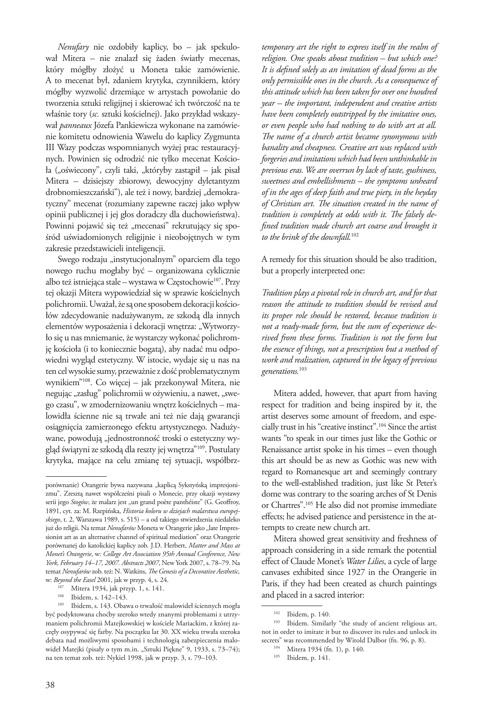*Nenufary* nie ozdobiły kaplicy, bo – jak spekulował Mitera – nie znalazł się żaden światły mecenas, który mógłby złożyć u Moneta takie zamówienie. A to mecenat był, zdaniem krytyka, czynnikiem, który mógłby wyzwolić drzemiące w artystach powołanie do tworzenia sztuki religijnej i skierować ich twórczość na te właśnie tory (*sc.* sztuki kościelnej). Jako przykład wskazywał *panneaux* Józefa Pankiewicza wykonane na zamówienie komitetu odnowienia Wawelu do kaplicy Zygmunta III Wazy podczas wspomnianych wyżej prac restauracyjnych. Powinien się odrodzić nie tylko mecenat Kościoła ("oświecony", czyli taki, "któryby zastąpił – jak pisał Mitera – dzisiejszy zbiorowy, dewocyjny dyletantyzm drobnomieszczański"), ale też i nowy, bardziej "demokratyczny" mecenat (rozumiany zapewne raczej jako wpływ opinii publicznej i jej głos doradczy dla duchowieństwa). Powinni pojawić się też "mecenasi" rekrutujący się spośród uświadomionych religijnie i nieobojętnych w tym zakresie przedstawicieli inteligencji.

Swego rodzaju "instytucjonalnym" oparciem dla tego nowego ruchu mogłaby być – organizowana cyklicznie albo też istniejąca stale – wystawa w Częstochowie<sup>107</sup>. Przy tej okazji Mitera wypowiedział się w sprawie kościelnych polichromii. Uważał, że są one sposobem dekoracji kościołów zdecydowanie nadużywanym, ze szkodą dla innych elementów wyposażenia i dekoracji wnętrza: "Wytworzyło się u nas mniemanie, że wystarczy wykonać polichromję kościoła (i to koniecznie bogatą), aby nadać mu odpowiedni wygląd estetyczny. W istocie, wydaje się u nas na ten cel wysokie sumy, przeważnie z dość problematycznym wynikiem"108. Co więcej – jak przekonywał Mitera, nie negując "zasług" polichromii w ożywieniu, a nawet, "swego czasu", w zmodernizowaniu wnętrz kościelnych – malowidła ścienne nie są trwałe ani też nie dają gwarancji osiągnięcia zamierzonego efektu artystycznego. Nadużywane, powodują "jednostronność troski o estetyczny wygląd świątyni ze szkodą dla reszty jej wnętrza"109. Postulaty krytyka, mające na celu zmianę tej sytuacji, współbrz-

*temporary art the right to express itself in the realm of religion. One speaks about tradition – but which one? It is defined solely as an imitation of dead forms as the only permissible ones in the church. As a consequence of this attitude which has been taken for over one hundred year – the important, independent and creative artists have been completely outstripped by the imitative ones, or even people who had nothing to do with art at all. The name of a church artist became synonymous with banality and cheapness. Creative art was replaced with forgeries and imitations which had been unthinkable in previous eras. We are overrun by lack of taste, gushiness, sweetness and embellishments – the symptoms unheard of in the ages of deep faith and true piety, in the heyday of Christian art. The situation created in the name of tradition is completely at odds with it. The falsely defined tradition made church art coarse and brought it to the brink of the downfall.*<sup>102</sup>

A remedy for this situation should be also tradition, but a properly interpreted one:

*Tradition plays a pivotal role in church art, and for that reason the attitude to tradition should be revised and its proper role should be restored, because tradition is not a ready-made form, but the sum of experience derived from these forms. Tradition is not the form but the essence of things, not a prescription but a method of work and realization, captured in the legacy of previous generations.*<sup>103</sup>

Mitera added, however, that apart from having respect for tradition and being inspired by it, the artist deserves some amount of freedom, and especially trust in his "creative instinct".104 Since the artist wants "to speak in our times just like the Gothic or Renaissance artist spoke in his times – even though this art should be as new as Gothic was new with regard to Romanesque art and seemingly contrary to the well-established tradition, just like St Peter's dome was contrary to the soaring arches of St Denis or Chartres".105 He also did not promise immediate effects; he advised patience and persistence in the attempts to create new church art.

Mitera showed great sensitivity and freshness of approach considering in a side remark the potential effect of Claude Monet's *Water Lilies*, a cycle of large canvases exhibited since 1927 in the Orangerie in Paris, if they had been created as church paintings and placed in a sacred interior:

porównanie) Orangerie bywa nazywana "kaplicą Sykstyńską impresjonizmu". Zresztą nawet współcześni pisali o Monecie, przy okazji wystawy serii jego *Stogów*, że malarz jest "un grand poète panthéiste" (G. Geoffroy, 1891, cyt. za: M. Rzepińska, *Historia koloru w dziejach malarstwa europejskiego*, t. 2, Warszawa 1989, s. 515) – a od takiego stwierdzenia niedaleko już do religii. Na temat *Nenufarów* Moneta w Orangerie jako "late Impressionist art as an alternative channel of spiritual mediation" oraz Orangerie porównanej do katolickiej kaplicy zob. J.D. Herbert, *Matter and Mass at Monet's Orangerie*, w: *College Art Association 95th Annual Conference, New York, February 14–17, 2007. Abstracts 2007*, New York 2007, s. 78–79. Na temat *Nenufarów* zob. też: N. Watkins, *The Genesis of a Decorative Aesthetic,*

w: *Beyond the Easel* 2001, jak w przyp. 4, s. 24. 107 Mitera 1934, jak przyp. 1, s. 141.

<sup>108</sup> Ibidem, s. 142–143.

<sup>109</sup> Ibidem, s. 143. Obawa o trwałość malowideł ściennych mogła być podyktowana choćby szeroko wtedy znanymi problemami z utrzymaniem polichromii Matejkowskiej w kościele Mariackim, z której zaczęły osypywać się farby. Na początku lat 30. XX wieku trwała szeroka debata nad możliwymi sposobami i technologią zabezpieczenia malowideł Matejki (pisały o tym m.in. "Sztuki Piękne" 9, 1933, s. 73-74); na ten temat zob. też: Nykiel 1998, jak w przyp. 3, s. 79–103.

<sup>&</sup>lt;sup>102</sup> Ibidem, p. 140.<br><sup>103</sup> Ibidem. Similarly "the study of ancient religious art, not in order to imitate it but to discover its rules and unlock its secrets" was recommended by Witold Dalbor (fn. 96, p. 8).

<sup>104</sup> Mitera 1934 (fn. 1), p. 140.

<sup>105</sup> Ibidem, p. 141.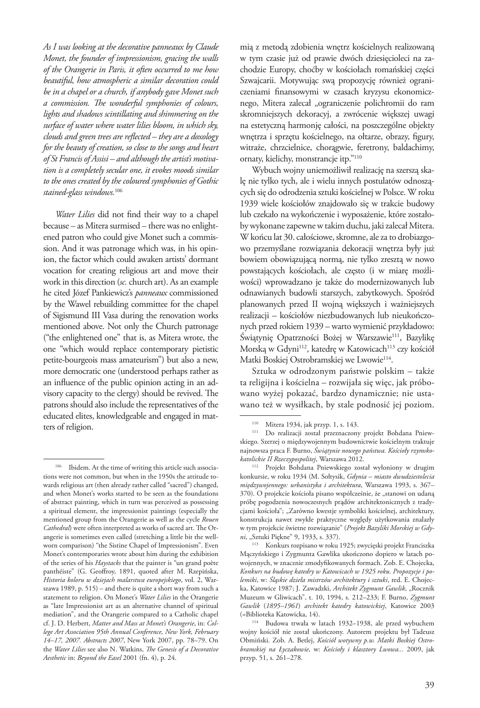*As I was looking at the decorative panneaux by Claude Monet, the founder of impressionism, gracing the walls of the Orangerie in Paris, it often occurred to me how beautiful, how atmospheric a similar decoration could be in a chapel or a church, if anybody gave Monet such a commission. The wonderful symphonies of colours, lights and shadows scintillating and shimmering on the surface of water where water lilies bloom, in which sky, clouds and green trees are reflected – they are a doxology for the beauty of creation, so close to the songs and heart of St Francis of Assisi – and although the artist's motivation is a completely secular one, it evokes moods similar to the ones created by the coloured symphonies of Gothic stained-glass windows.*<sup>106</sup>

*Water Lilies* did not find their way to a chapel because – as Mitera surmised – there was no enlightened patron who could give Monet such a commission. And it was patronage which was, in his opinion, the factor which could awaken artists' dormant vocation for creating religious art and move their work in this direction (*sc.* church art). As an example he cited Józef Pankiewicz's *panneaux* commissioned by the Wawel rebuilding committee for the chapel of Sigismund III Vasa during the renovation works mentioned above. Not only the Church patronage ("the enlightened one" that is, as Mitera wrote, the one "which would replace contemporary pietistic petite-bourgeois mass amateurism") but also a new, more democratic one (understood perhaps rather as an influence of the public opinion acting in an advisory capacity to the clergy) should be revived. The patrons should also include the representatives of the educated elites, knowledgeable and engaged in matters of religion.

mią z metodą zdobienia wnętrz kościelnych realizowaną w tym czasie już od prawie dwóch dziesięcioleci na zachodzie Europy, choćby w kościołach romańskiej części Szwajcarii. Motywując swą propozycję również ograniczeniami finansowymi w czasach kryzysu ekonomicznego, Mitera zalecał "ograniczenie polichromii do ram skromniejszych dekoracyj, a zwrócenie większej uwagi na estetyczną harmonję całości, na poszczególne objekty wnętrza i sprzętu kościelnego, na ołtarze, obrazy, figury, witraże, chrzcielnice, chorągwie, feretrony, baldachimy, ornaty, kielichy, monstrancje itp."110

Wybuch wojny uniemożliwił realizację na szerszą skalę nie tylko tych, ale i wielu innych postulatów odnoszących się do odrodzenia sztuki kościelnej w Polsce. W roku 1939 wiele kościołów znajdowało się w trakcie budowy lub czekało na wykończenie i wyposażenie, które zostałoby wykonane zapewne w takim duchu, jaki zalecał Mitera. W końcu lat 30. całościowe, skromne, ale za to drobiazgowo przemyślane rozwiązania dekoracji wnętrza były już bowiem obowiązującą normą, nie tylko zresztą w nowo powstających kościołach, ale często (i w miarę możliwości) wprowadzano je także do modernizowanych lub odnawianych budowli starszych, zabytkowych. Spośród planowanych przed II wojną większych i ważniejszych realizacji – kościołów niezbudowanych lub nieukończonych przed rokiem 1939 – warto wymienić przykładowo: Świątynię Opatrzności Bożej w Warszawie<sup>111</sup>, Bazylikę Morską w Gdyni<sup>112</sup>, katedrę w Katowicach<sup>113</sup> czy kościół Matki Boskiej Ostrobramskiej we Lwowie<sup>114</sup>.

Sztuka w odrodzonym państwie polskim – także ta religijna i kościelna – rozwijała się więc, jak próbowano wyżej pokazać, bardzo dynamicznie; nie ustawano też w wysiłkach, by stale podnosić jej poziom.

Ibidem. At the time of writing this article such associations were not common, but when in the 1950s the attitude towards religious art (then already rather called "sacred") changed, and when Monet's works started to be seen as the foundations of abstract painting, which in turn was perceived as possessing a spiritual element, the impressionist paintings (especially the mentioned group from the Orangerie as well as the cycle *Rouen Cathedral*) were often interpreted as works of sacred art. The Orangerie is sometimes even called (stretching a little bit the wellworn comparison) "the Sistine Chapel of Impressionism". Even Monet's contemporaries wrote about him during the exhibition of the series of his *Haystacks* that the painter is "un grand poète panthéiste" (G. Geoffroy, 1891, quoted after M. Rzepińska, *Historia koloru w dziejach malarstwa europejskiego*, vol. 2, Warszawa 1989, p. 515) – and there is quite a short way from such a statement to religion. On Monet's *Water Lilies* in the Orangerie as "late Impressionist art as an alternative channel of spiritual mediation", and the Orangerie compared to a Catholic chapel cf. J. D. Herbert, *Matter and Mass at Monet's Orangerie*, in: *College Art Association 95th Annual Conference, New York, February 14–17, 2007. Abstracts 2007*, New York 2007, pp. 78–79. On the *Water Lilies* see also N. Watkins, *The Genesis of a Decorative Aesthetic* in: *Beyond the Easel* 2001 (fn. 4), p. 24.

<sup>&</sup>lt;sup>110</sup> Mitera 1934, jak przyp. 1, s. 143.

<sup>111</sup> Do realizacji został przeznaczony projekt Bohdana Pniewskiego. Szerzej o międzywojennym budownictwie kościelnym traktuje najnowsza praca F. Burno, *Świątynie nowego państwa. Kościoły rzymskokatolickie II Rzeczypospolitej*, Warszawa 2012.

<sup>112</sup> Projekt Bohdana Pniewskiego został wyłoniony w drugim konkursie, w roku 1934 (M. Sołtysik, *Gdynia – miasto dwudziestolecia międzywojennego: urbanistyka i architektura*, Warszawa 1993, s. 367– 370). O projekcie kościoła pisano współcześnie, że "stanowi on udaną próbę pogodzenia nowoczesnych prądów architektonicznych z tradycjami kościoła"; "Zarówno kwestje symboliki kościelnej, architektury, konstrukcja nawet zwykłe praktyczne względy użytkowania znalazły w tym projekcie świetne rozwiązanie" (*Projekt Bazyliki Morskiej w Gdy-*

<sup>&</sup>lt;sup>113</sup> Konkurs rozpisano w roku 1925; zwycięski projekt Franciszka Mączyńskiego i Zygmunta Gawlika ukończono dopiero w latach powojennych, w znacznie zmodyfikowanych formach. Zob. E. Chojecka, *Konkurs na budowę katedry w Katowicach w 1925 roku. Propozycje i polemiki*, w: *Śląskie dzieła mistrzów architektury i sztuki*, red. E. Chojecka, Katowice 1987; J. Zawadzki, Architekt Zygmunt Gawlik, "Rocznik Muzeum w Gliwicach", t. 10, 1994, s. 212–233; F. Burno, *Zygmunt Gawlik* (*1895–1961*) *architekt katedry katowickiej*, Katowice 2003 (=Biblioteka Katowicka, 14).

<sup>114</sup> Budowa trwała w latach 1932–1938, ale przed wybuchem wojny kościół nie został ukończony. Autorem projektu był Tadeusz Obmiński. Zob. A. Betlej, *Kościół wotywny p.w. Matki Boskiej Ostrobramskiej na Łyczakowie,* w: *Kościoły i klasztory Lwowa...* 2009, jak przyp. 51, s. 261–278.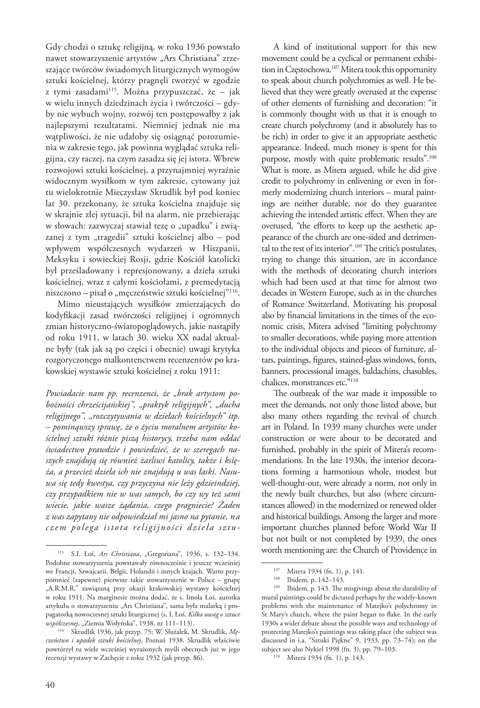Gdy chodzi o sztukę religijną, w roku 1936 powstało nawet stowarzyszenie artystów "Ars Christiana" zrzeszające twórców świadomych liturgicznych wymogów sztuki kościelnej, którzy pragnęli tworzyć w zgodzie z tymi zasadami115. Można przypuszczać, że – jak w wielu innych dziedzinach życia i twórczości – gdyby nie wybuch wojny, rozwój ten postępowałby z jak najlepszymi rezultatami. Niemniej jednak nie ma wątpliwości, że nie udałoby się osiągnąć porozumienia w zakresie tego, jak powinna wyglądać sztuka religijna, czy raczej, na czym zasadza się jej istota. Wbrew rozwojowi sztuki kościelnej, a przynajmniej wyraźnie widocznym wysiłkom w tym zakresie, cytowany już tu wielokrotnie Mieczysław Skrudlik był pod koniec lat 30. przekonany, że sztuka kościelna znajduje się w skrajnie złej sytuacji, bił na alarm, nie przebierając w słowach: zazwyczaj stawiał tezę o "upadku" i związanej z tym "tragedii" sztuki kościelnej albo – pod wpływem współczesnych wydarzeń w Hiszpanii, Meksyku i sowieckiej Rosji, gdzie Kościół katolicki był prześladowany i represjonowany, a dzieła sztuki kościelnej, wraz z całymi kościołami, z premedytacją niszczono – pisał o "męczeństwie sztuki kościelnej"<sup>116</sup>.

Mimo nieustających wysiłków zmierzających do kodyfikacji zasad twórczości religijnej i ogromnych zmian historyczno-światopoglądowych, jakie nastąpiły od roku 1911, w latach 30. wieku XX nadal aktualne były (tak jak są po części i obecnie) uwagi krytyka rozgoryczonego malkontenctwem recenzentów po krakowskiej wystawie sztuki kościelnej z roku 1911:

*Powiadacie nam pp. recenzenci, że "brak artystom pobożności chrześcijańskiej", "praktyk religijnych", "ducha religijnego", "rozczytywania w dziełach kościelnych" itp. – pominąwszy sprawę, że o życiu moralnem artystów kościelnej sztuki różnie piszą historycy, trzeba nam oddać świadectwo prawdzie i powiedzieć, że w szeregach naszych znajdują się również żarliwi katolicy, także i księża, a przecież dzieła ich nie znajdują u was łaski. Nasuwa się tedy kwestya, czy przyczyna nie leży gdzieindziej, czy przypadkiem nie w was samych, bo czy wy też sami wiecie, jakie wasze żądania, czego pragniecie? Żaden z was zapytany nie odpowiedział mi jasno na pytanie, n a czem polega istota religijności dzieła sztu -*

A kind of institutional support for this new movement could be a cyclical or permanent exhibition in Częstochowa.<sup>107</sup> Mitera took this opportunity to speak about church polychromies as well. He believed that they were greatly overused at the expense of other elements of furnishing and decoration: "it is commonly thought with us that it is enough to create church polychromy (and it absolutely has to be rich) in order to give it an appropriate aesthetic appearance. Indeed, much money is spent for this purpose, mostly with quite problematic results".<sup>108</sup> What is more, as Mitera argued, while he did give credit to polychromy in enlivening or even in formerly modernizing church interiors – mural paintings are neither durable, nor do they guarantee achieving the intended artistic effect. When they are overused, "the efforts to keep up the aesthetic appearance of the church are one-sided and detrimental to the rest of its interior".<sup>109</sup> The critic's postulates, trying to change this situation, are in accordance with the methods of decorating church interiors which had been used at that time for almost two decades in Western Europe, such as in the churches of Romance Switzerland. Motivating his proposal also by financial limitations in the times of the economic crisis, Mitera advised "limiting polychromy to smaller decorations, while paying more attention to the individual objects and pieces of furniture, altars, paintings, figures, stained-glass windows, fonts, banners, processional images, baldachins, chasubles, chalices, monstrances etc."110

The outbreak of the war made it impossible to meet the demands, not only those listed above, but also many others regarding the revival of church art in Poland. In 1939 many churches were under construction or were about to be decorated and furnished, probably in the spirit of Mitera's recommendations. In the late 1930s, the interior decorations forming a harmonious whole, modest but well-thought-out, were already a norm, not only in the newly built churches, but also (where circumstances allowed) in the modernized or renewed older and historical buildings. Among the larger and more important churches planned before World War II but not built or not completed by 1939, the ones worth mentioning are: the Church of Providence in

<sup>115</sup> S.I. Łoś, *Ars Christiana*, "Gregoriana", 1936, s. 132–134. Podobne stowarzyszenia powstawały równocześnie i jeszcze wcześniej we Francji, Szwajcarii, Belgii, Holandii i innych krajach. Warto przypomnieć (zapewne) pierwsze takie stowarzyszenie w Polsce – grupę "A.R.M.R." zawiązaną przy okazji krakowskiej wystawy kościelnej w roku 1911. Na marginesie można dodać, że s. Imola Łoś, autorka artykułu o stowarzyszeniu "Ars Christiana", sama była malarką i propagatorką nowoczesnej sztuki liturgicznej (s. I. Łoś, *Kilka uwag o sztuce* 

<sup>&</sup>lt;sup>116</sup> Skrudlik 1936, jak przyp. 75; W. Służałek, M. Skrudlik, Mę*czeństwo i upadek sztuki kościelnej*, Poznań 1938. Skrudlik właściwie powtórzył tu wiele wcześniej wyrażonych myśli obecnych już w jego recenzji wystawy w Zachęcie z roku 1932 (jak przyp. 86).

<sup>&</sup>lt;sup>107</sup> Mitera 1934 (fn. 1), p. 141.<br><sup>108</sup> Ibidem p. 142, 143.

Ibidem, p. 142-143.

Ibidem, p. 143. The misgivings about the durability of mural paintings could be dictated perhaps by the widely-known problems with the maintenance of Matejko's polychromy in St Mary's church, where the paint began to flake. In the early 1930s a wider debate about the possible ways and technology of protecting Matejko's paintings was taking place (the subject was discussed in i.a. "Sztuki Piękne" 9, 1933, pp. 73–74); on the subject see also Nykiel 1998 (fn. 3), pp. 79–103.

<sup>110</sup> Mitera 1934 (fn. 1), p. 143.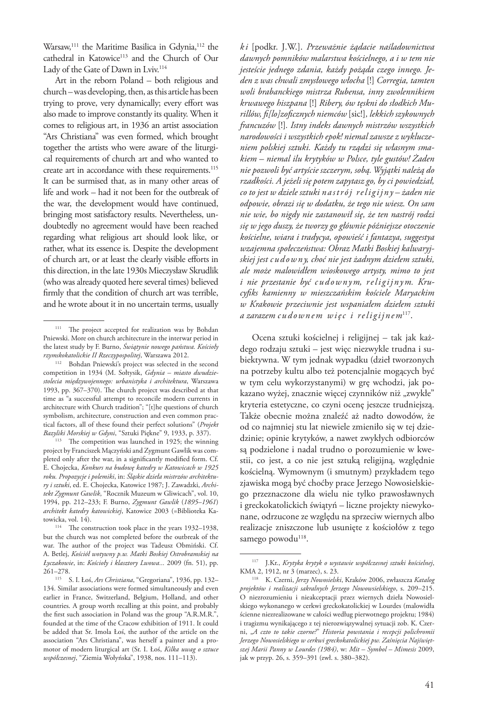Warsaw,<sup>111</sup> the Maritime Basilica in Gdynia,<sup>112</sup> the cathedral in Katowice<sup>113</sup> and the Church of Our Lady of the Gate of Dawn in Lviv.<sup>114</sup>

Art in the reborn Poland – both religious and church – was developing, then, as this article has been trying to prove, very dynamically; every effort was also made to improve constantly its quality. When it comes to religious art, in 1936 an artist association "Ars Christiana" was even formed, which brought together the artists who were aware of the liturgical requirements of church art and who wanted to create art in accordance with these requirements.<sup>115</sup> It can be surmised that, as in many other areas of life and work – had it not been for the outbreak of the war, the development would have continued, bringing most satisfactory results. Nevertheless, undoubtedly no agreement would have been reached regarding what religious art should look like, or rather, what its essence is. Despite the development of church art, or at least the clearly visible efforts in this direction, in the late 1930s Mieczysław Skrudlik (who was already quoted here several times) believed firmly that the condition of church art was terrible, and he wrote about it in no uncertain terms, usually

*k i* [podkr. J.W.]. *Przeważnie żądacie naśladownictwa dawnych pomników malarstwa kościelnego, a i w tem nie jesteście jednego zdania, każdy pożąda czego innego. Jeden z was chwali zmysłowego włocha* [!] *Corregia, tamten woli brabanckiego mistrza Rubensa, inny zwolennikiem krwawego hiszpana* [!] *Ribery, ów tęskni do słodkich Murillów, fi[lo]zoficznych niemców* [sic!]*, lekkich szykownych francuzów* [!]*. Istny indeks dawnych mistrzów wszystkich narodowości i wszystkich epok! niemal zawsze z wykluczeniem polskiej sztuki. Każdy tu rządzi się własnym smakiem – niemal ilu krytyków w Polsce, tyle gustów! Żaden nie pozwoli być artyście szczerym, sobą. Wyjątki należą do rzadkości. A jeżeli się potem zapytasz go, by ci powiedział, co to jest w dziele sztuki n a s t ró j re l i g i j n y – żaden nie odpowie, obrazi się w dodatku, że tego nie wiesz. On sam nie wie, bo nigdy nie zastanowił się, że ten nastrój rodzi się w jego duszy, że tworzy go głównie późniejsze otoczenie kościelne, wiara i tradycya, opowieść i fantazya, suggestya wzajemna społeczeństwa: Obraz Matki Boskiej kalwaryjskiej jest c u d ow n y, choć nie jest żadnym dziełem sztuki, ale może malowidłem wioskowego artysty, mimo to jest*  i nie przestanie być cudownym, religijnym. Kru*cyfiks kamienny w mieszczańskim kościele Maryackim w Krakowie przeciwnie jest wspaniałem dziełem sztuki a zarazem c u d ow n e m w i ę c i re l i g i j n e m*117.

Ocena sztuki kościelnej i religijnej – tak jak każdego rodzaju sztuki – jest więc niezwykle trudna i subiektywna. W tym jednak wypadku (dzieł tworzonych na potrzeby kultu albo też potencjalnie mogących być w tym celu wykorzystanymi) w grę wchodzi, jak pokazano wyżej, znacznie więcej czynników niż "zwykłe" kryteria estetyczne, co czyni ocenę jeszcze trudniejszą. Także obecnie można znaleźć aż nadto dowodów, że od co najmniej stu lat niewiele zmieniło się w tej dziedzinie; opinie krytyków, a nawet zwykłych odbiorców są podzielone i nadal trudno o porozumienie w kwestii, co jest, a co nie jest sztuką religijną, względnie kościelną. Wymownym (i smutnym) przykładem tego zjawiska mogą być choćby prace Jerzego Nowosielskiego przeznaczone dla wielu nie tylko prawosławnych i greckokatolickich świątyń – liczne projekty niewykonane, odrzucone ze względu na sprzeciw wiernych albo realizacje zniszczone lub usunięte z kościołów z tego samego powodu<sup>118</sup>.

<sup>&</sup>lt;sup>111</sup> The project accepted for realization was by Bohdan Pniewski. More on church architecture in the interwar period in the latest study by F. Burno, *Świątynie nowego państwa. Kościoły rzymskokatolickie II Rzeczypospolitej*, Warszawa 2012.

<sup>112</sup> Bohdan Pniewski's project was selected in the second competition in 1934 (M. Sołtysik, *Gdynia – miasto dwudziestolecia międzywojennego: urbanistyka i architektura*, Warszawa 1993, pp. 367–370). The church project was described at that time as "a successful attempt to reconcile modern currents in architecture with Church tradition"; "[t]he questions of church symbolism, architecture, construction and even common practical factors, all of these found their perfect solutions" (*Projekt Bazyliki Morskiej w Gdyni*, "Sztuki Piękne" 9, 1933, p. 337).

<sup>&</sup>lt;sup>113</sup> The competition was launched in 1925; the winning project by Franciszek Mączyński and Zygmunt Gawlik was completed only after the war, in a significantly modified form. Cf. E. Chojecka, *Konkurs na budowę katedry w Katowicach w 1925 roku. Propozycje i polemiki*, in: *Śląskie dzieła mistrzów architektury i sztuki*, ed. E. Chojecka, Katowice 1987; J. Zawadzki, *Architekt Zygmunt Gawlik*, "Rocznik Muzeum w Gliwicach", vol. 10, 1994, pp. 212–233; F. Burno, *Zygmunt Gawlik* (*1895–1961*) *architekt katedry katowickiej*, Katowice 2003 (=Biblioteka Katowicka, vol. 14).

<sup>&</sup>lt;sup>114</sup> The construction took place in the years 1932–1938, but the church was not completed before the outbreak of the war. The author of the project was Tadeusz Obmiński. Cf. A. Betlej, *Kościół wotywny p.w. Matki Boskiej Ostrobramskiej na Łyczakowie*, in: *Kościoły i klasztory Lwowa...* 2009 (fn. 51), pp. 261–278.

<sup>115</sup> S. I. Łoś, *Ars Christiana*, "Gregoriana", 1936, pp. 132– 134. Similar associations were formed simultaneously and even earlier in France, Switzerland, Belgium, Holland, and other countries. A group worth recalling at this point, and probably the first such association in Poland was the group "A.R.M.R.", founded at the time of the Cracow exhibition of 1911. It could be added that Sr. Imola Łoś, the author of the article on the association "Ars Christiana", was herself a painter and a promotor of modern liturgical art (Sr. I. Łoś, *Kilka uwag o sztuce współczesnej*, "Ziemia Wołyńska", 1938, nos. 111–113).

<sup>117</sup> J.Kr., *Krytyka krytyk o wystawie współczesnej sztuki kościelnej*,

<sup>&</sup>lt;sup>118</sup> K. Czerni, *Jerzy Nowosielski*, Kraków 2006, zwłaszcza *Katalog projektów i realizacji sakralnych Jerzego Nowowsielskiego*, s. 209–215. O niezrozumieniu i nieakceptacji przez wiernych dzieła Nowosielskiego wykonanego w cerkwi greckokatolickiej w Lourdes (malowidła ścienne niezrealizowane w całości według pierwotnego projektu; 1984) i tragizmu wynikającego z tej nierozwiązywalnej sytuacji zob. K. Czerni, "*A czto to takie czorne?*" *Historia powstania i recepcji polichromii Jerzego Nowosielskiego w cerkwi greckokatolickiej pw. Zaśnięcia Najświętszej Marii Panny w Lourdes (1984)*, w: *Mit – Symbol – Mimesis* 2009, jak w przyp. 26, s. 359–391 (zwł. s. 380–382).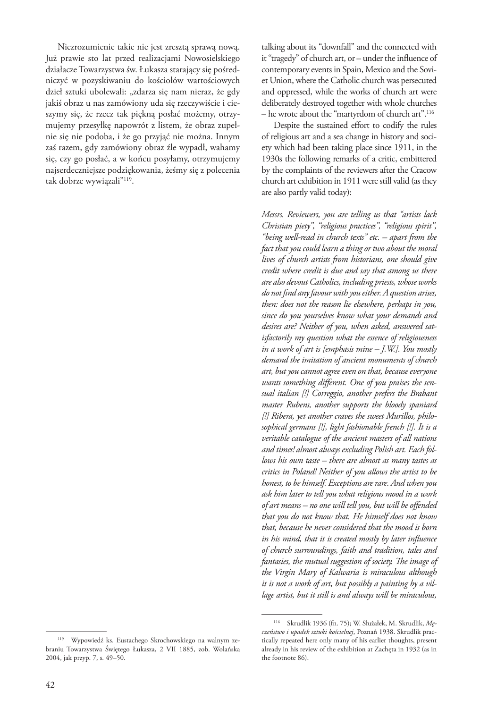Niezrozumienie takie nie jest zresztą sprawą nową. Już prawie sto lat przed realizacjami Nowosielskiego działacze Towarzystwa św. Łukasza starający się pośredniczyć w pozyskiwaniu do kościołów wartościowych dzieł sztuki ubolewali: "zdarza się nam nieraz, że gdy jakiś obraz u nas zamówiony uda się rzeczywiście i cieszymy się, że rzecz tak piękną posłać możemy, otrzymujemy przesyłkę napowrót z listem, że obraz zupełnie się nie podoba, i że go przyjąć nie można. Innym zaś razem, gdy zamówiony obraz źle wypadł, wahamy się, czy go posłać, a w końcu posyłamy, otrzymujemy najserdeczniejsze podziękowania, żeśmy się z polecenia tak dobrze wywiązali"119.

talking about its "downfall" and the connected with it "tragedy" of church art, or – under the influence of contemporary events in Spain, Mexico and the Soviet Union, where the Catholic church was persecuted and oppressed, while the works of church art were deliberately destroyed together with whole churches – he wrote about the "martyrdom of church art".<sup>116</sup>

Despite the sustained effort to codify the rules of religious art and a sea change in history and society which had been taking place since 1911, in the 1930s the following remarks of a critic, embittered by the complaints of the reviewers after the Cracow church art exhibition in 1911 were still valid (as they are also partly valid today):

*Messrs. Reviewers, you are telling us that "artists lack Christian piety", "religious practices", "religious spirit", "being well-read in church texts" etc. – apart from the fact that you could learn a thing or two about the moral lives of church artists from historians, one should give credit where credit is due and say that among us there are also devout Catholics, including priests, whose works do not find any favour with you either. A question arises, then: does not the reason lie elsewhere, perhaps in you, since do you yourselves know what your demands and desires are? Neither of you, when asked, answered satisfactorily my question what the essence of religiousness in a work of art is [emphasis mine – J.W.]. You mostly demand the imitation of ancient monuments of church art, but you cannot agree even on that, because everyone wants something different. One of you praises the sensual italian [!] Correggio, another prefers the Brabant master Rubens, another supports the bloody spaniard [!] Ribera, yet another craves the sweet Murillos, philosophical germans [!], light fashionable french [!]. It is a veritable catalogue of the ancient masters of all nations and times! almost always excluding Polish art. Each follows his own taste – there are almost as many tastes as critics in Poland! Neither of you allows the artist to be honest, to be himself. Exceptions are rare. And when you ask him later to tell you what religious mood in a work of art means – no one will tell you, but will be offended that you do not know that. He himself does not know that, because he never considered that the mood is born in his mind, that it is created mostly by later influence of church surroundings, faith and tradition, tales and fantasies, the mutual suggestion of society. The image of the Virgin Mary of Kalwaria is miraculous although it is not a work of art, but possibly a painting by a village artist, but it still is and always will be miraculous,* 

<sup>119</sup> Wypowiedź ks. Eustachego Skrochowskiego na walnym zebraniu Towarzystwa Świętego Łukasza, 2 VII 1885, zob. Wolańska 2004, jak przyp. 7, s. 49–50.

<sup>116</sup> Skrudlik 1936 (fn. 75); W. Służałek, M. Skrudlik, *Męczeństwo i upadek sztuki kościelnej*, Poznań 1938. Skrudlik practically repeated here only many of his earlier thoughts, present already in his review of the exhibition at Zachęta in 1932 (as in the footnote 86).